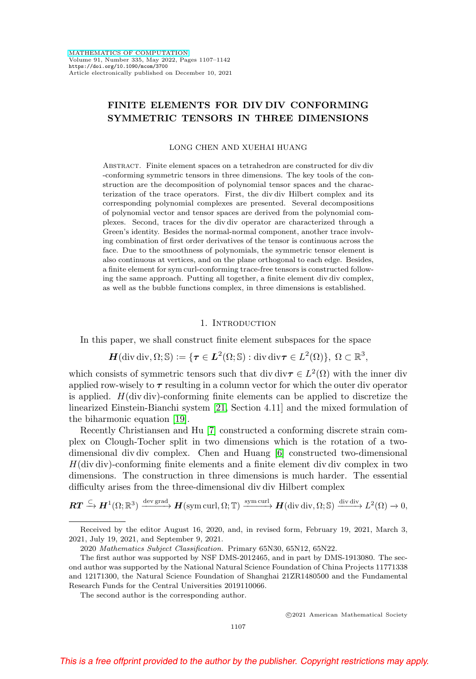# <span id="page-0-0"></span>**FINITE ELEMENTS FOR DIV DIV CONFORMING SYMMETRIC TENSORS IN THREE DIMENSIONS**

LONG CHEN AND XUEHAI HUANG

Abstract. Finite element spaces on a tetrahedron are constructed for div div -conforming symmetric tensors in three dimensions. The key tools of the construction are the decomposition of polynomial tensor spaces and the characterization of the trace operators. First, the div div Hilbert complex and its corresponding polynomial complexes are presented. Several decompositions of polynomial vector and tensor spaces are derived from the polynomial complexes. Second, traces for the div div operator are characterized through a Green's identity. Besides the normal-normal component, another trace involving combination of first order derivatives of the tensor is continuous across the face. Due to the smoothness of polynomials, the symmetric tensor element is also continuous at vertices, and on the plane orthogonal to each edge. Besides, a finite element for sym curl-conforming trace-free tensors is constructed following the same approach. Putting all together, a finite element div div complex, as well as the bubble functions complex, in three dimensions is established.

#### 1. INTRODUCTION

In this paper, we shall construct finite element subspaces for the space

 $H(\text{div div}, \Omega; \mathbb{S}) := \{ \tau \in L^2(\Omega; \mathbb{S}) : \text{div div } \tau \in L^2(\Omega) \}, \Omega \subset \mathbb{R}^3,$ 

which consists of symmetric tensors such that div div $\tau \in L^2(\Omega)$  with the inner div applied row-wisely to  $\tau$  resulting in a column vector for which the outer div operator is applied.  $H(\text{div div})$ -conforming finite elements can be applied to discretize the linearized Einstein-Bianchi system [\[21,](#page-35-0) Section 4.11] and the mixed formulation of the biharmonic equation [\[19\]](#page-35-1).

Recently Christiansen and Hu [\[7\]](#page-34-0) constructed a conforming discrete strain complex on Clough-Tocher split in two dimensions which is the rotation of a twodimensional div div complex. Chen and Huang [\[6\]](#page-34-1) constructed two-dimensional  $H(\text{div div})$ -conforming finite elements and a finite element div div complex in two dimensions. The construction in three dimensions is much harder. The essential difficulty arises from the three-dimensional div div Hilbert complex

$$
\boldsymbol{RT} \xrightarrow{\subset} \boldsymbol{H}^1(\Omega;\mathbb{R}^3) \xrightarrow{\text{dev grad}} \boldsymbol{H}(\text{sym curl},\Omega;\mathbb{T}) \xrightarrow{\text{sym curl}} \boldsymbol{H}(\text{div div},\Omega;\mathbb{S}) \xrightarrow{\text{div div}} L^2(\Omega) \to 0,
$$

The second author is the corresponding author.

Received by the editor August 16, 2020, and, in revised form, February 19, 2021, March 3, 2021, July 19, 2021, and September 9, 2021.

<sup>2020</sup> Mathematics Subject Classification. Primary 65N30, 65N12, 65N22.

The first author was supported by NSF DMS-2012465, and in part by DMS-1913080. The second author was supported by the National Natural Science Foundation of China Projects 11771338 and 12171300, the Natural Science Foundation of Shanghai 21ZR1480500 and the Fundamental Research Funds for the Central Universities 2019110066.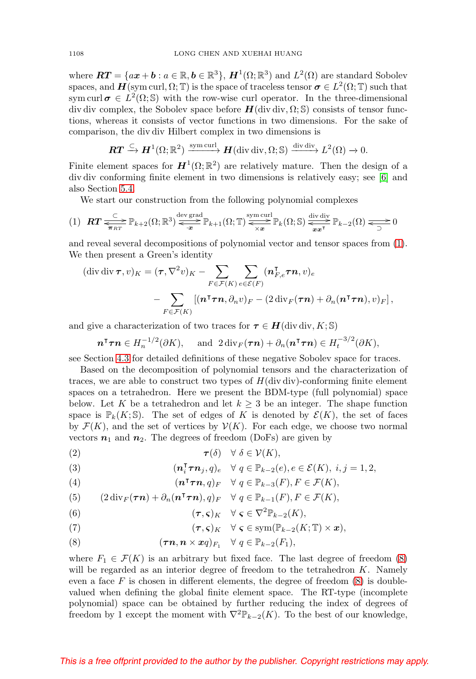<span id="page-1-7"></span>where  $\boldsymbol{RT} = \{ax + b : a \in \mathbb{R}, b \in \mathbb{R}^3\}, H^1(\Omega;\mathbb{R}^3)$  and  $L^2(\Omega)$  are standard Sobolev spaces, and  $H(\text{sym curl}, \Omega; \mathbb{T})$  is the space of traceless tensor  $\sigma \in L^2(\Omega; \mathbb{T})$  such that sym curl  $\sigma \in L^2(\Omega; \mathbb{S})$  with the row-wise curl operator. In the three-dimensional div div complex, the Sobolev space before  $H$ (div div,  $\Omega$ ; S) consists of tensor functions, whereas it consists of vector functions in two dimensions. For the sake of comparison, the div div Hilbert complex in two dimensions is

$$
\boldsymbol{RT} \xrightarrow{\subset} \boldsymbol{H}^1(\Omega;\mathbb{R}^2) \xrightarrow{\text{sym curl}} \boldsymbol{H}(\text{div div},\Omega;\mathbb{S}) \xrightarrow{\text{div div}} L^2(\Omega) \to 0.
$$

Finite element spaces for  $H^1(\Omega;\mathbb{R}^2)$  are relatively mature. Then the design of a div div conforming finite element in two dimensions is relatively easy; see [\[6\]](#page-34-1) and also Section [5.4.](#page-26-0)

We start our construction from the following polynomial complexes

<span id="page-1-0"></span>
$$
(1) \quad RT \xrightarrow{\subset} \mathbb{P}_{k+2}(\Omega; \mathbb{R}^3) \xrightarrow{\text{dev grad}} \mathbb{P}_{k+1}(\Omega; \mathbb{T}) \xrightarrow{\text{sym curl}} \mathbb{P}_k(\Omega; \mathbb{S}) \xrightarrow{\text{div } \text{div}} \mathbb{P}_{k-2}(\Omega) \xrightarrow{\subset} 0
$$

and reveal several decompositions of polynomial vector and tensor spaces from [\(1\)](#page-1-0). We then present a Green's identity

$$
(\operatorname{div} \operatorname{div} \boldsymbol{\tau}, v)_K = (\boldsymbol{\tau}, \nabla^2 v)_K - \sum_{F \in \mathcal{F}(K)} \sum_{e \in \mathcal{E}(F)} (\boldsymbol{n}_{F,e}^{\mathsf{T}} \boldsymbol{\tau} \boldsymbol{n}, v)_e
$$

$$
- \sum_{F \in \mathcal{F}(K)} [(\boldsymbol{n}^{\mathsf{T}} \boldsymbol{\tau} \boldsymbol{n}, \partial_n v)_F - (2 \operatorname{div}_F(\boldsymbol{\tau} \boldsymbol{n}) + \partial_n (\boldsymbol{n}^{\mathsf{T}} \boldsymbol{\tau} \boldsymbol{n}), v)_F],
$$

and give a characterization of two traces for  $\tau \in H(\text{div div}, K; \mathbb{S})$ 

$$
\boldsymbol{n}^{\mathsf{T}}\boldsymbol{\tau}\boldsymbol{n} \in H_n^{-1/2}(\partial K), \quad \text{and } 2\operatorname{div}_F(\boldsymbol{\tau}\boldsymbol{n}) + \partial_n(\boldsymbol{n}^{\mathsf{T}}\boldsymbol{\tau}\boldsymbol{n}) \in H_t^{-3/2}(\partial K),
$$

see Section [4.3](#page-15-0) for detailed definitions of these negative Sobolev space for traces.

Based on the decomposition of polynomial tensors and the characterization of traces, we are able to construct two types of  $H$ (div div)-conforming finite element spaces on a tetrahedron. Here we present the BDM-type (full polynomial) space below. Let K be a tetrahedron and let  $k \geq 3$  be an integer. The shape function space is  $\mathbb{P}_k(K; \mathbb{S})$ . The set of edges of K is denoted by  $\mathcal{E}(K)$ , the set of faces by  $\mathcal{F}(K)$ , and the set of vertices by  $\mathcal{V}(K)$ . For each edge, we choose two normal vectors  $n_1$  and  $n_2$ . The degrees of freedom (DoFs) are given by

<span id="page-1-4"></span>
$$
\tau(\delta) \quad \forall \delta \in \mathcal{V}(K),
$$

<span id="page-1-5"></span>(3) 
$$
(\mathbf{n}_i^{\mathsf{T}} \boldsymbol{\tau} \mathbf{n}_j, q)_e \quad \forall \ q \in \mathbb{P}_{k-2}(e), e \in \mathcal{E}(K), \ i, j = 1, 2,
$$

<span id="page-1-2"></span>(4) 
$$
(\mathbf{n}^\intercal \boldsymbol{\tau} \mathbf{n}, q)_F \quad \forall \ q \in \mathbb{P}_{k-3}(F), F \in \mathcal{F}(K),
$$

<span id="page-1-3"></span>(5) 
$$
(2\operatorname{div}_F(\boldsymbol{\tau}\boldsymbol{n})+\partial_n(\boldsymbol{n}^\intercal\boldsymbol{\tau}\boldsymbol{n}),q)_F \quad \forall \ q\in \mathbb{P}_{k-1}(F), F\in \mathcal{F}(K),
$$

(6) 
$$
(\tau,\varsigma)_K \quad \forall \ \varsigma \in \nabla^2 \mathbb{P}_{k-2}(K),
$$

<span id="page-1-6"></span>(7) 
$$
(\tau, \varsigma)_K \quad \forall \ \varsigma \in \mathrm{sym}(\mathbb{P}_{k-2}(K; \mathbb{T}) \times \mathbf{x}),
$$

<span id="page-1-1"></span>(8) 
$$
(\boldsymbol{\tau}\boldsymbol{n},\boldsymbol{n}\times\boldsymbol{x}q)_{F_1} \quad \forall\ q\in\mathbb{P}_{k-2}(F_1),
$$

where  $F_1 \in \mathcal{F}(K)$  is an arbitrary but fixed face. The last degree of freedom [\(8\)](#page-1-1) will be regarded as an interior degree of freedom to the tetrahedron K. Namely even a face  $F$  is chosen in different elements, the degree of freedom  $(8)$  is doublevalued when defining the global finite element space. The RT-type (incomplete polynomial) space can be obtained by further reducing the index of degrees of freedom by 1 except the moment with  $\nabla^2 \mathbb{P}_{k-2}(K)$ . To the best of our knowledge,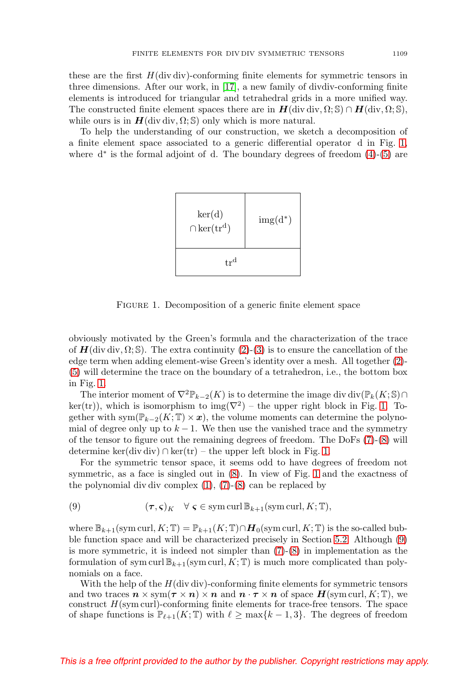<span id="page-2-2"></span>these are the first  $H$ (div div)-conforming finite elements for symmetric tensors in three dimensions. After our work, in [\[17\]](#page-34-2), a new family of divdiv-conforming finite elements is introduced for triangular and tetrahedral grids in a more unified way. The constructed finite element spaces there are in  $H(\text{div div}, \Omega; \mathbb{S}) \cap H(\text{div}, \Omega; \mathbb{S}),$ while ours is in  $H$ (div div,  $\Omega$ ; S) only which is more natural.

To help the understanding of our construction, we sketch a decomposition of a finite element space associated to a generic differential operator d in Fig. [1,](#page-2-0) where  $d^*$  is the formal adjoint of d. The boundary degrees of freedom  $(4)-(5)$  $(4)-(5)$  $(4)-(5)$  are



<span id="page-2-0"></span>FIGURE 1. Decomposition of a generic finite element space

obviously motivated by the Green's formula and the characterization of the trace of  $H(\text{div div}, \Omega; \mathbb{S})$ . The extra continuity [\(2\)](#page-1-4)-[\(3\)](#page-1-5) is to ensure the cancellation of the edge term when adding element-wise Green's identity over a mesh. All together [\(2\)](#page-1-4)- [\(5\)](#page-1-3) will determine the trace on the boundary of a tetrahedron, i.e., the bottom box in Fig. [1.](#page-2-0)

The interior moment of  $\nabla^2 \mathbb{P}_{k-2}(K)$  is to determine the image div div $(\mathbb{P}_k(K; \mathbb{S}) \cap$ ker(tr)), which is isomorphism to img( $\nabla^2$ ) – the upper right block in Fig. [1.](#page-2-0) Together with  $sym(\mathbb{P}_{k-2}(K;\mathbb{T})\times\boldsymbol{x})$ , the volume moments can determine the polynomial of degree only up to  $k - 1$ . We then use the vanished trace and the symmetry of the tensor to figure out the remaining degrees of freedom. The DoFs [\(7\)](#page-1-6)-[\(8\)](#page-1-1) will determine ker(div div) ∩ ker(tr) – the upper left block in Fig. [1.](#page-2-0)

For the symmetric tensor space, it seems odd to have degrees of freedom not symmetric, as a face is singled out in [\(8\)](#page-1-1). In view of Fig. [1](#page-2-0) and the exactness of the polynomial div div complex  $(1)$ ,  $(7)-(8)$  $(7)-(8)$  $(7)-(8)$  can be replaced by

<span id="page-2-1"></span>(9) 
$$
(\tau, \varsigma)_K \quad \forall \ \varsigma \in \mathrm{sym\,curl}\, \mathbb{B}_{k+1}(\mathrm{sym\,curl}, K; \mathbb{T}),
$$

where  $\mathbb{B}_{k+1}(\text{sym curl}, K; \mathbb{T}) = \mathbb{P}_{k+1}(K; \mathbb{T}) \cap H_0(\text{sym curl}, K; \mathbb{T})$  is the so-called bubble function space and will be characterized precisely in Section [5.2.](#page-19-0) Although [\(9\)](#page-2-1) is more symmetric, it is indeed not simpler than [\(7\)](#page-1-6)-[\(8\)](#page-1-1) in implementation as the formulation of sym curl  $\mathbb{B}_{k+1}(\text{sym curl}, K; \mathbb{T})$  is much more complicated than polynomials on a face.

With the help of the  $H$ (div div)-conforming finite elements for symmetric tensors and two traces  $n \times sym(\tau \times n) \times n$  and  $n \cdot \tau \times n$  of space  $H(\text{sym curl}, K; \mathbb{T})$ , we construct  $H(\text{sym curl})$ -conforming finite elements for trace-free tensors. The space of shape functions is  $\mathbb{P}_{\ell+1}(K;\mathbb{T})$  with  $\ell \ge \max\{k-1,3\}$ . The degrees of freedom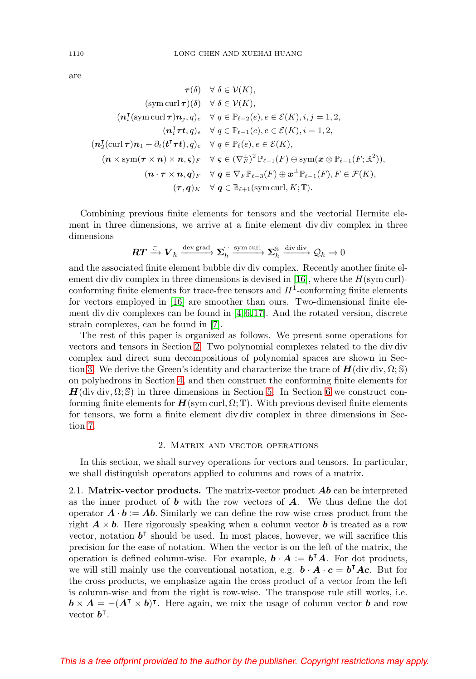<span id="page-3-1"></span>are

$$
\tau(\delta) \quad \forall \ \delta \in \mathcal{V}(K),
$$
  
\n
$$
(\text{sym curl }\tau)(\delta) \quad \forall \ \delta \in \mathcal{V}(K),
$$
  
\n
$$
(\mathbf{n}_i^{\text{T}}(\text{sym curl }\tau)\mathbf{n}_j, q)_e \quad \forall \ q \in \mathbb{P}_{\ell-2}(e), e \in \mathcal{E}(K), i, j = 1, 2,
$$
  
\n
$$
(\mathbf{n}_i^{\text{T}}\tau\mathbf{t}, q)_e \quad \forall \ q \in \mathbb{P}_{\ell-1}(e), e \in \mathcal{E}(K), i = 1, 2,
$$
  
\n
$$
(\mathbf{n}_2^{\text{T}}(\text{curl }\tau)\mathbf{n}_1 + \partial_t(\mathbf{t}^{\text{T}}\tau\mathbf{t}), q)_e \quad \forall \ q \in \mathbb{P}_{\ell}(e), e \in \mathcal{E}(K),
$$
  
\n
$$
(\mathbf{n} \times \text{sym}(\tau \times \mathbf{n}) \times \mathbf{n}, \varsigma)_F \quad \forall \ \varsigma \in (\nabla_F^{\perp})^2 \mathbb{P}_{\ell-1}(F) \oplus \text{sym}(\mathbf{x} \otimes \mathbb{P}_{\ell-1}(F; \mathbb{R}^2)),
$$
  
\n
$$
(\mathbf{n} \cdot \tau \times \mathbf{n}, q)_F \quad \forall \ q \in \nabla_F \mathbb{P}_{\ell-3}(F) \oplus \mathbf{x}^{\perp} \mathbb{P}_{\ell-1}(F), F \in \mathcal{F}(K),
$$
  
\n
$$
(\tau, q)_K \quad \forall \ q \in \mathbb{B}_{\ell+1}(\text{sym curl}, K; \mathbb{T}).
$$

Combining previous finite elements for tensors and the vectorial Hermite element in three dimensions, we arrive at a finite element div div complex in three dimensions

$$
\pmb{RT} \xrightarrow{\subset} \pmb{V}_h \xrightarrow{\text{dev grad}} \pmb{\Sigma}_h^{\mathbb{T}} \xrightarrow{\text{sym curl}} \pmb{\Sigma}_h^{\mathbb{S}} \xrightarrow{\text{div div } \text{div}} \mathcal{Q}_h \to 0
$$

and the associated finite element bubble div div complex. Recently another finite el-ement div div complex in three dimensions is devised in [\[16\]](#page-34-3), where the  $H(\text{sym curl})$ conforming finite elements for trace-free tensors and  $H<sup>1</sup>$ -conforming finite elements for vectors employed in [\[16\]](#page-34-3) are smoother than ours. Two-dimensional finite element div div complexes can be found in [\[4,](#page-34-4) [6,](#page-34-1) [17\]](#page-34-2). And the rotated version, discrete strain complexes, can be found in [\[7\]](#page-34-0).

The rest of this paper is organized as follows. We present some operations for vectors and tensors in Section [2.](#page-3-0) Two polynomial complexes related to the div div complex and direct sum decompositions of polynomial spaces are shown in Sec-tion [3.](#page-6-0) We derive the Green's identity and characterize the trace of  $H(\text{div div}, \Omega; \mathbb{S})$ on polyhedrons in Section [4,](#page-13-0) and then construct the conforming finite elements for  $H(\text{div div}, \Omega; \mathbb{S})$  in three dimensions in Section [5.](#page-16-0) In Section [6](#page-28-0) we construct conforming finite elements for  $H(\text{sym curl}, \Omega; \mathbb{T})$ . With previous devised finite elements for tensors, we form a finite element div div complex in three dimensions in Section [7.](#page-31-0)

## 2. Matrix and vector operations

<span id="page-3-0"></span>In this section, we shall survey operations for vectors and tensors. In particular, we shall distinguish operators applied to columns and rows of a matrix.

2.1. **Matrix-vector products.** The matrix-vector product *Ab* can be interpreted as the inner product of *b* with the row vectors of *A*. We thus define the dot operator  $\mathbf{A} \cdot \mathbf{b} := \mathbf{A} \mathbf{b}$ . Similarly we can define the row-wise cross product from the right  $A \times b$ . Here rigorously speaking when a column vector **b** is treated as a row vector, notation  $b^{\dagger}$  should be used. In most places, however, we will sacrifice this precision for the ease of notation. When the vector is on the left of the matrix, the operation is defined column-wise. For example,  $\mathbf{b} \cdot \mathbf{A} := \mathbf{b}^{\mathsf{T}} \mathbf{A}$ . For dot products, we will still mainly use the conventional notation, e.g.  $\mathbf{b} \cdot \mathbf{A} \cdot \mathbf{c} = \mathbf{b}^{\mathsf{T}} \mathbf{A} \mathbf{c}$ . But for the cross products, we emphasize again the cross product of a vector from the left is column-wise and from the right is row-wise. The transpose rule still works, i.e.  $\mathbf{b} \times \mathbf{A} = -(\mathbf{A}^{\mathsf{T}} \times \mathbf{b})^{\mathsf{T}}$ . Here again, we mix the usage of column vector  $\mathbf{b}$  and row vector  $b^{\dagger}$ .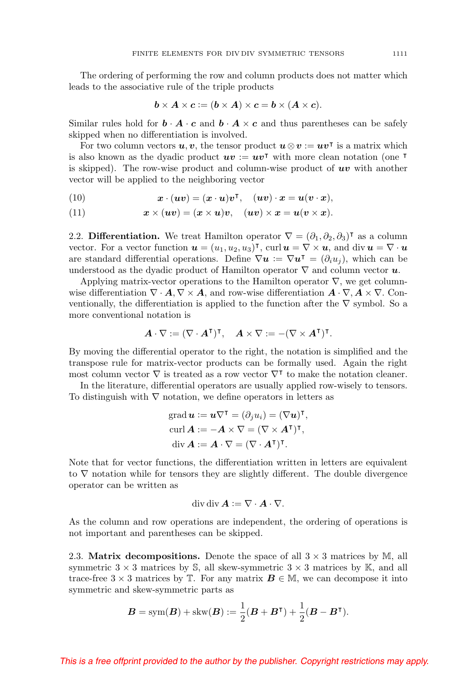The ordering of performing the row and column products does not matter which leads to the associative rule of the triple products

$$
\mathbf{b} \times \mathbf{A} \times \mathbf{c} := (\mathbf{b} \times \mathbf{A}) \times \mathbf{c} = \mathbf{b} \times (\mathbf{A} \times \mathbf{c}).
$$

Similar rules hold for  $\mathbf{b} \cdot \mathbf{A} \cdot \mathbf{c}$  and  $\mathbf{b} \cdot \mathbf{A} \times \mathbf{c}$  and thus parentheses can be safely skipped when no differentiation is involved.

For two column vectors  $u, v$ , the tensor product  $u \otimes v := uv^{\intercal}$  is a matrix which is also known as the dyadic product  $uv := uv^{\dagger}$  with more clean notation (one  $\dagger$ is skipped). The row-wise product and column-wise product of *uv* with another vector will be applied to the neighboring vector

<span id="page-4-0"></span>(10) 
$$
\boldsymbol{x} \cdot (\boldsymbol{u}\boldsymbol{v}) = (\boldsymbol{x} \cdot \boldsymbol{u})\boldsymbol{v}^{\mathsf{T}}, \quad (\boldsymbol{u}\boldsymbol{v}) \cdot \boldsymbol{x} = \boldsymbol{u}(\boldsymbol{v} \cdot \boldsymbol{x}),
$$

<span id="page-4-1"></span>(11)  $\boldsymbol{x} \times (\boldsymbol{u}\boldsymbol{v}) = (\boldsymbol{x} \times \boldsymbol{u})\boldsymbol{v}, \quad (\boldsymbol{u}\boldsymbol{v}) \times \boldsymbol{x} = \boldsymbol{u}(\boldsymbol{v} \times \boldsymbol{x}).$ 

2.2. **Differentiation.** We treat Hamilton operator  $\nabla = (\partial_1, \partial_2, \partial_3)^\intercal$  as a column vector. For a vector function  $u = (u_1, u_2, u_3)^\intercal$ , curl  $u = \nabla \times u$ , and div  $u = \nabla \cdot u$ are standard differential operations. Define  $\nabla u = \nabla u^{\dagger} = (\partial_i u_j)$ , which can be understood as the dyadic product of Hamilton operator  $\nabla$  and column vector  $\boldsymbol{u}$ .

Applying matrix-vector operations to the Hamilton operator  $\nabla$ , we get columnwise differentiation  $\nabla \cdot \mathbf{A}, \nabla \times \mathbf{A}$ , and row-wise differentiation  $\mathbf{A} \cdot \nabla, \mathbf{A} \times \nabla$ . Conventionally, the differentiation is applied to the function after the  $\nabla$  symbol. So a more conventional notation is

$$
\boldsymbol{A} \cdot \nabla := (\nabla \cdot \boldsymbol{A}^\intercal)^\intercal, \quad \boldsymbol{A} \times \nabla := -(\nabla \times \boldsymbol{A}^\intercal)^\intercal.
$$

By moving the differential operator to the right, the notation is simplified and the transpose rule for matrix-vector products can be formally used. Again the right most column vector  $\nabla$  is treated as a row vector  $\nabla^{\intercal}$  to make the notation cleaner.

In the literature, differential operators are usually applied row-wisely to tensors. To distinguish with  $\nabla$  notation, we define operators in letters as

grad 
$$
\mathbf{u} := \mathbf{u} \nabla^{\mathsf{T}} = (\partial_j u_i) = (\nabla \mathbf{u})^{\mathsf{T}},
$$
  
\ncurl  $\mathbf{A} := -\mathbf{A} \times \nabla = (\nabla \times \mathbf{A}^{\mathsf{T}})^{\mathsf{T}},$   
\ndiv  $\mathbf{A} := \mathbf{A} \cdot \nabla = (\nabla \cdot \mathbf{A}^{\mathsf{T}})^{\mathsf{T}}.$ 

Note that for vector functions, the differentiation written in letters are equivalent to ∇ notation while for tensors they are slightly different. The double divergence operator can be written as

$$
\operatorname{div} \operatorname{div} \mathbf{A} := \nabla \cdot \mathbf{A} \cdot \nabla.
$$

As the column and row operations are independent, the ordering of operations is not important and parentheses can be skipped.

2.3. **Matrix decompositions.** Denote the space of all  $3 \times 3$  matrices by M, all symmetric  $3 \times 3$  matrices by S, all skew-symmetric  $3 \times 3$  matrices by K, and all trace-free  $3 \times 3$  matrices by T. For any matrix  $\mathbf{B} \in \mathbb{M}$ , we can decompose it into symmetric and skew-symmetric parts as

$$
\boldsymbol{B} = \text{sym}(\boldsymbol{B}) + \text{skw}(\boldsymbol{B}) := \frac{1}{2}(\boldsymbol{B} + \boldsymbol{B}^{\mathsf{T}}) + \frac{1}{2}(\boldsymbol{B} - \boldsymbol{B}^{\mathsf{T}}).
$$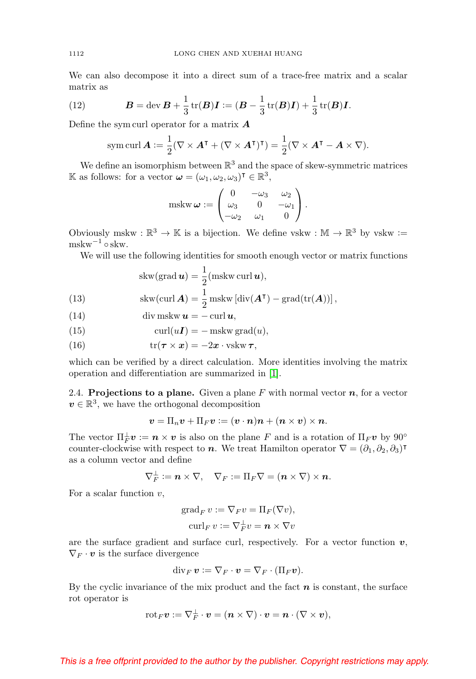We can also decompose it into a direct sum of a trace-free matrix and a scalar matrix as

<span id="page-5-4"></span>(12) 
$$
B = \text{dev } B + \frac{1}{3} \text{tr}(B)I := (B - \frac{1}{3} \text{tr}(B)I) + \frac{1}{3} \text{tr}(B)I.
$$

Define the sym curl operator for a matrix *A*

sym curl 
$$
\mathbf{A} := \frac{1}{2} (\nabla \times \mathbf{A}^{\mathsf{T}} + (\nabla \times \mathbf{A}^{\mathsf{T}})^{\mathsf{T}}) = \frac{1}{2} (\nabla \times \mathbf{A}^{\mathsf{T}} - \mathbf{A} \times \nabla).
$$

We define an isomorphism between  $\mathbb{R}^3$  and the space of skew-symmetric matrices K as follows: for a vector  $\boldsymbol{\omega} = (\omega_1, \omega_2, \omega_3)^\intercal \in \mathbb{R}^3$ ,

$$
\text{mskw}\,\boldsymbol{\omega} := \begin{pmatrix} 0 & -\omega_3 & \omega_2 \\ \omega_3 & 0 & -\omega_1 \\ -\omega_2 & \omega_1 & 0 \end{pmatrix}.
$$

Obviously mskw :  $\mathbb{R}^3 \to \mathbb{K}$  is a bijection. We define vskw :  $\mathbb{M} \to \mathbb{R}^3$  by vskw :=  $m$ skw $^{-1}$  ∘ skw.

We will use the following identities for smooth enough vector or matrix functions

(13) 
$$
skw(grad \mathbf{u}) = \frac{1}{2} (mskw curl \mathbf{u}),
$$

$$
skw(curl \mathbf{A}) = \frac{1}{2} mskw [div(\mathbf{A}^{\mathsf{T}}) - grad(tr(\mathbf{A}))],
$$

<span id="page-5-2"></span><span id="page-5-1"></span>(14) 
$$
\operatorname{div} \operatorname{mskw} \boldsymbol{u} = -\operatorname{curl} \boldsymbol{u},
$$

<span id="page-5-0"></span>(15) 
$$
\operatorname{curl}(u\mathbf{I}) = -\operatorname{mskw}\operatorname{grad}(u),
$$

<span id="page-5-3"></span>(16) 
$$
\operatorname{tr}(\boldsymbol{\tau} \times \boldsymbol{x}) = -2\boldsymbol{x} \cdot \operatorname{vskw} \boldsymbol{\tau},
$$

which can be verified by a direct calculation. More identities involving the matrix operation and differentiation are summarized in [\[1\]](#page-34-5).

2.4. **Projections to a plane.** Given a plane  $F$  with normal vector  $n$ , for a vector  $v \in \mathbb{R}^3$ , we have the orthogonal decomposition

$$
\boldsymbol{v}=\Pi_n\boldsymbol{v}+\Pi_F\boldsymbol{v} \coloneqq (\boldsymbol{v}\cdot\boldsymbol{n})\boldsymbol{n} + (\boldsymbol{n}\times\boldsymbol{v})\times\boldsymbol{n}.
$$

The vector  $\Pi_F^{\perp} \bm{v} := \bm{n} \times \bm{v}$  is also on the plane F and is a rotation of  $\Pi_F \bm{v}$  by  $90^{\circ}$ counter-clockwise with respect to *n*. We treat Hamilton operator  $\nabla = (\partial_1, \partial_2, \partial_3)^\intercal$ as a column vector and define

$$
\nabla_F^{\perp} \coloneqq \boldsymbol{n} \times \nabla, \quad \nabla_F := \Pi_F \nabla = (\boldsymbol{n} \times \nabla) \times \boldsymbol{n}.
$$

For a scalar function  $v$ ,

$$
\operatorname{grad}_{F} v := \nabla_{F} v = \Pi_{F}(\nabla v),
$$

$$
\operatorname{curl}_{F} v := \nabla_{F}^{\perp} v = \mathbf{n} \times \nabla v
$$

are the surface gradient and surface curl, respectively. For a vector function  $v$ ,  $\nabla_F \cdot \mathbf{v}$  is the surface divergence

$$
\operatorname{div}_F v := \nabla_F \cdot v = \nabla_F \cdot (\Pi_F v).
$$

By the cyclic invariance of the mix product and the fact *n* is constant, the surface rot operator is

$$
\mathrm{rot}_F\boldsymbol v:=\nabla_F^{\perp}\cdot\boldsymbol v=(\boldsymbol n\times\nabla)\cdot\boldsymbol v=\boldsymbol n\cdot(\nabla\times\boldsymbol v),
$$

<span id="page-5-5"></span>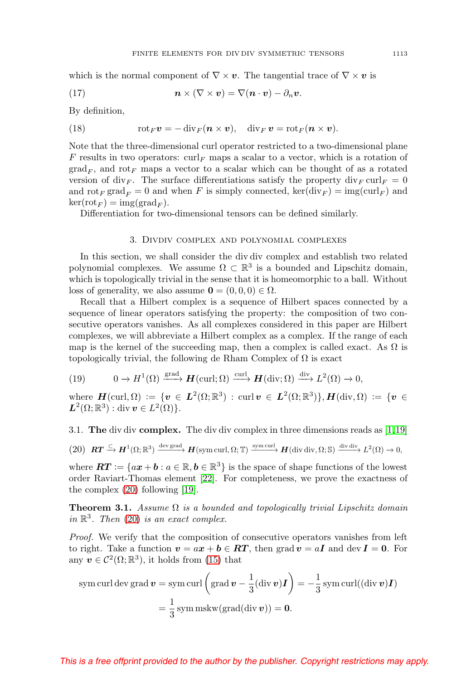<span id="page-6-6"></span>which is the normal component of  $\nabla \times v$ . The tangential trace of  $\nabla \times v$  is

<span id="page-6-5"></span>(17) 
$$
\mathbf{n} \times (\nabla \times \mathbf{v}) = \nabla (\mathbf{n} \cdot \mathbf{v}) - \partial_n \mathbf{v}.
$$

By definition,

<span id="page-6-4"></span>(18) 
$$
\operatorname{rot}_F \boldsymbol{v} = -\operatorname{div}_F (\boldsymbol{n} \times \boldsymbol{v}), \quad \operatorname{div}_F \boldsymbol{v} = \operatorname{rot}_F (\boldsymbol{n} \times \boldsymbol{v}).
$$

Note that the three-dimensional curl operator restricted to a two-dimensional plane F results in two operators:  $\operatorname{curl}_F$  maps a scalar to a vector, which is a rotation of  $\text{grad}_F$ , and rot<sub>F</sub> maps a vector to a scalar which can be thought of as a rotated version of div<sub>F</sub>. The surface differentiations satisfy the property  $\text{div}_F \text{curl}_F = 0$ and  $\mathrm{rot}_F \mathrm{grad}_F = 0$  and when F is simply connected,  $\mathrm{ker}(\mathrm{div}_F) = \mathrm{img}(\mathrm{curl}_F)$  and  $\ker(\mathrm{rot}_F) = \mathrm{img}(\mathrm{grad}_F).$ 

<span id="page-6-0"></span>Differentiation for two-dimensional tensors can be defined similarly.

#### 3. Divdiv complex and polynomial complexes

In this section, we shall consider the div div complex and establish two related polynomial complexes. We assume  $\Omega \subset \mathbb{R}^3$  is a bounded and Lipschitz domain, which is topologically trivial in the sense that it is homeomorphic to a ball. Without loss of generality, we also assume  $\mathbf{0} = (0, 0, 0) \in \Omega$ .

Recall that a Hilbert complex is a sequence of Hilbert spaces connected by a sequence of linear operators satisfying the property: the composition of two consecutive operators vanishes. As all complexes considered in this paper are Hilbert complexes, we will abbreviate a Hilbert complex as a complex. If the range of each map is the kernel of the succeeding map, then a complex is called exact. As  $\Omega$  is topologically trivial, the following de Rham Complex of  $\Omega$  is exact

<span id="page-6-2"></span>(19) 
$$
0 \to H^{1}(\Omega) \xrightarrow{\text{grad}} \mathbf{H}(\text{curl};\Omega) \xrightarrow{\text{curl}} \mathbf{H}(\text{div};\Omega) \xrightarrow{\text{div}} L^{2}(\Omega) \to 0,
$$

where  $\mathbf{H}(\text{curl}, \Omega) := \{ \mathbf{v} \in L^2(\Omega; \mathbb{R}^3) : \text{curl } \mathbf{v} \in L^2(\Omega; \mathbb{R}^3) \}, \mathbf{H}(\text{div}, \Omega) := \{ \mathbf{v} \in \Omega \}$  $L^2(\Omega;\mathbb{R}^3):$  div  $v\in L^2(\Omega)$ .

3.1. **The** div div **complex.** The div div complex in three dimensions reads as [\[1,](#page-34-5)[19\]](#page-35-1)

<span id="page-6-1"></span> $(20)$   $RT \xrightarrow{\subset} H^1(\Omega;\mathbb{R}^3) \xrightarrow{\text{dev grad}} H(\text{sym curl},\Omega;\mathbb{T}) \xrightarrow{\text{sym curl}} H(\text{div div},\Omega;\mathbb{S}) \xrightarrow{\text{div div}} L^2(\Omega) \to 0,$ 

where  $\boldsymbol{RT} := \{ax + b : a \in \mathbb{R}, b \in \mathbb{R}^3\}$  is the space of shape functions of the lowest order Raviart-Thomas element [\[22\]](#page-35-2). For completeness, we prove the exactness of the complex [\(20\)](#page-6-1) following [\[19\]](#page-35-1).

<span id="page-6-3"></span>**Theorem 3.1.** Assume  $\Omega$  is a bounded and topologically trivial Lipschitz domain in  $\mathbb{R}^3$ . Then [\(20\)](#page-6-1) is an exact complex.

Proof. We verify that the composition of consecutive operators vanishes from left to right. Take a function  $v = ax + b \in RT$ , then grad  $v = aI$  and dev  $I = 0$ . For any  $v \in C^2(\Omega;\mathbb{R}^3)$ , it holds from [\(15\)](#page-5-0) that

sym curl dev grad 
$$
\mathbf{v} = \text{sym curl}\left(\text{grad }\mathbf{v} - \frac{1}{3}(\text{div }\mathbf{v})\mathbf{I}\right) = -\frac{1}{3}\text{sym curl}((\text{div }\mathbf{v})\mathbf{I})
$$
  
=  $\frac{1}{3}\text{sym mskw}(\text{grad}(\text{div }\mathbf{v})) = \mathbf{0}.$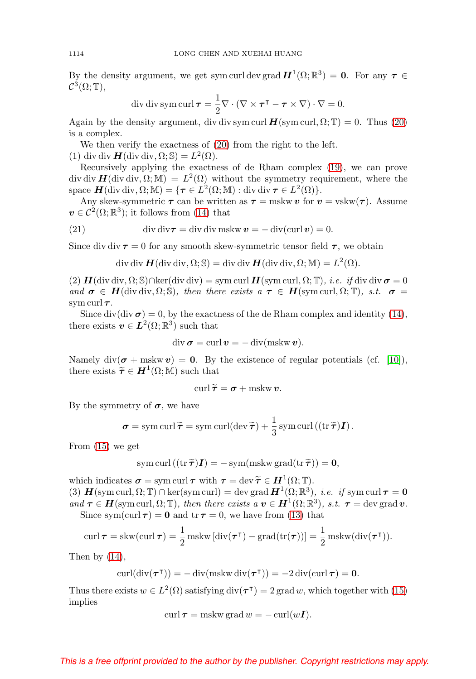By the density argument, we get sym curl dev grad  $H^1(\Omega;\mathbb{R}^3) = 0$ . For any  $\tau \in$  $\mathcal{C}^3(\Omega; \mathbb{T}),$ 

div div sym curl 
$$
\tau = \frac{1}{2} \nabla \cdot (\nabla \times \tau^{\mathsf{T}} - \tau \times \nabla) \cdot \nabla = 0.
$$

Again by the density argument, div div sym curl  $H(\text{sym curl}, \Omega; \mathbb{T}) = 0$ . Thus [\(20\)](#page-6-1) is a complex.

We then verify the exactness of [\(20\)](#page-6-1) from the right to the left.

(1) div div  $H$ (div div,  $\Omega$ ; S) =  $L^2(\Omega)$ .

Recursively applying the exactness of de Rham complex [\(19\)](#page-6-2), we can prove div div  $H$ (div div,  $\Omega$ ; M) =  $L^2(\Omega)$  without the symmetry requirement, where the space  $H$ (div div,  $\Omega$ ; M) = { $\tau \in L^2(\Omega; M)$  : div div  $\tau \in L^2(\Omega)$  }.

Any skew-symmetric  $\tau$  can be written as  $\tau = \text{mskw } v$  for  $v = \text{vskw}(\tau)$ . Assume  $v \in C^2(\Omega;\mathbb{R}^3)$ ; it follows from [\(14\)](#page-5-1) that

<span id="page-7-0"></span>(21) 
$$
\operatorname{div} \operatorname{div} \mathbf{\tau} = \operatorname{div} \operatorname{div} \operatorname{mskw} \mathbf{v} = -\operatorname{div} (\operatorname{curl} \mathbf{v}) = 0.
$$

Since div div  $\tau = 0$  for any smooth skew-symmetric tensor field  $\tau$ , we obtain

div div 
$$
\mathbf{H}
$$
(div div,  $\Omega$ ; S) = div div  $\mathbf{H}$ (div div,  $\Omega$ ; M) =  $L^2(\Omega)$ .

 $(2)$   $\mathbf{H}$ (div div,  $\Omega$ ; S)∩ker(div div) = sym curl  $\mathbf{H}$ (sym curl,  $\Omega$ ; T), *i.e. if* div div  $\sigma = 0$ and  $\sigma \in H(\text{div div}, \Omega; \mathbb{S})$ , then there exists a  $\tau \in H(\text{sym curl}, \Omega; \mathbb{T})$ , s.t.  $\sigma =$ sym curl *τ* .

Since div(div  $\sigma$ ) = 0, by the exactness of the de Rham complex and identity [\(14\)](#page-5-1), there exists  $v \in L^2(\Omega;\mathbb{R}^3)$  such that

$$
\operatorname{div} \sigma = \operatorname{curl} v = -\operatorname{div}(\operatorname{mskw} v).
$$

Namely div( $\sigma$  + mskw  $v$ ) = 0. By the existence of regular potentials (cf. [\[10\]](#page-34-6)), there exists  $\widetilde{\tau} \in H^1(\Omega; \mathbb{M})$  such that

$$
\operatorname{curl} \widetilde{\boldsymbol{\tau}} = \boldsymbol{\sigma} + \operatorname{mskw} \boldsymbol{v}.
$$

By the symmetry of  $\sigma$ , we have

$$
\boldsymbol{\sigma} = \operatorname{sym} \operatorname{curl} \widetilde{\boldsymbol{\tau}} = \operatorname{sym} \operatorname{curl} (\operatorname{dev} \widetilde{\boldsymbol{\tau}}) + \frac{1}{3} \operatorname{sym} \operatorname{curl} ((\operatorname{tr} \widetilde{\boldsymbol{\tau}}) \boldsymbol{I}).
$$

From [\(15\)](#page-5-0) we get

sym curl 
$$
((\operatorname{tr} \widetilde{\boldsymbol{\tau}})\boldsymbol{I}) = -\operatorname{sym}(\operatorname{mskw grad}(\operatorname{tr} \widetilde{\boldsymbol{\tau}})) = 0,
$$

which indicates  $\sigma = \text{sym curl } \tau$  with  $\tau = \text{dev } \widetilde{\tau} \in H^1(\Omega; \mathbb{T}).$ <br>(3)  $H(\text{sym curl } \Omega; \mathbb{T}) \cap \text{ker}(\text{sym curl}) = \text{dev } \text{grad } H^1(\Omega; \mathbb{B}^3).$ (3)  $H(\text{sym curl}, \Omega; \mathbb{T}) \cap \text{ker}(\text{sym curl}) = \text{dev grad } H^1(\Omega; \mathbb{R}^3), \text{ i.e. if } \text{sym curl } \tau = 0$ and  $\tau \in H(\text{sym curl}, \Omega; \mathbb{T})$ , then there exists a  $v \in H^1(\Omega; \mathbb{R}^3)$ , s.t.  $\tau = \text{dev grad } v$ .

Since sym(curl  $\tau$ ) = 0 and tr  $\tau$  = 0, we have from [\(13\)](#page-5-2) that

$$
\operatorname{curl} \boldsymbol{\tau} = \operatorname{skw}(\operatorname{curl} \boldsymbol{\tau}) = \frac{1}{2} \operatorname{mskw} \left[ \operatorname{div}(\boldsymbol{\tau}^{\mathsf{T}}) - \operatorname{grad}(\operatorname{tr}(\boldsymbol{\tau})) \right] = \frac{1}{2} \operatorname{mskw}(\operatorname{div}(\boldsymbol{\tau}^{\mathsf{T}})).
$$

Then by  $(14)$ ,

$$
\operatorname{curl}(\operatorname{div}(\boldsymbol{\tau}^{\mathsf{T}})) = -\operatorname{div}(\operatorname{mskw} \operatorname{div}(\boldsymbol{\tau}^{\mathsf{T}})) = -2\operatorname{div}(\operatorname{curl} \boldsymbol{\tau}) = \mathbf{0}.
$$

Thus there exists  $w \in L^2(\Omega)$  satisfying  $\text{div}(\tau) = 2 \text{ grad } w$ , which together with [\(15\)](#page-5-0) implies

$$
\operatorname{curl} \tau = \operatorname{mskw}\operatorname{grad} w = -\operatorname{curl}(w\mathbf{I}).
$$

<span id="page-7-1"></span>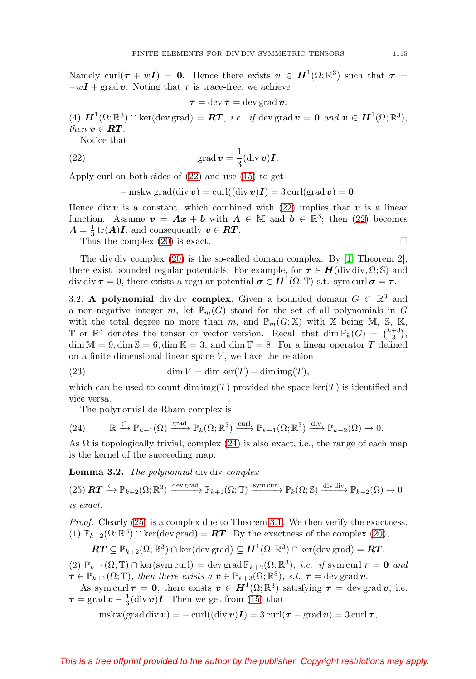<span id="page-8-4"></span>Namely curl( $\tau + wI$ ) = 0. Hence there exists  $v \in H^1(\Omega;\mathbb{R}^3)$  such that  $\tau =$  $-wI + \text{grad } v$ . Noting that  $\tau$  is trace-free, we achieve

$$
\tau = \text{dev}\,\tau = \text{dev}\,\text{grad}\,\boldsymbol{v}.
$$

(4)  $\mathbf{H}^1(\Omega;\mathbb{R}^3) \cap \text{ker}(\text{dev grad}) = \mathbf{R}\mathbf{T}, \text{ i.e. if } \text{dev grad } \mathbf{v} = \mathbf{0} \text{ and } \mathbf{v} \in \mathbf{H}^1(\Omega;\mathbb{R}^3).$ then  $v \in RT$ .

Notice that

<span id="page-8-0"></span>(22) 
$$
\operatorname{grad} \boldsymbol{v} = \frac{1}{3} (\operatorname{div} \boldsymbol{v}) \boldsymbol{I}.
$$

Apply curl on both sides of [\(22\)](#page-8-0) and use [\(15\)](#page-5-0) to get

$$
-\operatorname{mskw}\operatorname{grad}(\operatorname{div}\boldsymbol{v})=\operatorname{curl}((\operatorname{div}\boldsymbol{v})\boldsymbol{I})=3\operatorname{curl}(\operatorname{grad}\boldsymbol{v})=0.
$$

Hence div  $v$  is a constant, which combined with [\(22\)](#page-8-0) implies that  $v$  is a linear function. Assume  $v = Ax + b$  with  $A \in \mathbb{M}$  and  $b \in \mathbb{R}^3$ ; then [\(22\)](#page-8-0) becomes  $A = \frac{1}{3} \text{tr}(A)$ *I*, and consequently  $v \in RT$ .  $\Box$ 

Thus the complex  $(20)$  is exact.

The div div complex [\(20\)](#page-6-1) is the so-called domain complex. By [\[1,](#page-34-5) Theorem 2], there exist bounded regular potentials. For example, for  $\tau \in H(\text{div div}, \Omega; \mathbb{S})$  and div div  $\tau = 0$ , there exists a regular potential  $\sigma \in H^1(\Omega; \mathbb{T})$  s.t. sym curl  $\sigma = \tau$ .

3.2. **A polynomial** div div **complex.** Given a bounded domain  $G \subset \mathbb{R}^3$  and a non-negative integer m, let  $\mathbb{P}_m(G)$  stand for the set of all polynomials in G with the total degree no more than m, and  $\mathbb{P}_m(G; \mathbb{X})$  with X being M, S, K, T or  $\mathbb{R}^3$  denotes the tensor or vector version. Recall that  $\dim \mathbb{P}_k(G) = \binom{k+3}{3}$ ,  $\dim \mathbb{M} = 9, \dim \mathbb{S} = 6, \dim \mathbb{K} = 3, \text{ and } \dim \mathbb{T} = 8.$  For a linear operator T defined on a finite dimensional linear space  $V$ , we have the relation

<span id="page-8-3"></span>(23) 
$$
\dim V = \dim \ker(T) + \dim \operatorname{img}(T),
$$

which can be used to count dim img(T) provided the space ker(T) is identified and vice versa.

The polynomial de Rham complex is

<span id="page-8-1"></span>
$$
(24) \qquad \mathbb{R} \xrightarrow{\subset} \mathbb{P}_{k+1}(\Omega) \xrightarrow{\text{grad}} \mathbb{P}_k(\Omega; \mathbb{R}^3) \xrightarrow{\text{curl}} \mathbb{P}_{k-1}(\Omega; \mathbb{R}^3) \xrightarrow{\text{div}} \mathbb{P}_{k-2}(\Omega) \to 0.
$$

As  $\Omega$  is topologically trivial, complex [\(24\)](#page-8-1) is also exact, i.e., the range of each map is the kernel of the succeeding map.

**Lemma 3.2.** The polynomial div div complex

<span id="page-8-2"></span>
$$
(25) \mathbf{RT} \xrightarrow{\subset} \mathbb{P}_{k+2}(\Omega; \mathbb{R}^3) \xrightarrow{\text{dev grad}} \mathbb{P}_{k+1}(\Omega; \mathbb{T}) \xrightarrow{\text{sym curl}} \mathbb{P}_k(\Omega; \mathbb{S}) \xrightarrow{\text{div div div}} \mathbb{P}_{k-2}(\Omega) \to 0
$$
  
is exact.

Proof. Clearly [\(25\)](#page-8-2) is a complex due to Theorem [3.1.](#page-6-3) We then verify the exactness. (1)  $\mathbb{P}_{k+2}(\Omega;\mathbb{R}^3) \cap \text{ker}(\text{dev grad}) = RT$ . By the exactness of the complex [\(20\)](#page-6-1),

$$
\boldsymbol{RT} \subseteq \mathbb P_{k+2}(\Omega;\mathbb R^3)\cap\ker(\text{dev grad})\subseteq \boldsymbol{H}^1(\Omega;\mathbb R^3)\cap\ker(\text{dev grad})=\boldsymbol{RT}.
$$

(2)  $\mathbb{P}_{k+1}(\Omega; \mathbb{T}) \cap \ker(\text{sym curl}) = \text{dev grad } \mathbb{P}_{k+2}(\Omega; \mathbb{R}^3), \text{ i.e. if } \text{sym curl } \tau = 0 \text{ and }$  $\tau \in \mathbb{P}_{k+1}(\Omega;\mathbb{T})$ , then there exists  $a \mathbf{v} \in \mathbb{P}_{k+2}(\Omega;\mathbb{R}^3)$ , *s.t.*  $\tau = \text{dev grad } v$ .

As sym curl  $\tau = 0$ , there exists  $v \in H^1(\Omega;\mathbb{R}^3)$  satisfying  $\tau = \text{dev grad } v$ , i.e.  $\tau = \text{grad } v - \frac{1}{3} (\text{div } v) I$ . Then we get from [\(15\)](#page-5-0) that

$$
\mathrm{mskw}(\mathrm{grad\,div\boldsymbol{v}})=-\mathrm{curl}((\mathrm{div\,}\boldsymbol{v})\boldsymbol{I})=3\,\mathrm{curl}(\boldsymbol{\tau}-\mathrm{grad\,}\boldsymbol{v})=3\,\mathrm{curl\,}\boldsymbol{\tau},
$$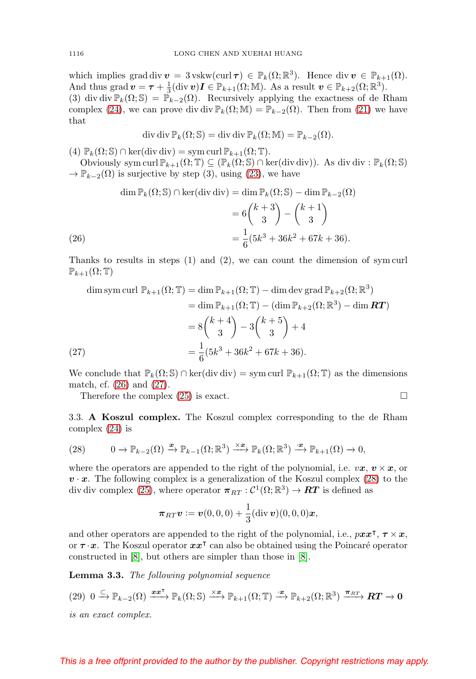<span id="page-9-5"></span>which implies grad div  $v = 3$  vskw(curl  $\tau$ )  $\in \mathbb{P}_k(\Omega;\mathbb{R}^3)$ . Hence div  $v \in \mathbb{P}_{k+1}(\Omega)$ . And thus grad  $\boldsymbol{v} = \boldsymbol{\tau} + \frac{1}{3} (\text{div } \boldsymbol{v}) \boldsymbol{I} \in \mathbb{P}_{k+1}(\Omega; \mathbb{M})$ . As a result  $\boldsymbol{v} \in \mathbb{P}_{k+2}(\Omega; \mathbb{R}^3)$ .

(3) div div  $\mathbb{P}_k(\Omega;\mathbb{S}) = \mathbb{P}_{k-2}(\Omega)$ . Recursively applying the exactness of de Rham complex [\(24\)](#page-8-1), we can prove div div  $\mathbb{P}_k(\Omega;\mathbb{M}) = \mathbb{P}_{k-2}(\Omega)$ . Then from [\(21\)](#page-7-0) we have that

$$
\operatorname{div} \operatorname{div} \mathbb{P}_k(\Omega; \mathbb{S}) = \operatorname{div} \operatorname{div} \mathbb{P}_k(\Omega; \mathbb{M}) = \mathbb{P}_{k-2}(\Omega).
$$

(4)  $\mathbb{P}_k(\Omega; \mathbb{S}) \cap \text{ker}(\text{div div}) = \text{sym curl } \mathbb{P}_{k+1}(\Omega; \mathbb{T}).$ 

Obviously sym curl  $\mathbb{P}_{k+1}(\Omega;\mathbb{T}) \subseteq (\mathbb{P}_{k}(\Omega;\mathbb{S}) \cap \text{ker}(\text{div div})).$  As div div :  $\mathbb{P}_{k}(\Omega;\mathbb{S})$  $\rightarrow \mathbb{P}_{k-2}(\Omega)$  is surjective by step (3), using [\(23\)](#page-8-3), we have

$$
\dim \mathbb{P}_k(\Omega; \mathbb{S}) \cap \ker(\text{div div}) = \dim \mathbb{P}_k(\Omega; \mathbb{S}) - \dim \mathbb{P}_{k-2}(\Omega)
$$

$$
= 6\binom{k+3}{3} - \binom{k+1}{3}
$$

$$
= \frac{1}{6}(5k^3 + 36k^2 + 67k + 36).
$$

<span id="page-9-0"></span>Thanks to results in steps (1) and (2), we can count the dimension of sym curl  $\mathbb{P}_{k+1}(\Omega;\mathbb{T})$ 

dim sym curl 
$$
\mathbb{P}_{k+1}(\Omega; \mathbb{T}) = \dim \mathbb{P}_{k+1}(\Omega; \mathbb{T}) - \dim \operatorname{dev} \operatorname{grad} \mathbb{P}_{k+2}(\Omega; \mathbb{R}^3)
$$
  
\n
$$
= \dim \mathbb{P}_{k+1}(\Omega; \mathbb{T}) - (\dim \mathbb{P}_{k+2}(\Omega; \mathbb{R}^3) - \dim \mathbf{RT})
$$
\n
$$
= 8 {k+4 \choose 3} - 3 {k+5 \choose 3} + 4
$$
\n
$$
= \frac{1}{6} (5k^3 + 36k^2 + 67k + 36).
$$

<span id="page-9-1"></span>We conclude that  $\mathbb{P}_k(\Omega;\mathbb{S}) \cap \text{ker}(\text{div div}) = \text{sym curl } \mathbb{P}_{k+1}(\Omega;\mathbb{T})$  as the dimensions match, cf. [\(26\)](#page-9-0) and [\(27\)](#page-9-1).

Therefore the complex  $(25)$  is exact.  $\Box$ 

3.3. **A Koszul complex.** The Koszul complex corresponding to the de Rham complex 
$$
(24)
$$
 is

<span id="page-9-2"></span>(28) 
$$
0 \to \mathbb{P}_{k-2}(\Omega) \xrightarrow{\boldsymbol{x}} \mathbb{P}_{k-1}(\Omega; \mathbb{R}^3) \xrightarrow{\times \boldsymbol{x}} \mathbb{P}_k(\Omega; \mathbb{R}^3) \xrightarrow{\cdot \boldsymbol{x}} \mathbb{P}_{k+1}(\Omega) \to 0,
$$

where the operators are appended to the right of the polynomial, i.e.  $v\mathbf{x}, \mathbf{v} \times \mathbf{x}$ , or  $v \cdot x$ . The following complex is a generalization of the Koszul complex [\(28\)](#page-9-2) to the div div complex [\(25\)](#page-8-2), where operator  $\pi_{RT} : C^1(\Omega;\mathbb{R}^3) \to RT$  is defined as

$$
\boldsymbol{\pi}_{RT}\boldsymbol{v} \coloneqq \boldsymbol{v}(0,0,0) + \frac{1}{3}(\text{div }\boldsymbol{v})(0,0,0)\boldsymbol{x},
$$

and other operators are appended to the right of the polynomial, i.e.,  $pxx^{\dagger}$ ,  $\tau \times x$ , or  $\tau \cdot x$ . The Koszul operator  $xx^{\dagger}$  can also be obtained using the Poincaré operator constructed in [\[8\]](#page-34-7), but others are simpler than those in [\[8\]](#page-34-7).

<span id="page-9-4"></span>**Lemma 3.3.** The following polynomial sequence

<span id="page-9-3"></span>
$$
(29) \ 0 \xrightarrow{\subset} \mathbb{P}_{k-2}(\Omega) \xrightarrow{\boldsymbol{x}\boldsymbol{x}^{\mathsf{T}}} \mathbb{P}_{k}(\Omega;\mathbb{S}) \xrightarrow{\times \boldsymbol{x}} \mathbb{P}_{k+1}(\Omega;\mathbb{T}) \xrightarrow{\cdot \boldsymbol{x}} \mathbb{P}_{k+2}(\Omega;\mathbb{R}^3) \xrightarrow{\boldsymbol{\pi}_{RT}} \boldsymbol{RT} \to \boldsymbol{0}
$$

is an exact complex.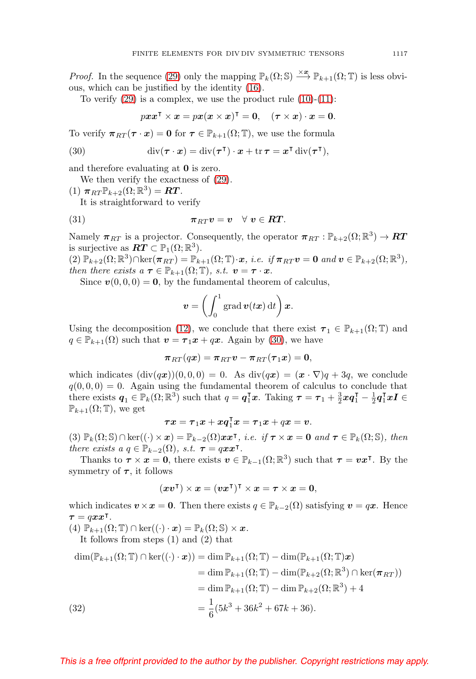*Proof.* In the sequence [\(29\)](#page-9-3) only the mapping  $\mathbb{P}_k(\Omega; \mathbb{S}) \stackrel{\times x}{\longrightarrow} \mathbb{P}_{k+1}(\Omega; \mathbb{T})$  is less obvious, which can be justified by the identity [\(16\)](#page-5-3).

To verify  $(29)$  is a complex, we use the product rule  $(10)-(11)$  $(10)-(11)$  $(10)-(11)$ :

$$
pxx^{\intercal}\times x = px(x\times x)^{\intercal} = 0, \quad (\tau\times x)\cdot x = 0.
$$

To verify  $\pi_{RT}(\tau \cdot x) = 0$  for  $\tau \in \mathbb{P}_{k+1}(\Omega; \mathbb{T})$ , we use the formula

<span id="page-10-0"></span>(30) 
$$
\operatorname{div}(\boldsymbol{\tau}\cdot\boldsymbol{x})=\operatorname{div}(\boldsymbol{\tau}^{\mathsf{T}})\cdot\boldsymbol{x}+\operatorname{tr}\boldsymbol{\tau}=\boldsymbol{x}^{\mathsf{T}}\operatorname{div}(\boldsymbol{\tau}^{\mathsf{T}}),
$$

and therefore evaluating at **0** is zero.

We then verify the exactness of [\(29\)](#page-9-3).

 $(1)$   $\pi_{RT} \mathbb{P}_{k+2}(\Omega;\mathbb{R}^3) = RT$ . It is straightforward to verify

<span id="page-10-2"></span>(31) 
$$
\pi_{RT} v = v \quad \forall \ v \in RT.
$$

Namely  $\pi_{RT}$  is a projector. Consequently, the operator  $\pi_{RT} : \mathbb{P}_{k+2}(\Omega;\mathbb{R}^3) \to RT$ is surjective as  $\mathbf{RT} \subset \mathbb{P}_1(\Omega;\mathbb{R}^3)$ .

 $(2) \mathbb{P}_{k+2}(\Omega; \mathbb{R}^3) \cap \ker(\pi_{RT}) = \mathbb{P}_{k+1}(\Omega; \mathbb{T}) \cdot x$ , *i.e.* if  $\pi_{RT} v = 0$  and  $v \in \mathbb{P}_{k+2}(\Omega; \mathbb{R}^3)$ , then there exists  $a \tau \in \mathbb{P}_{k+1}(\Omega; \mathbb{T})$ , s.t.  $v = \tau \cdot x$ .

Since  $\mathbf{v}(0,0,0) = \mathbf{0}$ , by the fundamental theorem of calculus,

$$
\boldsymbol{v} = \left(\int_0^1 \operatorname{grad} \boldsymbol{v}(t\boldsymbol{x}) \,\mathrm{d}t\right)\boldsymbol{x}.
$$

Using the decomposition [\(12\)](#page-5-4), we conclude that there exist  $\tau_1 \in \mathbb{P}_{k+1}(\Omega;\mathbb{T})$  and  $q \in \mathbb{P}_{k+1}(\Omega)$  such that  $\mathbf{v} = \boldsymbol{\tau}_1 \boldsymbol{x} + q \boldsymbol{x}$ . Again by [\(30\)](#page-10-0), we have

 $\pi_{RT}(qx) = \pi_{RT}v - \pi_{RT}(\tau_1x) = 0,$ 

which indicates  $(\text{div}(q\bm{x}))(0, 0, 0) = 0$ . As  $\text{div}(q\bm{x})=(\bm{x}\cdot\nabla)q+3q$ , we conclude  $q(0, 0, 0) = 0$ . Again using the fundamental theorem of calculus to conclude that there exists  $q_1 \in \mathbb{P}_k(\Omega;\mathbb{R}^3)$  such that  $q = q_1^{\mathsf{T}}x$ . Taking  $\tau = \tau_1 + \frac{3}{2}xq_1^{\mathsf{T}} - \frac{1}{2}q_1^{\mathsf{T}}xI \in$  $\mathbb{P}_{k+1}(\Omega;\mathbb{T})$ , we get

$$
\boldsymbol{\tau}\boldsymbol{x}=\boldsymbol{\tau}_1\boldsymbol{x}+\boldsymbol{xq}_1^{\intercal}\boldsymbol{x}=\boldsymbol{\tau}_1\boldsymbol{x}+q\boldsymbol{x}=\boldsymbol{v}.
$$

 $(3)$   $\mathbb{P}_k(\Omega; \mathbb{S}) \cap \ker((\cdot) \times x) = \mathbb{P}_{k-2}(\Omega) x x^{\intercal},$  *i.e.* if  $\tau \times x = 0$  and  $\tau \in \mathbb{P}_k(\Omega; \mathbb{S}),$  then there exists  $a q \in \mathbb{P}_{k-2}(\Omega)$ , s.t.  $\tau = qx x^{\intercal}$ .

Thanks to  $\tau \times x = 0$ , there exists  $v \in \mathbb{P}_{k-1}(\Omega;\mathbb{R}^3)$  such that  $\tau = vx^{\intercal}$ . By the symmetry of  $\tau$ , it follows

$$
(\boldsymbol{x}\boldsymbol{v}^{\intercal})\times \boldsymbol{x}=(\boldsymbol{v}\boldsymbol{x}^{\intercal})^{\intercal}\times \boldsymbol{x}=\boldsymbol{\tau}\times \boldsymbol{x}=\boldsymbol{0},
$$

which indicates  $v \times x = 0$ . Then there exists  $q \in \mathbb{P}_{k-2}(\Omega)$  satisfying  $v = qx$ . Hence  $\tau = qxx^{\dagger}.$ 

(4)  $\mathbb{P}_{k+1}(\Omega; \mathbb{T}) \cap \ker((\cdot) \cdot x) = \mathbb{P}_{k}(\Omega; \mathbb{S}) \times x.$ 

It follows from steps (1) and (2) that

<span id="page-10-1"></span>
$$
\dim(\mathbb{P}_{k+1}(\Omega; \mathbb{T}) \cap \ker((\cdot) \cdot \boldsymbol{x})) = \dim \mathbb{P}_{k+1}(\Omega; \mathbb{T}) - \dim(\mathbb{P}_{k+1}(\Omega; \mathbb{T})\boldsymbol{x})
$$
  
\n
$$
= \dim \mathbb{P}_{k+1}(\Omega; \mathbb{T}) - \dim(\mathbb{P}_{k+2}(\Omega; \mathbb{R}^3) \cap \ker(\boldsymbol{\pi}_{RT}))
$$
  
\n
$$
= \dim \mathbb{P}_{k+1}(\Omega; \mathbb{T}) - \dim \mathbb{P}_{k+2}(\Omega; \mathbb{R}^3) + 4
$$
  
\n(32)  
\n
$$
= \frac{1}{6}(5k^3 + 36k^2 + 67k + 36).
$$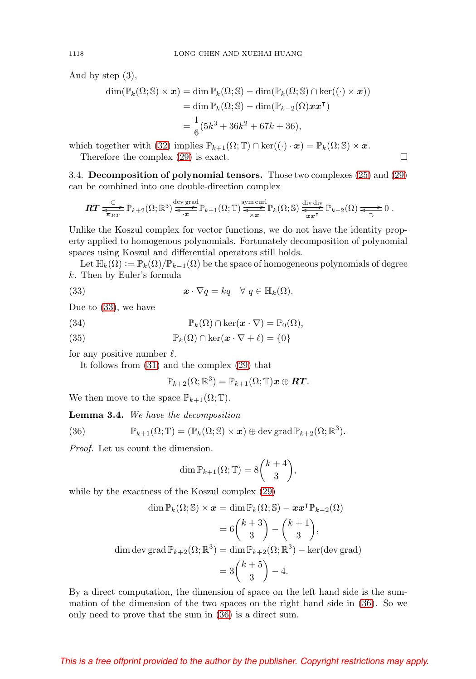And by step (3),

$$
\dim(\mathbb{P}_k(\Omega; \mathbb{S}) \times \mathbf{x}) = \dim \mathbb{P}_k(\Omega; \mathbb{S}) - \dim(\mathbb{P}_k(\Omega; \mathbb{S}) \cap \ker((\cdot) \times \mathbf{x}))
$$
  
= 
$$
\dim \mathbb{P}_k(\Omega; \mathbb{S}) - \dim(\mathbb{P}_{k-2}(\Omega) \mathbf{x} \mathbf{x}^{\mathsf{T}})
$$
  
= 
$$
\frac{1}{6}(5k^3 + 36k^2 + 67k + 36),
$$

which together with [\(32\)](#page-10-1) implies  $\mathbb{P}_{k+1}(\Omega; \mathbb{T}) \cap \text{ker}((\cdot) \cdot x) = \mathbb{P}_k(\Omega; \mathbb{S}) \times x$ .

Therefore the complex  $(29)$  is exact.  $\Box$ 

3.4. **Decomposition of polynomial tensors.** Those two complexes [\(25\)](#page-8-2) and [\(29\)](#page-9-3) can be combined into one double-direction complex

$$
\boldsymbol{RT} \xrightarrow{\subset} \mathbb{P}_{k+2}(\Omega;\mathbb{R}^3) \xrightarrow{\text{dev grad}} \mathbb{P}_{k+1}(\Omega;\mathbb{T}) \xrightarrow{\text{sym curl}} \mathbb{P}_k(\Omega;\mathbb{S}) \xrightarrow{\text{div div } \mathbb{N}} \mathbb{P}_{k-2}(\Omega) \xrightarrow{\subset} 0.
$$

Unlike the Koszul complex for vector functions, we do not have the identity property applied to homogenous polynomials. Fortunately decomposition of polynomial spaces using Koszul and differential operators still holds.

Let  $\mathbb{H}_k(\Omega) := \mathbb{P}_k(\Omega)/\mathbb{P}_{k-1}(\Omega)$  be the space of homogeneous polynomials of degree k. Then by Euler's formula

<span id="page-11-0"></span>(33) 
$$
\boldsymbol{x} \cdot \nabla q = kq \quad \forall \ q \in \mathbb{H}_k(\Omega).
$$

Due to [\(33\)](#page-11-0), we have

<span id="page-11-2"></span>(34) 
$$
\mathbb{P}_k(\Omega) \cap \ker(\boldsymbol{x} \cdot \nabla) = \mathbb{P}_0(\Omega),
$$

<span id="page-11-3"></span>(35)  $\mathbb{P}_k(\Omega) \cap \ker(\mathbf{x} \cdot \nabla + \ell) = \{0\}$ 

for any positive number  $\ell$ .

It follows from [\(31\)](#page-10-2) and the complex [\(29\)](#page-9-3) that

$$
\mathbb{P}_{k+2}(\Omega;\mathbb{R}^3)=\mathbb{P}_{k+1}(\Omega;\mathbb{T})\boldsymbol{x}\oplus\boldsymbol{RT}.
$$

We then move to the space  $\mathbb{P}_{k+1}(\Omega;\mathbb{T})$ .

**Lemma 3.4.** We have the decomposition

<span id="page-11-1"></span>(36) 
$$
\mathbb{P}_{k+1}(\Omega;\mathbb{T})=(\mathbb{P}_k(\Omega;\mathbb{S})\times\boldsymbol{x})\oplus\text{dev grad }\mathbb{P}_{k+2}(\Omega;\mathbb{R}^3).
$$

Proof. Let us count the dimension.

$$
\dim \mathbb{P}_{k+1}(\Omega; \mathbb{T}) = 8 {k+4 \choose 3},
$$

while by the exactness of the Koszul complex [\(29\)](#page-9-3)

$$
\dim \mathbb{P}_k(\Omega; \mathbb{S}) \times \mathbf{x} = \dim \mathbb{P}_k(\Omega; \mathbb{S}) - \mathbf{x} \mathbf{x}^\mathsf{T} \mathbb{P}_{k-2}(\Omega)
$$

$$
= 6 \binom{k+3}{3} - \binom{k+1}{3},
$$

$$
\dim \operatorname{dev} \operatorname{grad} \mathbb{P}_{k+2}(\Omega; \mathbb{R}^3) = \dim \mathbb{P}_{k+2}(\Omega; \mathbb{R}^3) - \ker(\operatorname{dev} \operatorname{grad})
$$

$$
= 3 \binom{k+5}{3} - 4.
$$

By a direct computation, the dimension of space on the left hand side is the summation of the dimension of the two spaces on the right hand side in [\(36\)](#page-11-1). So we only need to prove that the sum in [\(36\)](#page-11-1) is a direct sum.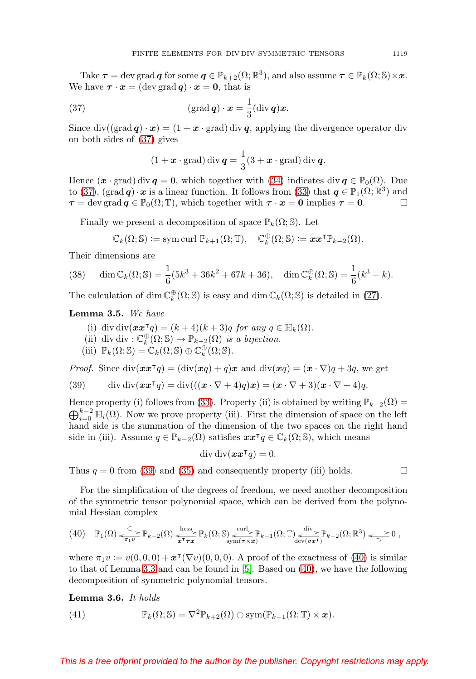<span id="page-12-6"></span>Take  $\tau = \text{dev grad } q$  for some  $q \in \mathbb{P}_{k+2}(\Omega;\mathbb{R}^3)$ , and also assume  $\tau \in \mathbb{P}_k(\Omega;\mathbb{S}) \times \mathbf{x}$ . We have  $\tau \cdot x = (\text{dev grad } q) \cdot x = 0$ , that is

<span id="page-12-0"></span>(37) 
$$
(\operatorname{grad} \boldsymbol{q}) \cdot \boldsymbol{x} = \frac{1}{3} (\operatorname{div} \boldsymbol{q}) \boldsymbol{x}.
$$

Since  $\text{div}((\text{grad}\,\boldsymbol{q})\cdot\boldsymbol{x}) = (1+\boldsymbol{x}\cdot\text{grad}) \,\text{div}\,\boldsymbol{q}$ , applying the divergence operator div on both sides of [\(37\)](#page-12-0) gives

$$
(1 + \boldsymbol{x} \cdot \text{grad}) \operatorname{div} \boldsymbol{q} = \frac{1}{3} (3 + \boldsymbol{x} \cdot \text{grad}) \operatorname{div} \boldsymbol{q}.
$$

Hence  $(\boldsymbol{x} \cdot \text{grad})$  div  $\boldsymbol{q} = 0$ , which together with [\(34\)](#page-11-2) indicates div  $\boldsymbol{q} \in \mathbb{P}_0(\Omega)$ . Due to [\(37\)](#page-12-0), (grad *q*)  $\cdot x$  is a linear function. It follows from [\(33\)](#page-11-0) that  $q \in \mathbb{P}_1(\Omega;\mathbb{R}^3)$  and  $\tau = \text{dev grad } q \in \mathbb{P}_0(\Omega; \mathbb{T})$ , which together with  $\tau \cdot x = 0$  implies  $\tau = 0$ .

Finally we present a decomposition of space  $\mathbb{P}_k(\Omega; \mathbb{S})$ . Let

$$
\mathbb{C}_k(\Omega;\mathbb{S}) := \mathrm{sym} \, \mathrm{curl} \; \mathbb{P}_{k+1}(\Omega;\mathbb{T}), \quad \mathbb{C}_k^{\oplus}(\Omega;\mathbb{S}) := \boldsymbol{x} \boldsymbol{x}^{\intercal} \mathbb{P}_{k-2}(\Omega).
$$

Their dimensions are

<span id="page-12-5"></span>(38) 
$$
\dim \mathbb{C}_k(\Omega; \mathbb{S}) = \frac{1}{6}(5k^3 + 36k^2 + 67k + 36), \quad \dim \mathbb{C}_k^{\oplus}(\Omega; \mathbb{S}) = \frac{1}{6}(k^3 - k).
$$

The calculation of dim  $\mathbb{C}_{k}^{\oplus}(\Omega; \mathbb{S})$  is easy and dim  $\mathbb{C}_{k}(\Omega; \mathbb{S})$  is detailed in [\(27\)](#page-9-1).

# <span id="page-12-4"></span>**Lemma 3.5.** We have

- (i) div div $(xx^{\mathsf{T}}q) = (k+4)(k+3)q$  for any  $q \in \mathbb{H}_k(\Omega)$ .
- (ii) div div :  $\mathbb{C}_{k}^{\oplus}(\Omega; \mathbb{S}) \to \mathbb{P}_{k-2}(\Omega)$  is a bijection.
- (iii)  $\mathbb{P}_k(\Omega; \mathbb{S}) = \mathbb{C}_k(\Omega; \mathbb{S}) \oplus \mathbb{C}_k^{\oplus}(\Omega; \mathbb{S}).$

*Proof.* Since  $\text{div}(\boldsymbol{x}\boldsymbol{x}^{\mathsf{T}}q) = (\text{div}(\boldsymbol{x}q) + q)\boldsymbol{x}$  and  $\text{div}(\boldsymbol{x}q) = (\boldsymbol{x} \cdot \nabla)q + 3q$ , we get

<span id="page-12-1"></span>(39) 
$$
\operatorname{div} \operatorname{div} (\boldsymbol{x} \boldsymbol{x}^\mathsf{T} q) = \operatorname{div} (((\boldsymbol{x} \cdot \nabla + 4)q) \boldsymbol{x}) = (\boldsymbol{x} \cdot \nabla + 3)(\boldsymbol{x} \cdot \nabla + 4)q.
$$

Hence property (i) follows from [\(33\)](#page-11-0). Property (ii) is obtained by writing  $\mathbb{P}_{k-2}(\Omega) =$  $\bigoplus_{i=0}^{k-2} \mathbb{H}_i(\Omega)$ . Now we prove property (iii). First the dimension of space on the left hand side is the summation of the dimension of the two spaces on the right hand side in (iii). Assume  $q \in \mathbb{P}_{k-2}(\Omega)$  satisfies  $xx^{\dagger}q \in \mathbb{C}_{k}(\Omega; \mathbb{S})$ , which means

$$
\operatorname{div} \operatorname{div} (\boldsymbol{x} \boldsymbol{x}^\mathsf{T} \boldsymbol{q}) = 0.
$$

Thus  $q = 0$  from [\(39\)](#page-12-1) and [\(35\)](#page-11-3) and consequently property (iii) holds.  $\Box$ 

For the simplification of the degrees of freedom, we need another decomposition of the symmetric tensor polynomial space, which can be derived from the polynomial Hessian complex

<span id="page-12-2"></span>
$$
(40) \quad \mathbb{P}_1(\Omega) \xrightarrow{\subset} \mathbb{P}_{k+2}(\Omega) \xrightarrow{\text{hess}} \mathbb{P}_k(\Omega; \mathbb{S}) \xrightarrow{\text{curl}} \mathbb{P}_{k-1}(\Omega; \mathbb{T}) \xrightarrow{\text{div}} \mathbb{P}_{k-2}(\Omega; \mathbb{R}^3) \xrightarrow{\sim} 0,
$$

where  $\pi_1 v := v(0,0,0) + \mathbf{x}^\intercal(\nabla v)(0,0,0)$ . A proof of the exactness of [\(40\)](#page-12-2) is similar to that of Lemma [3.3](#page-9-4) and can be found in [\[5\]](#page-34-8). Based on [\(40\)](#page-12-2), we have the following decomposition of symmetric polynomial tensors.

**Lemma 3.6.** It holds

<span id="page-12-3"></span>(41) 
$$
\mathbb{P}_k(\Omega; \mathbb{S}) = \nabla^2 \mathbb{P}_{k+2}(\Omega) \oplus \text{sym}(\mathbb{P}_{k-1}(\Omega; \mathbb{T}) \times \mathbf{x}).
$$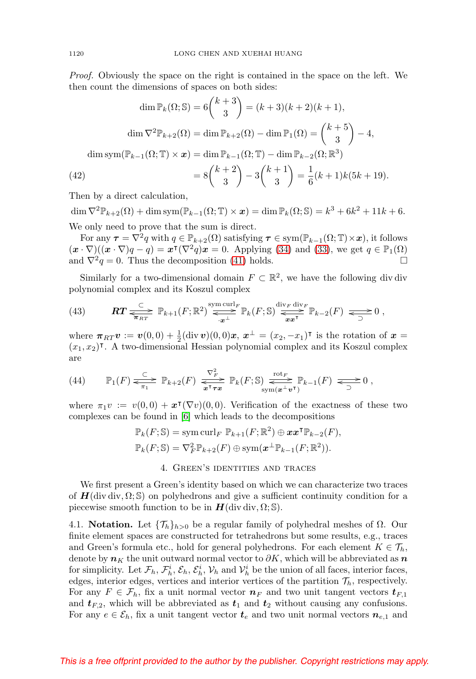<span id="page-13-4"></span>Proof. Obviously the space on the right is contained in the space on the left. We then count the dimensions of spaces on both sides:

$$
\dim \mathbb{P}_k(\Omega; \mathbb{S}) = 6\binom{k+3}{3} = (k+3)(k+2)(k+1),
$$

$$
\dim \nabla^2 \mathbb{P}_{k+2}(\Omega) = \dim \mathbb{P}_{k+2}(\Omega) - \dim \mathbb{P}_1(\Omega) = \binom{k+5}{3} - 4,
$$

$$
\dim \operatorname{sym}(\mathbb{P}_{k-1}(\Omega; \mathbb{T}) \times \mathbf{x}) = \dim \mathbb{P}_{k-1}(\Omega; \mathbb{T}) - \dim \mathbb{P}_{k-2}(\Omega; \mathbb{R}^3)
$$

$$
= 8\binom{k+2}{3} - 3\binom{k+1}{3} = \frac{1}{6}(k+1)k(5k+19).
$$
Then by a direct solution

<span id="page-13-1"></span>Then by a direct calculation,

 $\dim \nabla^2 \mathbb{P}_{k+2}(\Omega) + \dim \text{sym}(\mathbb{P}_{k-1}(\Omega; \mathbb{T}) \times \mathbf{x}) = \dim \mathbb{P}_k(\Omega; \mathbb{S}) = k^3 + 6k^2 + 11k + 6.$ We only need to prove that the sum is direct.

For any  $\tau = \nabla^2 q$  with  $q \in \mathbb{P}_{k+2}(\Omega)$  satisfying  $\tau \in \text{sym}(\mathbb{P}_{k-1}(\Omega;\mathbb{T}) \times \mathbf{x})$ , it follows  $(\mathbf{x} \cdot \nabla)((\mathbf{x} \cdot \nabla)q - q) = \mathbf{x}^{\mathsf{T}}(\nabla^2 q)\mathbf{x} = 0.$  Applying [\(34\)](#page-11-2) and [\(33\)](#page-11-0), we get  $q \in \mathbb{P}_1(\Omega)$ and  $\nabla^2 q = 0$ . Thus the decomposition [\(41\)](#page-12-3) holds.  $\square$ 

Similarly for a two-dimensional domain  $F \subset \mathbb{R}^2$ , we have the following div div polynomial complex and its Koszul complex

<span id="page-13-2"></span>(43) 
$$
\mathbf{RT} \xrightarrow[\pi_{RT}]{\subset} \mathbb{P}_{k+1}(F;\mathbb{R}^2) \xrightarrow{\text{sym curl}_F} \mathbb{P}_k(F;\mathbb{S}) \xrightarrow{\text{div}_F \text{div}_F} \mathbb{P}_{k-2}(F) \xrightarrow[\pi_{2}]{\sim} 0,
$$

where  $\pi_{RT} v := v(0,0) + \frac{1}{2} (div \, v)(0,0)x, \, x^{\perp} = (x_2, -x_1)^{\intercal}$  is the rotation of  $x =$  $(x_1, x_2)$ <sup>T</sup>. A two-dimensional Hessian polynomial complex and its Koszul complex are

<span id="page-13-3"></span>(44) 
$$
\mathbb{P}_1(F) \xrightarrow{\subset} \mathbb{P}_{k+2}(F) \xrightarrow{\nabla_F^2} \mathbb{P}_k(F; \mathbb{S}) \xrightarrow{\text{rot}_F} \mathbb{P}_{k-1}(F) \xrightarrow{\sim} 0,
$$

where  $\pi_1 v := v(0,0) + x^{\mathsf{T}}(\nabla v)(0,0)$ . Verification of the exactness of these two complexes can be found in [\[6\]](#page-34-1) which leads to the decompositions

$$
\mathbb{P}_k(F; \mathbb{S}) = \text{sym curl}_F \ \mathbb{P}_{k+1}(F; \mathbb{R}^2) \oplus \mathbf{x} \mathbf{x}^\mathsf{T} \mathbb{P}_{k-2}(F),
$$

$$
\mathbb{P}_k(F; \mathbb{S}) = \nabla_F^2 \mathbb{P}_{k+2}(F) \oplus \text{sym}(\mathbf{x}^\perp \mathbb{P}_{k-1}(F; \mathbb{R}^2)).
$$

### 4. Green's identities and traces

<span id="page-13-0"></span>We first present a Green's identity based on which we can characterize two traces of  $H$ (div div,  $\Omega$ ; S) on polyhedrons and give a sufficient continuity condition for a piecewise smooth function to be in  $H$ (div div,  $\Omega$ ; S).

4.1. **Notation.** Let  $\{\mathcal{T}_h\}_{h>0}$  be a regular family of polyhedral meshes of  $\Omega$ . Our finite element spaces are constructed for tetrahedrons but some results, e.g., traces and Green's formula etc., hold for general polyhedrons. For each element  $K \in \mathcal{T}_h$ , denote by  $n<sub>K</sub>$  the unit outward normal vector to  $\partial K$ , which will be abbreviated as  $n$ for simplicity. Let  $\mathcal{F}_h$ ,  $\mathcal{F}_h^i$ ,  $\mathcal{E}_h$ ,  $\mathcal{E}_h^i$ ,  $\mathcal{V}_h$  and  $\mathcal{V}_h^i$  be the union of all faces, interior faces, edges, interior edges, vertices and interior vertices of the partition  $\mathcal{T}_h$ , respectively. For any  $F \in \mathcal{F}_h$ , fix a unit normal vector  $n_F$  and two unit tangent vectors  $t_{F,1}$ and  $t_{F,2}$ , which will be abbreviated as  $t_1$  and  $t_2$  without causing any confusions. For any  $e \in \mathcal{E}_h$ , fix a unit tangent vector  $t_e$  and two unit normal vectors  $n_{e,1}$  and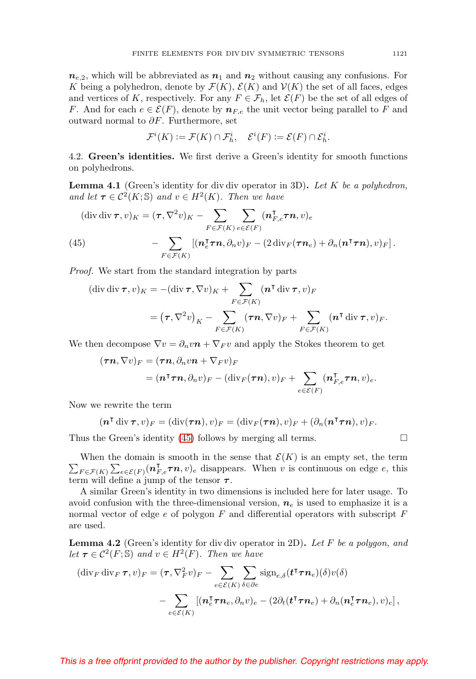$n_{e,2}$ , which will be abbreviated as  $n_1$  and  $n_2$  without causing any confusions. For K being a polyhedron, denote by  $\mathcal{F}(K)$ ,  $\mathcal{E}(K)$  and  $\mathcal{V}(K)$  the set of all faces, edges and vertices of K, respectively. For any  $F \in \mathcal{F}_h$ , let  $\mathcal{E}(F)$  be the set of all edges of F. And for each  $e \in \mathcal{E}(F)$ , denote by  $n_{F,e}$  the unit vector being parallel to F and outward normal to  $\partial F$ . Furthermore, set

$$
\mathcal{F}^i(K) := \mathcal{F}(K) \cap \mathcal{F}^i_h, \quad \mathcal{E}^i(F) := \mathcal{E}(F) \cap \mathcal{E}^i_h.
$$

4.2. **Green's identities.** We first derive a Green's identity for smooth functions on polyhedrons.

**Lemma 4.1** (Green's identity for div div operator in 3D)**.** Let K be a polyhedron, and let  $\tau \in C^2(K; \mathbb{S})$  and  $v \in H^2(K)$ . Then we have

<span id="page-14-0"></span>
$$
(\text{div div }\boldsymbol{\tau}, v)_K = (\boldsymbol{\tau}, \nabla^2 v)_K - \sum_{F \in \mathcal{F}(K)} \sum_{e \in \mathcal{E}(F)} (\boldsymbol{n}_{F,e}^\mathsf{T} \boldsymbol{\tau} \boldsymbol{n}, v)_e
$$
  
(45) 
$$
- \sum_{F \in \mathcal{F}(K)} [(\boldsymbol{n}_e^\mathsf{T} \boldsymbol{\tau} \boldsymbol{n}, \partial_n v)_F - (2 \operatorname{div}_F(\boldsymbol{\tau} \boldsymbol{n}_e) + \partial_n (\boldsymbol{n}^\mathsf{T} \boldsymbol{\tau} \boldsymbol{n}), v)_F].
$$

Proof. We start from the standard integration by parts

$$
(\operatorname{div} \operatorname{div} \boldsymbol{\tau}, v)_K = -(\operatorname{div} \boldsymbol{\tau}, \nabla v)_K + \sum_{F \in \mathcal{F}(K)} (\boldsymbol{n}^\mathsf{T} \operatorname{div} \boldsymbol{\tau}, v)_F
$$
  
=  $(\boldsymbol{\tau}, \nabla^2 v)_K - \sum_{F \in \mathcal{F}(K)} (\boldsymbol{\tau} \boldsymbol{n}, \nabla v)_F + \sum_{F \in \mathcal{F}(K)} (\boldsymbol{n}^\mathsf{T} \operatorname{div} \boldsymbol{\tau}, v)_F.$ 

We then decompose  $\nabla v = \partial_n v \mathbf{n} + \nabla_F v$  and apply the Stokes theorem to get

$$
(\boldsymbol{\tau}\boldsymbol{n},\nabla v)_F = (\boldsymbol{\tau}\boldsymbol{n},\partial_n v\boldsymbol{n} + \nabla_F v)_F
$$
  
=  $(\boldsymbol{n}^\mathsf{T}\boldsymbol{\tau}\boldsymbol{n},\partial_n v)_F - (\text{div}_F(\boldsymbol{\tau}\boldsymbol{n}),v)_F + \sum_{e \in \mathcal{E}(F)} (\boldsymbol{n}_{F,e}^\mathsf{T}\boldsymbol{\tau}\boldsymbol{n},v)_e.$ 

Now we rewrite the term

$$
(\boldsymbol{n}^\intercal \operatorname{div} \boldsymbol{\tau}, v)_F = (\operatorname{div} (\boldsymbol{\tau} \boldsymbol{n}), v)_F = (\operatorname{div}_F (\boldsymbol{\tau} \boldsymbol{n}), v)_F + (\partial_n (\boldsymbol{n}^\intercal \boldsymbol{\tau} \boldsymbol{n}), v)_F.
$$

Thus the Green's identity [\(45\)](#page-14-0) follows by merging all terms.

 $\Box$ 

 $\sum_{F \in \mathcal{F}(K)} \sum_{e \in \mathcal{E}(F)} (\mathbf{n}_{F,e}^{\mathsf{T}} \boldsymbol{\tau} \boldsymbol{n}, v)_e$  disappears. When v is continuous on edge e, this When the domain is smooth in the sense that  $\mathcal{E}(K)$  is an empty set, the term term will define a jump of the tensor *τ* .

A similar Green's identity in two dimensions is included here for later usage. To avoid confusion with the three-dimensional version,  $n_e$  is used to emphasize it is a normal vector of edge  $e$  of polygon  $F$  and differential operators with subscript  $F$ are used.

**Lemma 4.2** (Green's identity for div div operator in 2D)**.** Let F be a polygon, and let  $\tau \in C^2(F; \mathbb{S})$  and  $v \in H^2(F)$ . Then we have

$$
(\operatorname{div}_F \operatorname{div}_F \boldsymbol{\tau}, v)_F = (\boldsymbol{\tau}, \nabla_F^2 v)_F - \sum_{e \in \mathcal{E}(K)} \sum_{\delta \in \partial e} \operatorname{sign}_{e,\delta}(\boldsymbol{t}^\mathsf{T} \boldsymbol{\tau} \boldsymbol{n}_e)(\delta) v(\delta)
$$

$$
- \sum_{e \in \mathcal{E}(K)} [(\boldsymbol{n}_e^\mathsf{T} \boldsymbol{\tau} \boldsymbol{n}_e, \partial_n v)_e - (2\partial_t (\boldsymbol{t}^\mathsf{T} \boldsymbol{\tau} \boldsymbol{n}_e) + \partial_n (\boldsymbol{n}_e^\mathsf{T} \boldsymbol{\tau} \boldsymbol{n}_e), v)_e],
$$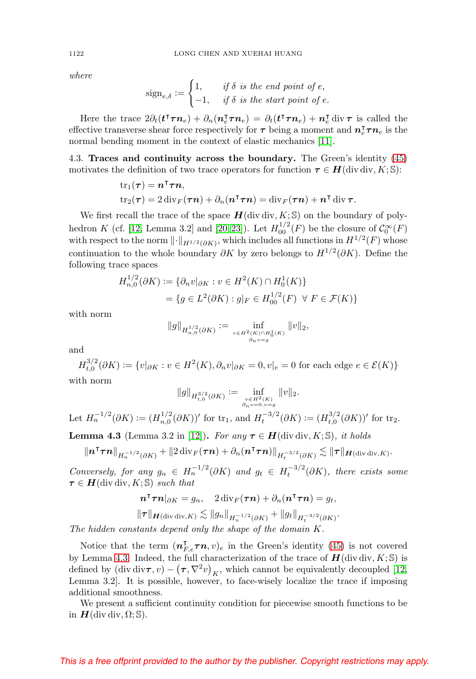where

$$
sign_{e,\delta} := \begin{cases} 1, & \text{if } \delta \text{ is the end point of } e, \\ -1, & \text{if } \delta \text{ is the start point of } e. \end{cases}
$$

Here the trace  $2\partial_t(\mathbf{t}^\intercal \boldsymbol{\tau} \boldsymbol{n}_e) + \partial_n(\mathbf{n}_e^\intercal \boldsymbol{\tau} \boldsymbol{n}_e) = \partial_t(\mathbf{t}^\intercal \boldsymbol{\tau} \boldsymbol{n}_e) + \mathbf{n}_e^\intercal \text{div } \boldsymbol{\tau}$  is called the effective transverse shear force respectively for  $\tau$  being a moment and  $n_e^{\tau} \tau n_e$  is the normal bending moment in the context of elastic mechanics [\[11\]](#page-34-9).

<span id="page-15-0"></span>4.3. **Traces and continuity across the boundary.** The Green's identity [\(45\)](#page-14-0) motivates the definition of two trace operators for function  $\tau \in H(\text{div div}, K; \mathbb{S})$ :

tr<sub>1</sub>(
$$
\tau
$$
) =  $\mathbf{n}^{\mathsf{T}}\boldsymbol{\tau}\mathbf{n}$ ,  
tr<sub>2</sub>( $\boldsymbol{\tau}$ ) = 2 div<sub>F</sub>( $\boldsymbol{\tau}\mathbf{n}$ ) +  $\partial_{n}(\mathbf{n}^{\mathsf{T}}\boldsymbol{\tau}\mathbf{n})$  = div<sub>F</sub>( $\boldsymbol{\tau}\mathbf{n}$ ) +  $\mathbf{n}^{\mathsf{T}}$  div  $\boldsymbol{\tau}$ .

We first recall the trace of the space  $H$ (div div,  $K$ ; S) on the boundary of poly-hedron K (cf. [\[12,](#page-34-10) Lemma 3.2] and [\[20,](#page-35-3) [23\]](#page-35-4)). Let  $H_{00}^{1/2}(F)$  be the closure of  $\mathcal{C}_0^{\infty}(F)$ with respect to the norm  $\lVert \cdot \rVert_{H^{1/2}(\partial K)}$ , which includes all functions in  $H^{1/2}(F)$  whose continuation to the whole boundary  $\partial K$  by zero belongs to  $H^{1/2}(\partial K)$ . Define the following trace spaces

$$
H_{n,0}^{1/2}(\partial K) := \{ \partial_n v |_{\partial K} : v \in H^2(K) \cap H_0^1(K) \}
$$
  
=  $\{ g \in L^2(\partial K) : g|_F \in H_{00}^{1/2}(F) \ \forall \ F \in \mathcal{F}(K) \}$ 

with norm

$$
\|g\|_{H_{n,0}^{1/2}(\partial K)} := \inf_{\substack{v \in H^2(K) \cap H_0^1(K) \\ \partial_n v = g}} \|v\|_2,
$$

and

 $H_{t,0}^{3/2}(\partial K) := \{v|_{\partial K} : v \in H^2(K), \partial_n v|_{\partial K} = 0, v|_e = 0 \text{ for each edge } e \in \mathcal{E}(K)\}\$ with norm

$$
\|g\|_{H^{3/2}_{t,0}(\partial K)} := \inf_{\substack{v \in H^2(K) \\ \partial_n v = 0, v = g}} \|v\|_2.
$$

Let  $H_n^{-1/2}(\partial K) := (H_{n,0}^{1/2}(\partial K))'$  for  $\text{tr}_1$ , and  $H_t^{-3/2}(\partial K) := (H_{t,0}^{3/2}(\partial K))'$  for  $\text{tr}_2$ .

<span id="page-15-1"></span>**Lemma 4.3** (Lemma 3.2 in [\[12\]](#page-34-10)). For any  $\tau \in H$ (div div, K; S), it holds

$$
\|\boldsymbol{n}^{\intercal}\boldsymbol{\tau}\boldsymbol{n}\|_{H_n^{-1/2}(\partial K)} + \|2 \operatorname{div}_F(\boldsymbol{\tau}\boldsymbol{n}) + \partial_n(\boldsymbol{n}^{\intercal}\boldsymbol{\tau}\boldsymbol{n})\|_{H_t^{-3/2}(\partial K)} \lesssim \|\boldsymbol{\tau}\|_{\boldsymbol{H}(\operatorname{div} \operatorname{div}, K)}.
$$

Conversely, for any  $g_n \in H_n^{-1/2}(\partial K)$  and  $g_t \in H_t^{-3/2}(\partial K)$ , there exists some  $\tau \in H$ (div div, *K*; *S*) such that

$$
\mathbf{n}^\mathsf{T} \boldsymbol{\tau} \mathbf{n}|_{\partial K} = g_n, \quad 2 \operatorname{div}_F(\boldsymbol{\tau} \mathbf{n}) + \partial_n (\mathbf{n}^\mathsf{T} \boldsymbol{\tau} \mathbf{n}) = g_t,
$$
  

$$
\|\boldsymbol{\tau}\|_{\mathbf{H}(\operatorname{div} \operatorname{div}, K)} \lesssim \|g_n\|_{H_n^{-1/2}(\partial K)} + \|g_t\|_{H_t^{-3/2}(\partial K)}.
$$

The hidden constants depend only the shape of the domain K.

Notice that the term  $(n_{F,e}^{\dagger} \tau n, v)_e$  in the Green's identity [\(45\)](#page-14-0) is not covered by Lemma [4.3.](#page-15-1) Indeed, the full characterization of the trace of  $H(\text{div div}, K; \mathbb{S})$  is defined by  $\left(\text{div} \, \text{div} \tau, v\right) - \left(\tau, \nabla^2 v\right)_K$ , which cannot be equivalently decoupled [\[12,](#page-34-10) Lemma 3.2]. It is possible, however, to face-wisely localize the trace if imposing additional smoothness.

We present a sufficient continuity condition for piecewise smooth functions to be in  $H$ (div div,  $\Omega$ ; S).

<span id="page-15-2"></span>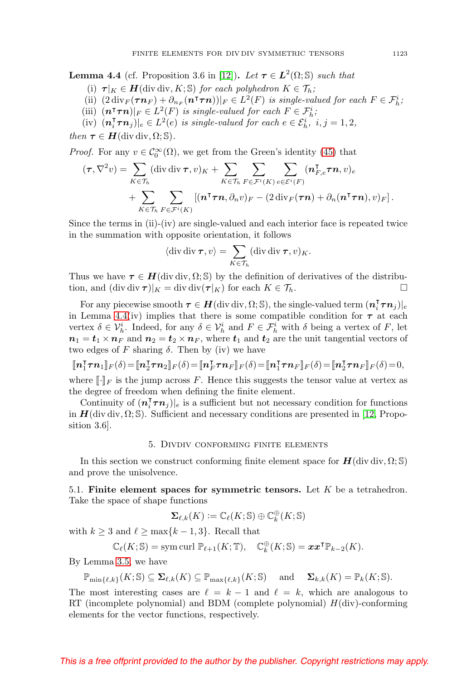<span id="page-16-2"></span><span id="page-16-1"></span>**Lemma 4.4** (cf. Proposition 3.6 in [\[12\]](#page-34-10)). Let  $\tau \in L^2(\Omega; \mathbb{S})$  such that

- (i)  $\tau|_K \in H$ (div div, K; S) for each polyhedron  $K \in \mathcal{T}_h$ ;
- (ii)  $(2 \div_F(\tau n_F) + \partial_{n_F}(n \tau \tau n))|_F \in L^2(F)$  is single-valued for each  $F \in \mathcal{F}_h^i$ ;
- (iii)  $(\mathbf{n}^\intercal \boldsymbol{\tau} \boldsymbol{n})|_F \in L^2(F)$  is single-valued for each  $F \in \mathcal{F}_h^i$ ;
- (iv)  $(\mathbf{n}_i^{\mathsf{T}} \boldsymbol{\tau} \mathbf{n}_j)|_e \in L^2(e)$  is single-valued for each  $e \in \mathcal{E}_h^i$ ,  $i, j = 1, 2$ ,

then  $\tau \in H$ (div div,  $\Omega$ ; S).

*Proof.* For any  $v \in C_0^{\infty}(\Omega)$ , we get from the Green's identity [\(45\)](#page-14-0) that

$$
(\boldsymbol{\tau}, \nabla^2 v) = \sum_{K \in \mathcal{T}_h} (\text{div div } \boldsymbol{\tau}, v)_K + \sum_{K \in \mathcal{T}_h} \sum_{F \in \mathcal{F}^i(K)} \sum_{e \in \mathcal{E}^i(F)} (\boldsymbol{n}_{F,e}^{\mathsf{T}} \boldsymbol{\tau} \boldsymbol{n}, v)_e + \sum_{K \in \mathcal{T}_h} \sum_{F \in \mathcal{F}^i(K)} [(\boldsymbol{n}^{\mathsf{T}} \boldsymbol{\tau} \boldsymbol{n}, \partial_n v)_F - (2 \text{ div}_F(\boldsymbol{\tau} \boldsymbol{n}) + \partial_n (\boldsymbol{n}^{\mathsf{T}} \boldsymbol{\tau} \boldsymbol{n}), v)_F].
$$

Since the terms in  $(ii)-(iv)$  are single-valued and each interior face is repeated twice in the summation with opposite orientation, it follows

$$
\langle \operatorname{div} \operatorname{div} \boldsymbol{\tau}, v \rangle = \sum_{K \in \mathcal{T}_h} (\operatorname{div} \operatorname{div} \boldsymbol{\tau}, v)_K.
$$

Thus we have  $\tau \in H(\text{div div}, \Omega; \mathbb{S})$  by the definition of derivatives of the distribution, and  $(\text{div div }\boldsymbol{\tau})|_{K} = \text{div div }(\boldsymbol{\tau}|_{K})$  for each  $K \in \mathcal{T}_{h}$ .

For any piecewise smooth  $\tau \in H(\text{div div}, \Omega; \mathbb{S})$ , the single-valued term  $(n_i^{\intercal} \tau n_j)|_e$ in Lemma [4.4\(](#page-16-1)iv) implies that there is some compatible condition for  $\tau$  at each vertex  $\delta \in \mathcal{V}_h^i$ . Indeed, for any  $\delta \in \mathcal{V}_h^i$  and  $F \in \mathcal{F}_h^i$  with  $\delta$  being a vertex of F, let  $n_1 = t_1 \times n_F$  and  $n_2 = t_2 \times n_F$ , where  $t_1$  and  $t_2$  are the unit tangential vectors of two edges of F sharing  $\delta$ . Then by (iv) we have

$$
\llbracket n_1^{\mathsf{T}}\boldsymbol{\tau} n_1 \rrbracket_F(\delta) = \llbracket n_2^{\mathsf{T}}\boldsymbol{\tau} n_2 \rrbracket_F(\delta) = \llbracket n_F^{\mathsf{T}}\boldsymbol{\tau} n_F \rrbracket_F(\delta) = \llbracket n_1^{\mathsf{T}}\boldsymbol{\tau} n_F \rrbracket_F(\delta) = \llbracket n_2^{\mathsf{T}}\boldsymbol{\tau} n_F \rrbracket_F(\delta) = 0,
$$

where  $[\![\cdot]\!]_F$  is the jump across F. Hence this suggests the tensor value at vertex as the degree of freedom when defining the finite element.

Continuity of  $(\boldsymbol{n}_i^{\mathsf{T}}\boldsymbol{\tau}\boldsymbol{n}_j)|_e$  is a sufficient but not necessary condition for functions in  $H$ (div div,  $\Omega$ ; S). Sufficient and necessary conditions are presented in [\[12,](#page-34-10) Proposition 3.6].

#### 5. Divdiv conforming finite elements

<span id="page-16-0"></span>In this section we construct conforming finite element space for  $H(\text{div div}, \Omega; \mathbb{S})$ and prove the unisolvence.

5.1. **Finite element spaces for symmetric tensors.** Let K be a tetrahedron. Take the space of shape functions

$$
\pmb{\Sigma}_{\ell,k}(K) := \mathbb{C}_{\ell}(K;\mathbb{S}) \oplus \mathbb{C}^{\oplus}_k(K;\mathbb{S})
$$

with  $k \geq 3$  and  $\ell \geq \max\{k-1, 3\}$ . Recall that

$$
\mathbb{C}_{\ell}(K; \mathbb{S}) = \text{sym curl } \mathbb{P}_{\ell+1}(K; \mathbb{T}), \quad \mathbb{C}_{k}^{\oplus}(K; \mathbb{S}) = \boldsymbol{x} \boldsymbol{x}^{\mathsf{T}} \mathbb{P}_{k-2}(K).
$$

By Lemma [3.5,](#page-12-4) we have

$$
\mathbb{P}_{\min\{\ell,k\}}(K;\mathbb{S}) \subseteq \mathbf{\Sigma}_{\ell,k}(K) \subseteq \mathbb{P}_{\max\{\ell,k\}}(K;\mathbb{S}) \quad \text{ and } \quad \mathbf{\Sigma}_{k,k}(K) = \mathbb{P}_k(K;\mathbb{S}).
$$

The most interesting cases are  $\ell = k - 1$  and  $\ell = k$ , which are analogous to RT (incomplete polynomial) and BDM (complete polynomial)  $H(\text{div})$ -conforming elements for the vector functions, respectively.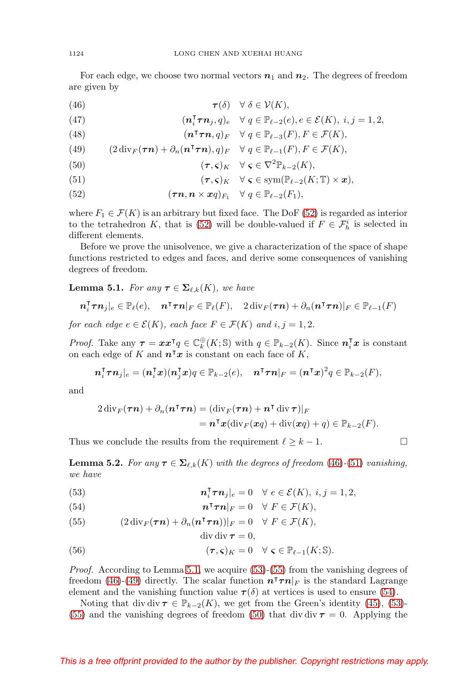For each edge, we choose two normal vectors  $n_1$  and  $n_2$ . The degrees of freedom are given by

<span id="page-17-1"></span>(46) 
$$
\boldsymbol{\tau}(\delta) \quad \forall \ \delta \in \mathcal{V}(K),
$$

<span id="page-17-12"></span>(47) 
$$
(\mathbf{n}_i^{\mathsf{T}} \boldsymbol{\tau} \mathbf{n}_j, q)_e \quad \forall \ q \in \mathbb{P}_{\ell-2}(e), e \in \mathcal{E}(K), \ i, j = 1, 2,
$$

<span id="page-17-11"></span>(48) 
$$
(\mathbf{n}^\intercal \boldsymbol{\tau} \mathbf{n}, q)_F \quad \forall \ q \in \mathbb{P}_{\ell-3}(F), F \in \mathcal{F}(K),
$$

<span id="page-17-6"></span>(49) 
$$
(2\operatorname{div}_F(\boldsymbol{\tau}\boldsymbol{n})+\partial_n(\boldsymbol{n}^\intercal\boldsymbol{\tau}\boldsymbol{n}),q)_F \quad \forall \ q \in \mathbb{P}_{\ell-1}(F), F \in \mathcal{F}(K),
$$

<span id="page-17-8"></span>(50) 
$$
(\tau, \varsigma)_K \quad \forall \ \varsigma \in \nabla^2 \mathbb{P}_{k-2}(K),
$$

<span id="page-17-2"></span>(51) 
$$
(\tau,\varsigma)_K \quad \forall \ \varsigma \in \mathrm{sym}(\mathbb{P}_{\ell-2}(K;\mathbb{T}) \times \mathbf{x}),
$$

<span id="page-17-0"></span>(52) 
$$
(\boldsymbol{\tau}\boldsymbol{n},\boldsymbol{n}\times\boldsymbol{x}q)_{F_1} \quad \forall\ q\in\mathbb{P}_{\ell-2}(F_1),
$$

where  $F_1 \in \mathcal{F}(K)$  is an arbitrary but fixed face. The DoF [\(52\)](#page-17-0) is regarded as interior to the tetrahedron K, that is [\(52\)](#page-17-0) will be double-valued if  $F \in \mathcal{F}_h^i$  is selected in different elements.

Before we prove the unisolvence, we give a characterization of the space of shape functions restricted to edges and faces, and derive some consequences of vanishing degrees of freedom.

<span id="page-17-3"></span>**Lemma 5.1.** For any  $\boldsymbol{\tau} \in \mathbf{\Sigma}_{\ell,k}(K)$ , we have

$$
\boldsymbol{n}_i^{\mathsf{T}}\boldsymbol{\tau}\boldsymbol{n}_j|_e \in \mathbb{P}_{\ell}(e), \quad \boldsymbol{n}^{\mathsf{T}}\boldsymbol{\tau}\boldsymbol{n}|_F \in \mathbb{P}_{\ell}(F), \quad 2 \operatorname{div}_F(\boldsymbol{\tau}\boldsymbol{n}) + \partial_n(\boldsymbol{n}^{\mathsf{T}}\boldsymbol{\tau}\boldsymbol{n})|_F \in \mathbb{P}_{\ell-1}(F)
$$

for each edge  $e \in \mathcal{E}(K)$ , each face  $F \in \mathcal{F}(K)$  and  $i, j = 1, 2$ .

*Proof.* Take any  $\tau = xx^{\intercal}q \in \mathbb{C}_{k}^{\oplus}(K;\mathbb{S})$  with  $q \in \mathbb{P}_{k-2}(K)$ . Since  $n_i^{\intercal}x$  is constant on each edge of K and  $n^{\dagger}x$  is constant on each face of K,

$$
\boldsymbol{n}_i^{\mathsf{T}}\boldsymbol{\tau}\boldsymbol{n}_j|_e=(\boldsymbol{n}_i^{\mathsf{T}}\boldsymbol{x})(\boldsymbol{n}_j^{\mathsf{T}}\boldsymbol{x})q\in\mathbb{P}_{k-2}(e),\quad \boldsymbol{n}^{\mathsf{T}}\boldsymbol{\tau}\boldsymbol{n}|_F=(\boldsymbol{n}^{\mathsf{T}}\boldsymbol{x})^2q\in\mathbb{P}_{k-2}(F),
$$

and

$$
2 \operatorname{div}_F(\boldsymbol{\tau}\boldsymbol{n}) + \partial_n(\boldsymbol{n}^\intercal\boldsymbol{\tau}\boldsymbol{n}) = (\operatorname{div}_F(\boldsymbol{\tau}\boldsymbol{n}) + \boldsymbol{n}^\intercal \operatorname{div} \boldsymbol{\tau})|_F
$$
  
=  $\boldsymbol{n}^\intercal \boldsymbol{x} (\operatorname{div}_F(\boldsymbol{x}q) + \operatorname{div}(\boldsymbol{x}q) + q) \in \mathbb{P}_{k-2}(F).$ 

Thus we conclude the results from the requirement  $\ell \geq k-1$ .

<span id="page-17-10"></span>**Lemma 5.2.** For any  $\tau \in \Sigma_{\ell,k}(K)$  with the degrees of freedom [\(46\)](#page-17-1)-[\(51\)](#page-17-2) vanishing, we have

<span id="page-17-4"></span>(53) 
$$
\mathbf{n}_i^{\mathsf{T}} \boldsymbol{\tau} \mathbf{n}_j|_e = 0 \quad \forall e \in \mathcal{E}(K), i, j = 1, 2,
$$

<span id="page-17-7"></span>(54) 
$$
\mathbf{n}^\intercal \boldsymbol{\tau} \mathbf{n}|_F = 0 \quad \forall \ F \in \mathcal{F}(K),
$$

<span id="page-17-5"></span>(55) 
$$
(2 \operatorname{div}_F(\boldsymbol{\tau}\boldsymbol{n}) + \partial_n(\boldsymbol{n}^\intercal\boldsymbol{\tau}\boldsymbol{n}))|_F = 0 \quad \forall \ F \in \mathcal{F}(K),
$$

$$
\operatorname{div} \operatorname{div} \boldsymbol{\tau} = 0,
$$

<span id="page-17-9"></span>(56) 
$$
(\tau, \varsigma)_K = 0 \quad \forall \ \varsigma \in \mathbb{P}_{\ell-1}(K; \mathbb{S}).
$$

Proof. According to Lemma [5.1,](#page-17-3) we acquire [\(53\)](#page-17-4)-[\(55\)](#page-17-5) from the vanishing degrees of freedom [\(46\)](#page-17-1)-[\(49\)](#page-17-6) directly. The scalar function  $n^{T} \tau n|_{F}$  is the standard Lagrange element and the vanishing function value  $\tau(\delta)$  at vertices is used to ensure [\(54\)](#page-17-7).

Noting that div div  $\tau \in \mathbb{P}_{k-2}(K)$ , we get from the Green's identity [\(45\)](#page-14-0), [\(53\)](#page-17-4)-[\(55\)](#page-17-5) and the vanishing degrees of freedom [\(50\)](#page-17-8) that div div  $\tau = 0$ . Applying the

$$
\Box
$$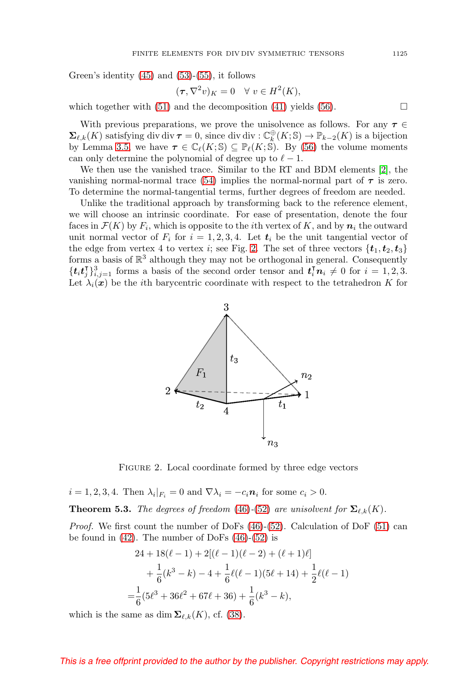<span id="page-18-1"></span>Green's identity [\(45\)](#page-14-0) and [\(53\)](#page-17-4)-[\(55\)](#page-17-5), it follows

$$
(\tau, \nabla^2 v)_K = 0 \quad \forall \ v \in H^2(K),
$$

which together with [\(51\)](#page-17-2) and the decomposition [\(41\)](#page-12-3) yields [\(56\)](#page-17-9).  $\Box$ 

With previous preparations, we prove the unisolvence as follows. For any  $\tau \in$  $\Sigma_{\ell,k}(K)$  satisfying div div  $\tau = 0$ , since div div :  $\mathbb{C}_{k}^{\oplus}(K; \mathbb{S}) \to \mathbb{P}_{k-2}(K)$  is a bijection by Lemma [3.5,](#page-12-4) we have  $\tau \in \mathbb{C}_{\ell}(K; \mathbb{S}) \subseteq \mathbb{P}_{\ell}(K; \mathbb{S})$ . By [\(56\)](#page-17-9) the volume moments can only determine the polynomial of degree up to  $\ell - 1$ .

We then use the vanished trace. Similar to the RT and BDM elements [\[2\]](#page-34-11), the vanishing normal-normal trace [\(54\)](#page-17-7) implies the normal-normal part of  $\tau$  is zero. To determine the normal-tangential terms, further degrees of freedom are needed.

Unlike the traditional approach by transforming back to the reference element, we will choose an intrinsic coordinate. For ease of presentation, denote the four faces in  $\mathcal{F}(K)$  by  $F_i$ , which is opposite to the *i*th vertex of K, and by  $n_i$  the outward unit normal vector of  $F_i$  for  $i = 1, 2, 3, 4$ . Let  $t_i$  be the unit tangential vector of the edge from vertex 4 to vertex *i*; see Fig. [2.](#page-18-0) The set of three vectors  $\{t_1, t_2, t_3\}$ forms a basis of  $\mathbb{R}^3$  although they may not be orthogonal in general. Consequently  $\{\boldsymbol{t}_i \boldsymbol{t}_j^{\intercal}\}_{i,j=1}^3$  forms a basis of the second order tensor and  $\boldsymbol{t}_i^{\intercal} \boldsymbol{n}_i \neq 0$  for  $i = 1, 2, 3$ . Let  $\lambda_i(x)$  be the *i*th barycentric coordinate with respect to the tetrahedron K for



<span id="page-18-0"></span>FIGURE 2. Local coordinate formed by three edge vectors

 $i = 1, 2, 3, 4$ . Then  $\lambda_i|_{F_i} = 0$  and  $\nabla \lambda_i = -c_i \mathbf{n}_i$  for some  $c_i > 0$ .

**Theorem 5.3.** The degrees of freedom [\(46\)](#page-17-1)-[\(52\)](#page-17-0) are unisolvent for  $\Sigma_{\ell,k}(K)$ .

*Proof.* We first count the number of DoFs  $(46)-(52)$  $(46)-(52)$  $(46)-(52)$ . Calculation of DoF  $(51)$  can be found in  $(42)$ . The number of DoFs  $(46)-(52)$  $(46)-(52)$  $(46)-(52)$  is

$$
24 + 18(\ell - 1) + 2[(\ell - 1)(\ell - 2) + (\ell + 1)\ell]
$$
  
+  $\frac{1}{6}(k^3 - k) - 4 + \frac{1}{6}\ell(\ell - 1)(5\ell + 14) + \frac{1}{2}\ell(\ell - 1)$   
=  $\frac{1}{6}(5\ell^3 + 36\ell^2 + 67\ell + 36) + \frac{1}{6}(k^3 - k),$ 

which is the same as dim  $\Sigma_{\ell,k}(K)$ , cf. [\(38\)](#page-12-5).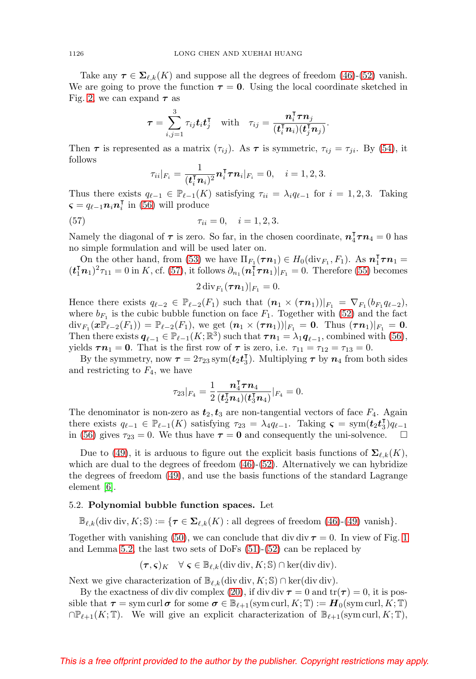<span id="page-19-2"></span>Take any  $\tau \in \Sigma_{\ell,k}(K)$  and suppose all the degrees of freedom [\(46\)](#page-17-1)-[\(52\)](#page-17-0) vanish. We are going to prove the function  $\tau = 0$ . Using the local coordinate sketched in Fig. [2,](#page-18-0) we can expand  $\tau$  as

$$
\boldsymbol{\tau} = \sum_{i,j=1}^3 \tau_{ij} \boldsymbol{t}_i \boldsymbol{t}_j^\intercal \quad \text{with} \quad \tau_{ij} = \frac{\boldsymbol{n}_i^\intercal\boldsymbol{\tau}\boldsymbol{n}_j}{(\boldsymbol{t}_i^\intercal\boldsymbol{n}_i)(\boldsymbol{t}_j^\intercal\boldsymbol{n}_j)}.
$$

Then  $\tau$  is represented as a matrix  $(\tau_{ij})$ . As  $\tau$  is symmetric,  $\tau_{ij} = \tau_{ji}$ . By [\(54\)](#page-17-7), it follows

$$
\tau_{ii}|_{F_i}=\frac{1}{(\boldsymbol{t}_i^{\intercal}\boldsymbol{n}_i)^2}\boldsymbol{n}_i^{\intercal}\boldsymbol{\tau}\boldsymbol{n}_i|_{F_i}=0,\quad i=1,2,3.
$$

Thus there exists  $q_{\ell-1} \in \mathbb{P}_{\ell-1}(K)$  satisfying  $\tau_{ii} = \lambda_i q_{\ell-1}$  for  $i = 1, 2, 3$ . Taking  $\boldsymbol{\varsigma} = q_{\ell-1} \boldsymbol{n}_i \boldsymbol{n}_i^{\intercal}$  in [\(56\)](#page-17-9) will produce

<span id="page-19-1"></span>(57) 
$$
\tau_{ii} = 0, \quad i = 1, 2, 3.
$$

Namely the diagonal of  $\tau$  is zero. So far, in the chosen coordinate,  $n_4^{\intercal}\tau n_4 = 0$  has no simple formulation and will be used later on.

On the other hand, from [\(53\)](#page-17-4) we have  $\Pi_{F_1}(\tau n_1) \in H_0(\text{div}_{F_1}, F_1)$ . As  $n_1^{\intercal} \tau n_1 =$  $(t_1^{\mathsf{T}} n_1)^2 \tau_{11} = 0$  in K, cf. [\(57\)](#page-19-1), it follows  $\partial_{n_1} (n_1^{\mathsf{T}} \tau n_1)|_{F_1} = 0$ . Therefore [\(55\)](#page-17-5) becomes

$$
2\operatorname{div}_{F_1}(\boldsymbol{\tau}\boldsymbol{n}_1)|_{F_1}=0.
$$

Hence there exists  $q_{\ell-2} \in \mathbb{P}_{\ell-2}(F_1)$  such that  $(\boldsymbol{n}_1 \times (\boldsymbol{\tau}\boldsymbol{n}_1))|_{F_1} = \nabla_{F_1}(b_{F_1}q_{\ell-2}),$ where  $b_{F_1}$  is the cubic bubble function on face  $F_1$ . Together with [\(52\)](#page-17-0) and the fact  $\text{div}_{F_1}(x\mathbb{P}_{\ell-2}(F_1)) = \mathbb{P}_{\ell-2}(F_1)$ , we get  $(n_1 \times (\tau n_1))|_{F_1} = 0$ . Thus  $(\tau n_1)|_{F_1} = 0$ . Then there exists  $q_{\ell-1} \in \mathbb{P}_{\ell-1}(K;\mathbb{R}^3)$  such that  $\tau n_1 = \lambda_1 q_{\ell-1}$ , combined with [\(56\)](#page-17-9), yields  $\tau n_1 = 0$ . That is the first row of  $\tau$  is zero, i.e.  $\tau_{11} = \tau_{12} = \tau_{13} = 0$ .

By the symmetry, now  $\tau = 2\tau_{23}$  sym $(t_2 t_3^{\dagger})$ . Multiplying  $\tau$  by  $n_4$  from both sides and restricting to  $F_4$ , we have

$$
\tau_{23}|_{F_4}=\frac{1}{2}\frac{\bm{n}_4^{\intercal}\bm{\tau}\bm{n}_4}{(\bm{t}_2^{\intercal}\bm{n}_4)(\bm{t}_3^{\intercal}\bm{n}_4)}|_{F_4}=0.
$$

The denominator is non-zero as  $t_2, t_3$  are non-tangential vectors of face  $F_4$ . Again there exists  $q_{\ell-1} \in \mathbb{P}_{\ell-1}(K)$  satisfying  $\tau_{23} = \lambda_4 q_{\ell-1}$ . Taking  $\varsigma = \text{sym}(\mathbf{t}_2 \mathbf{t}_3^T) q_{\ell-1}$ in [\(56\)](#page-17-9) gives  $\tau_{23} = 0$ . We thus have  $\tau = 0$  and consequently the uni-solvence.  $\Box$ 

Due to [\(49\)](#page-17-6), it is arduous to figure out the explicit basis functions of  $\Sigma_{\ell,k}(K)$ , which are dual to the degrees of freedom  $(46)-(52)$  $(46)-(52)$  $(46)-(52)$ . Alternatively we can hybridize the degrees of freedom [\(49\)](#page-17-6), and use the basis functions of the standard Lagrange element [\[6\]](#page-34-1).

# <span id="page-19-0"></span>5.2. **Polynomial bubble function spaces.** Let

 $\mathbb{B}_{\ell,k}(\text{div div}, K; \mathbb{S}) := \{\tau \in \Sigma_{\ell,k}(K) : \text{all degrees of freedom } (46)-(49) \text{ vanish}\}.$  $\mathbb{B}_{\ell,k}(\text{div div}, K; \mathbb{S}) := \{\tau \in \Sigma_{\ell,k}(K) : \text{all degrees of freedom } (46)-(49) \text{ vanish}\}.$  $\mathbb{B}_{\ell,k}(\text{div div}, K; \mathbb{S}) := \{\tau \in \Sigma_{\ell,k}(K) : \text{all degrees of freedom } (46)-(49) \text{ vanish}\}.$  $\mathbb{B}_{\ell,k}(\text{div div}, K; \mathbb{S}) := \{\tau \in \Sigma_{\ell,k}(K) : \text{all degrees of freedom } (46)-(49) \text{ vanish}\}.$  $\mathbb{B}_{\ell,k}(\text{div div}, K; \mathbb{S}) := \{\tau \in \Sigma_{\ell,k}(K) : \text{all degrees of freedom } (46)-(49) \text{ vanish}\}.$ 

Together with vanishing [\(50\)](#page-17-8), we can conclude that div div  $\tau = 0$ . In view of Fig. [1](#page-2-0) and Lemma [5.2,](#page-17-10) the last two sets of DoFs [\(51\)](#page-17-2)-[\(52\)](#page-17-0) can be replaced by

$$
(\tau, \varsigma)_K \quad \forall \ \varsigma \in \mathbb{B}_{\ell,k}(\text{div div}, K; \mathbb{S}) \cap \text{ker}(\text{div div}).
$$

Next we give characterization of  $\mathbb{B}_{\ell,k}(\text{div div}, K; \mathbb{S}) \cap \text{ker}(\text{div div}).$ 

By the exactness of div div complex [\(20\)](#page-6-1), if div div  $\tau = 0$  and  $tr(\tau) = 0$ , it is possible that  $\tau = \text{sym curl }\sigma$  for some  $\sigma \in \mathbb{B}_{\ell+1}(\text{sym curl}, K; \mathbb{T}) := H_0(\text{sym curl}, K; \mathbb{T})$  $\cap \mathbb{P}_{\ell+1}(K;\mathbb{T})$ . We will give an explicit characterization of  $\mathbb{B}_{\ell+1}(\text{sym curl}, K; \mathbb{T})$ ,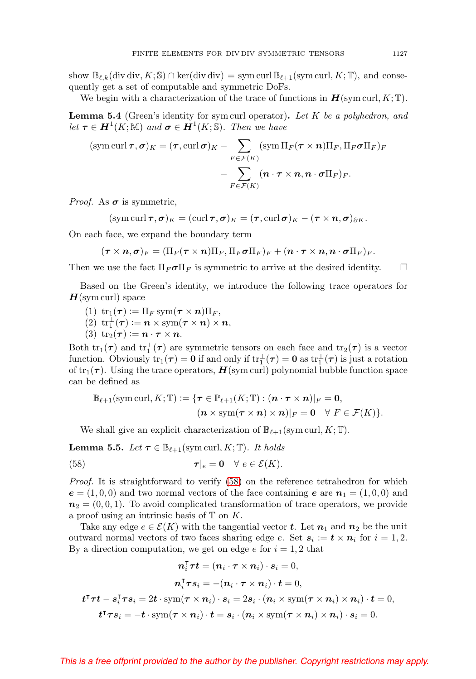show  $\mathbb{B}_{\ell,k}(\text{div div}, K; \mathbb{S}) \cap \text{ker}(\text{div div}) = \text{sym curl } \mathbb{B}_{\ell+1}(\text{sym curl}, K; \mathbb{T})$ , and consequently get a set of computable and symmetric DoFs.

We begin with a characterization of the trace of functions in  $H(\text{sym curl}, K; \mathbb{T})$ .

**Lemma 5.4** (Green's identity for sym curl operator)**.** Let K be a polyhedron, and let  $\tau \in H^1(K; \mathbb{M})$  and  $\sigma \in H^1(K; \mathbb{S})$ . Then we have

$$
(\text{sym curl }\boldsymbol{\tau},\boldsymbol{\sigma})_K = (\boldsymbol{\tau},\text{curl }\boldsymbol{\sigma})_K - \sum_{F \in \mathcal{F}(K)} (\text{sym }\Pi_F(\boldsymbol{\tau} \times \boldsymbol{n})\Pi_F, \Pi_F \boldsymbol{\sigma} \Pi_F)_F
$$

$$
- \sum_{F \in \mathcal{F}(K)} (\boldsymbol{n} \cdot \boldsymbol{\tau} \times \boldsymbol{n}, \boldsymbol{n} \cdot \boldsymbol{\sigma} \Pi_F)_F.
$$

*Proof.* As  $\sigma$  is symmetric,

$$
(\operatorname{sym}\operatorname{curl}\boldsymbol{\tau},\boldsymbol{\sigma})_K=(\operatorname{curl}\boldsymbol{\tau},\boldsymbol{\sigma})_K=(\boldsymbol{\tau},\operatorname{curl}\boldsymbol{\sigma})_K-(\boldsymbol{\tau}\times\boldsymbol{n},\boldsymbol{\sigma})_{\partial K}.
$$

On each face, we expand the boundary term

$$
(\boldsymbol{\tau}\times\boldsymbol{n},\boldsymbol{\sigma})_F = (\Pi_F(\boldsymbol{\tau}\times\boldsymbol{n})\Pi_F,\Pi_F\boldsymbol{\sigma}\Pi_F)_F + (\boldsymbol{n}\cdot\boldsymbol{\tau}\times\boldsymbol{n},\boldsymbol{n}\cdot\boldsymbol{\sigma}\Pi_F)_F.
$$

Then we use the fact  $\Pi_F \sigma \Pi_F$  is symmetric to arrive at the desired identity.  $\Box$ 

Based on the Green's identity, we introduce the following trace operators for *H*(sym curl) space

- (1)  $\mathrm{tr}_1(\tau) := \Pi_F \mathrm{sym}(\tau \times n) \Pi_F,$
- $(2)$   $\mathrm{tr}_1^{\perp}(\boldsymbol{\tau}) := \boldsymbol{n} \times \mathrm{sym}(\boldsymbol{\tau} \times \boldsymbol{n}) \times \boldsymbol{n},$
- (3)  $\operatorname{tr}_2(\tau) := n \cdot \tau \times n$ .

Both  $\text{tr}_1(\tau)$  and  $\text{tr}_1^{\perp}(\tau)$  are symmetric tensors on each face and  $\text{tr}_2(\tau)$  is a vector function. Obviously  $\text{tr}_1(\tau) = \mathbf{0}$  if and only if  $\text{tr}_1^{\perp}(\tau) = \mathbf{0}$  as  $\text{tr}_1^{\perp}(\tau)$  is just a rotation of  $\text{tr}_1(\tau)$ . Using the trace operators,  $H(\text{sym curl})$  polynomial bubble function space can be defined as

$$
\mathbb{B}_{\ell+1}(\text{sym curl}, K; \mathbb{T}) := \{ \boldsymbol{\tau} \in \mathbb{P}_{\ell+1}(K; \mathbb{T}) : (\boldsymbol{n} \cdot \boldsymbol{\tau} \times \boldsymbol{n})|_F = \boldsymbol{0},
$$
  

$$
(\boldsymbol{n} \times \text{sym}(\boldsymbol{\tau} \times \boldsymbol{n}) \times \boldsymbol{n})|_F = \boldsymbol{0} \quad \forall F \in \mathcal{F}(K) \}.
$$

We shall give an explicit characterization of  $\mathbb{B}_{\ell+1}(\text{sym curl}, K; \mathbb{T}).$ 

<span id="page-20-1"></span>**Lemma 5.5.** Let  $\tau \in \mathbb{B}_{\ell+1}(\text{sym curl}, K; \mathbb{T})$ . It holds

<span id="page-20-0"></span>(58) 
$$
\boldsymbol{\tau}|_e = \mathbf{0} \quad \forall \ e \in \mathcal{E}(K).
$$

Proof. It is straightforward to verify  $(58)$  on the reference tetrahedron for which  $e = (1, 0, 0)$  and two normal vectors of the face containing  $e$  are  $n_1 = (1, 0, 0)$  and  $n_2 = (0, 0, 1)$ . To avoid complicated transformation of trace operators, we provide a proof using an intrinsic basis of  $T$  on  $K$ .

Take any edge  $e \in \mathcal{E}(K)$  with the tangential vector **t**. Let  $n_1$  and  $n_2$  be the unit outward normal vectors of two faces sharing edge e. Set  $s_i := t \times n_i$  for  $i = 1, 2$ . By a direction computation, we get on edge  $e$  for  $i = 1, 2$  that

$$
\begin{aligned}\n\boldsymbol{n}_i^{\mathsf{T}} \boldsymbol{\tau} \boldsymbol{t} &= (\boldsymbol{n}_i \cdot \boldsymbol{\tau} \times \boldsymbol{n}_i) \cdot \boldsymbol{s}_i = 0, \\
\boldsymbol{n}_i^{\mathsf{T}} \boldsymbol{\tau} \boldsymbol{s}_i &= -(\boldsymbol{n}_i \cdot \boldsymbol{\tau} \times \boldsymbol{n}_i) \cdot \boldsymbol{t} = 0, \\
\boldsymbol{t}^{\mathsf{T}} \boldsymbol{\tau} \boldsymbol{t} - \boldsymbol{s}_i^{\mathsf{T}} \boldsymbol{\tau} \boldsymbol{s}_i &= 2 \boldsymbol{t} \cdot \text{sym}(\boldsymbol{\tau} \times \boldsymbol{n}_i) \cdot \boldsymbol{s}_i = 2 \boldsymbol{s}_i \cdot (\boldsymbol{n}_i \times \text{sym}(\boldsymbol{\tau} \times \boldsymbol{n}_i) \times \boldsymbol{n}_i) \cdot \boldsymbol{t} = 0, \\
\boldsymbol{t}^{\mathsf{T}} \boldsymbol{\tau} \boldsymbol{s}_i &= - \boldsymbol{t} \cdot \text{sym}(\boldsymbol{\tau} \times \boldsymbol{n}_i) \cdot \boldsymbol{t} = \boldsymbol{s}_i \cdot (\boldsymbol{n}_i \times \text{sym}(\boldsymbol{\tau} \times \boldsymbol{n}_i) \times \boldsymbol{n}_i) \cdot \boldsymbol{s}_i = 0.\n\end{aligned}
$$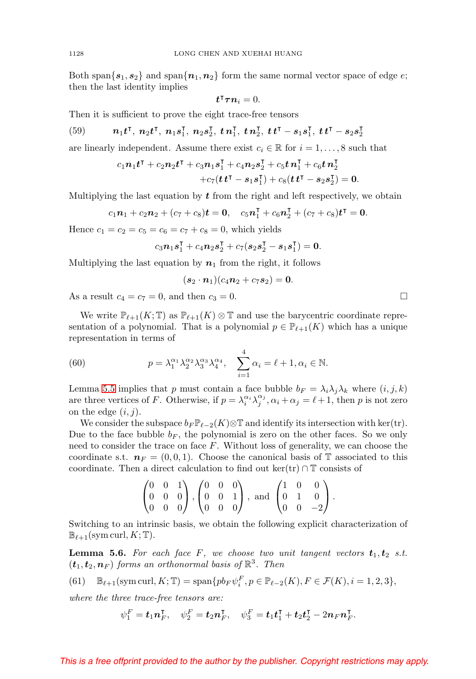Both span $\{s_1, s_2\}$  and span $\{n_1, n_2\}$  form the same normal vector space of edge e; then the last identity implies

$$
t^{\intercal}\boldsymbol{\tau}\boldsymbol{n}_{i}=0.
$$

Then it is sufficient to prove the eight trace-free tensors

<span id="page-21-1"></span>(59) 
$$
n_1t^{\mathsf{T}}, n_2t^{\mathsf{T}}, n_1s_1^{\mathsf{T}}, n_2s_2^{\mathsf{T}}, t n_1^{\mathsf{T}}, t n_2^{\mathsf{T}}, t t^{\mathsf{T}} - s_1s_1^{\mathsf{T}}, t t^{\mathsf{T}} - s_2s_2^{\mathsf{T}}
$$

are linearly independent. Assume there exist  $c_i \in \mathbb{R}$  for  $i = 1, \ldots, 8$  such that

$$
c_1 n_1 t^{\intercal} + c_2 n_2 t^{\intercal} + c_3 n_1 s_1^{\intercal} + c_4 n_2 s_2^{\intercal} + c_5 t n_1^{\intercal} + c_6 t n_2^{\intercal} + c_7 (t t^{\intercal} - s_1 s_1^{\intercal}) + c_8 (t t^{\intercal} - s_2 s_2^{\intercal}) = 0.
$$

Multiplying the last equation by  $t$  from the right and left respectively, we obtain

$$
c_1\mathbf{n}_1 + c_2\mathbf{n}_2 + (c_7 + c_8)\mathbf{t} = \mathbf{0}, \quad c_5\mathbf{n}_1^{\mathsf{T}} + c_6\mathbf{n}_2^{\mathsf{T}} + (c_7 + c_8)\mathbf{t}^{\mathsf{T}} = \mathbf{0}.
$$

Hence  $c_1 = c_2 = c_5 = c_6 = c_7 + c_8 = 0$ , which yields

$$
c_3\mathbf{n}_1\mathbf{s}_1^{\mathsf{T}} + c_4\mathbf{n}_2\mathbf{s}_2^{\mathsf{T}} + c_7(s_2\mathbf{s}_2^{\mathsf{T}} - s_1\mathbf{s}_1^{\mathsf{T}}) = \mathbf{0}.
$$

Multiplying the last equation by  $n_1$  from the right, it follows

$$
(s_2 \cdot n_1)(c_4 n_2 + c_7 s_2) = 0.
$$

As a result  $c_4 = c_7 = 0$ , and then  $c_3 = 0$ .

We write  $\mathbb{P}_{\ell+1}(K;\mathbb{T})$  as  $\mathbb{P}_{\ell+1}(K)\otimes\mathbb{T}$  and use the barycentric coordinate representation of a polynomial. That is a polynomial  $p \in \mathbb{P}_{\ell+1}(K)$  which has a unique representation in terms of

<span id="page-21-2"></span>(60) 
$$
p = \lambda_1^{\alpha_1} \lambda_2^{\alpha_2} \lambda_3^{\alpha_3} \lambda_4^{\alpha_4}, \quad \sum_{i=1}^4 \alpha_i = \ell + 1, \alpha_i \in \mathbb{N}.
$$

⎞

Lemma [5.5](#page-20-1) implies that p must contain a face bubble  $b_F = \lambda_i \lambda_j \lambda_k$  where  $(i, j, k)$ are three vertices of F. Otherwise, if  $p = \lambda_i^{\alpha_i} \lambda_j^{\alpha_j}, \alpha_i + \alpha_j = \ell + 1$ , then p is not zero on the edge  $(i, j)$ .

We consider the subspace  $b_F \mathbb{P}_{\ell-2}(K) \otimes \mathbb{T}$  and identify its intersection with ker(tr). Due to the face bubble  $b_F$ , the polynomial is zero on the other faces. So we only need to consider the trace on face F. Without loss of generality, we can choose the coordinate s.t.  $n_F = (0, 0, 1)$ . Choose the canonical basis of T associated to this coordinate. Then a direct calculation to find out ker(tr)  $\cap$  T consists of

$$
\begin{pmatrix} 0 & 0 & 1 \\ 0 & 0 & 0 \\ 0 & 0 & 0 \end{pmatrix}, \begin{pmatrix} 0 & 0 & 0 \\ 0 & 0 & 1 \\ 0 & 0 & 0 \end{pmatrix}, \text{ and } \begin{pmatrix} 1 & 0 & 0 \\ 0 & 1 & 0 \\ 0 & 0 & -2 \end{pmatrix}.
$$

Switching to an intrinsic basis, we obtain the following explicit characterization of  $\mathbb{B}_{\ell+1}(\mathrm{sym\,curl}, K;\mathbb{T}).$ 

**Lemma 5.6.** For each face F, we choose two unit tangent vectors  $t_1, t_2$  s.t.  $(\boldsymbol{t}_1, \boldsymbol{t}_2, \boldsymbol{n}_F)$  forms an orthonormal basis of  $\mathbb{R}^3$ . Then

<span id="page-21-0"></span>(61) 
$$
\mathbb{B}_{\ell+1}(\operatorname{sym}\operatorname{curl}, K; \mathbb{T}) = \operatorname{span}\{pb_F \psi_i^F, p \in \mathbb{P}_{\ell-2}(K), F \in \mathcal{F}(K), i = 1, 2, 3\},\
$$

where the three trace-free tensors are:

$$
\psi_1^F = \boldsymbol{t}_1 \boldsymbol{n}_F^{\mathsf{T}}, \quad \psi_2^F = \boldsymbol{t}_2 \boldsymbol{n}_F^{\mathsf{T}}, \quad \psi_3^F = \boldsymbol{t}_1 \boldsymbol{t}_1^{\mathsf{T}} + \boldsymbol{t}_2 \boldsymbol{t}_2^{\mathsf{T}} - 2 \boldsymbol{n}_F \boldsymbol{n}_F^{\mathsf{T}}.
$$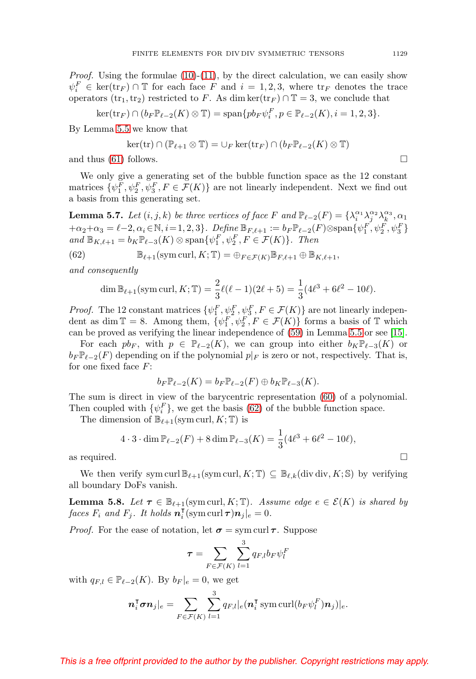<span id="page-22-2"></span>*Proof.* Using the formulae  $(10)-(11)$  $(10)-(11)$  $(10)-(11)$ , by the direct calculation, we can easily show  $\psi_i^F \in \ker(\text{tr}_F) \cap \mathbb{T}$  for each face F and  $i = 1, 2, 3$ , where  $\text{tr}_F$  denotes the trace operators (tr<sub>1</sub>, tr<sub>2</sub>) restricted to F. As dim ker(tr<sub>F</sub>)  $\cap$  T = 3, we conclude that

$$
\ker(\operatorname{tr}_F) \cap (b_F \mathbb{P}_{\ell-2}(K) \otimes \mathbb{T}) = \operatorname{span} \{ pb_F \psi_i^F, p \in \mathbb{P}_{\ell-2}(K), i = 1, 2, 3 \}.
$$

By Lemma [5.5](#page-20-1) we know that

$$
\ker(\mathrm{tr}) \cap (\mathbb{P}_{\ell+1} \otimes \mathbb{T}) = \cup_F \ker(\mathrm{tr}_F) \cap (b_F \mathbb{P}_{\ell-2}(K) \otimes \mathbb{T})
$$

and thus  $(61)$  follows.

We only give a generating set of the bubble function space as the 12 constant matrices  $\{\psi_1^F, \psi_2^F, \psi_3^F, F \in \mathcal{F}(K)\}\$  are not linearly independent. Next we find out a basis from this generating set.

**Lemma 5.7.** Let  $(i, j, k)$  be three vertices of face F and  $\mathbb{P}_{\ell-2}(F) = \{\lambda_i^{\alpha_1} \lambda_j^{\alpha_2} \lambda_k^{\alpha_3}, \alpha_1$  $+\alpha_2+\alpha_3=\ell-2, \alpha_i \in \mathbb{N}, i=1,2,3\}.$  Define  $\mathbb{B}_{F,\ell+1} := b_F \mathbb{P}_{\ell-2}(F) \otimes \text{span}\{\psi_1^F, \psi_2^F, \psi_3^F\}$ and  $\mathbb{B}_{K,\ell+1} = b_K \mathbb{P}_{\ell-3}(K) \otimes \text{span}\{\psi_1^F, \psi_2^F, F \in \mathcal{F}(K)\}\$ . Then

<span id="page-22-0"></span>(62) 
$$
\mathbb{B}_{\ell+1}(\text{sym curl}, K; \mathbb{T}) = \bigoplus_{F \in \mathcal{F}(K)} \mathbb{B}_{F, \ell+1} \oplus \mathbb{B}_{K, \ell+1},
$$

and consequently

$$
\dim \mathbb{B}_{\ell+1}(\text{sym curl}, K; \mathbb{T}) = \frac{2}{3}\ell(\ell-1)(2\ell+5) = \frac{1}{3}(4\ell^3 + 6\ell^2 - 10\ell).
$$

*Proof.* The 12 constant matrices  $\{\psi_1^F, \psi_2^F, \psi_3^F, F \in \mathcal{F}(K)\}\$  are not linearly independent as dim  $\mathbb{T} = 8$ . Among them,  $\{\psi_1^F, \psi_2^F, F \in \mathcal{F}(K)\}\$ forms a basis of  $\mathbb{T}$  which can be proved as verifying the linear independence of [\(59\)](#page-21-1) in Lemma [5.5](#page-20-1) or see [\[15\]](#page-34-12).

For each  $pb_F$ , with  $p \in \mathbb{P}_{\ell-2}(K)$ , we can group into either  $b_K \mathbb{P}_{\ell-3}(K)$  or  $b_F \mathbb{P}_{\ell-2}(F)$  depending on if the polynomial  $p|_F$  is zero or not, respectively. That is, for one fixed face  $F$ :

$$
b_F \mathbb{P}_{\ell-2}(K) = b_F \mathbb{P}_{\ell-2}(F) \oplus b_K \mathbb{P}_{\ell-3}(K).
$$

The sum is direct in view of the barycentric representation [\(60\)](#page-21-2) of a polynomial. Then coupled with  $\{\psi_i^F\}$ , we get the basis [\(62\)](#page-22-0) of the bubble function space.

The dimension of  $\mathbb{B}_{\ell+1}(\mathrm{sym\,curl}, K; \mathbb{T})$  is

$$
4 \cdot 3 \cdot \dim \mathbb{P}_{\ell-2}(F) + 8 \dim \mathbb{P}_{\ell-3}(K) = \frac{1}{3} (4\ell^3 + 6\ell^2 - 10\ell),
$$

as required.  $\Box$ 

We then verify sym curl  $\mathbb{B}_{\ell+1}(\text{sym curl}, K; \mathbb{T}) \subseteq \mathbb{B}_{\ell,k}(\text{div div}, K; \mathbb{S})$  by verifying all boundary DoFs vanish.

<span id="page-22-1"></span>**Lemma 5.8.** Let  $\tau \in \mathbb{B}_{\ell+1}(\text{sym curl}, K; \mathbb{T})$ . Assume edge  $e \in \mathcal{E}(K)$  is shared by  $faces F_i$  and  $F_j$ . It holds  $\boldsymbol{n}_i^{\intercal}(\text{sym curl }\boldsymbol{\tau})\boldsymbol{n}_j|_e = 0.$ 

*Proof.* For the ease of notation, let  $\sigma = \text{sym curl } \tau$ . Suppose

$$
\tau = \sum_{F \in \mathcal{F}(K)} \sum_{l=1}^{3} q_{F,l} b_F \psi_l^F
$$

with  $q_{F,l} \in \mathbb{P}_{\ell-2}(K)$ . By  $b_F|_e = 0$ , we get

$$
\boldsymbol n_i^{\intercal}\boldsymbol \sigma\boldsymbol n_j|_e=\sum_{F\in\mathcal F(K)}\sum_{l=1}^3q_{F,l}|_e(\boldsymbol n_i^{\intercal}\operatorname{sym}\operatorname{curl}(b_F\psi_l^F)\boldsymbol n_j)|_e.
$$

### This is a free offprint provided to the author by the publisher. Copyright restrictions may apply.

 $\Box$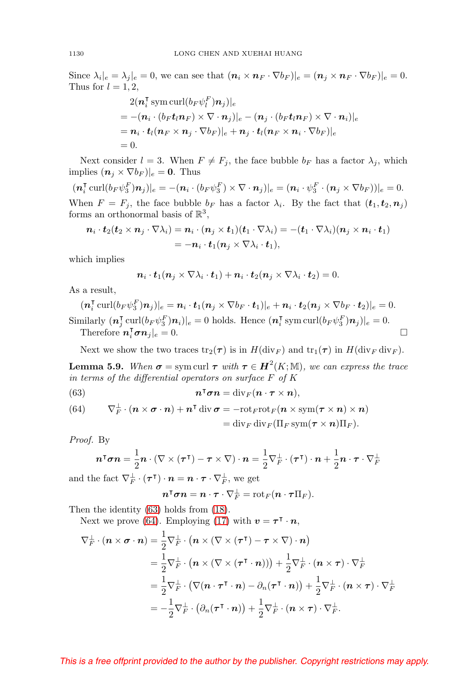Since  $\lambda_i|_e = \lambda_j|_e = 0$ , we can see that  $(\boldsymbol{n}_i \times \boldsymbol{n}_F \cdot \nabla b_F)|_e = (\boldsymbol{n}_j \times \boldsymbol{n}_F \cdot \nabla b_F)|_e = 0$ . Thus for  $l = 1, 2$ ,

$$
2(\boldsymbol{n}_i^{\mathsf{T}} \operatorname{sym} \operatorname{curl}(b_F \psi_i^F) \boldsymbol{n}_j)|_e
$$
  
= -(\boldsymbol{n}\_i \cdot (b\_F t\_i \boldsymbol{n}\_F) \times \nabla \cdot \boldsymbol{n}\_j)|\_e - (\boldsymbol{n}\_j \cdot (b\_F t\_i \boldsymbol{n}\_F) \times \nabla \cdot \boldsymbol{n}\_i)|\_e  
= \boldsymbol{n}\_i \cdot t\_l (\boldsymbol{n}\_F \times \boldsymbol{n}\_j \cdot \nabla b\_F)|\_e + \boldsymbol{n}\_j \cdot t\_l (\boldsymbol{n}\_F \times \boldsymbol{n}\_i \cdot \nabla b\_F)|\_e  
= 0.

Next consider  $l = 3$ . When  $F \neq F_j$ , the face bubble  $b_F$  has a factor  $\lambda_j$ , which implies  $(\boldsymbol{n}_i \times \nabla b_F)|_e = \mathbf{0}$ . Thus

 $(\boldsymbol{n}_i^{\mathsf{T}}\operatorname{curl}(b_F\psi_3^F)\boldsymbol{n}_j)|_e = -(\boldsymbol{n}_i\cdot(b_F\psi_3^F)\times\nabla\cdot\boldsymbol{n}_j)|_e = (\boldsymbol{n}_i\cdot\psi_3^F\cdot(\boldsymbol{n}_j\times\nabla b_F))|_e = 0.$ When  $F = F_j$ , the face bubble  $b_F$  has a factor  $\lambda_i$ . By the fact that  $(\boldsymbol{t}_1, \boldsymbol{t}_2, \boldsymbol{n}_j)$ forms an orthonormal basis of  $\mathbb{R}^3$ ,

$$
\begin{aligned} \boldsymbol{n}_i \cdot \boldsymbol{t}_2 (\boldsymbol{t}_2 \times \boldsymbol{n}_j \cdot \nabla \lambda_i) &= \boldsymbol{n}_i \cdot (\boldsymbol{n}_j \times \boldsymbol{t}_1) (\boldsymbol{t}_1 \cdot \nabla \lambda_i) = - (\boldsymbol{t}_1 \cdot \nabla \lambda_i) (\boldsymbol{n}_j \times \boldsymbol{n}_i \cdot \boldsymbol{t}_1) \\ &= - \boldsymbol{n}_i \cdot \boldsymbol{t}_1 (\boldsymbol{n}_j \times \nabla \lambda_i \cdot \boldsymbol{t}_1), \end{aligned}
$$

which implies

$$
\boldsymbol{n}_i \cdot \boldsymbol{t}_1(\boldsymbol{n}_j \times \nabla \lambda_i \cdot \boldsymbol{t}_1) + \boldsymbol{n}_i \cdot \boldsymbol{t}_2(\boldsymbol{n}_j \times \nabla \lambda_i \cdot \boldsymbol{t}_2) = 0.
$$

As a result,

 $(\boldsymbol n_i^{\intercal}\operatorname{curl}(b_F\psi_3^F)\boldsymbol n_j)|_e=\boldsymbol n_i\cdot\boldsymbol t_1(\boldsymbol n_j\times\nabla b_F\cdot\boldsymbol t_1)|_e+\boldsymbol n_i\cdot\boldsymbol t_2(\boldsymbol n_j\times\nabla b_F\cdot\boldsymbol t_2)|_e=0.$ Similarly  $(\mathbf{n}_j^{\mathsf{T}} \operatorname{curl}(b_F \psi_3^F)\mathbf{n}_i)|_e = 0$  holds. Hence  $(\mathbf{n}_i^{\mathsf{T}} \operatorname{sym} \operatorname{curl}(b_F \psi_3^F)\mathbf{n}_j)|_e = 0$ . Therefore  $\boldsymbol{n}_i^{\mathsf{T}}\boldsymbol{\sigma}\boldsymbol{n}_j|_e = 0.$  $\Box$ 

Next we show the two traces  $\text{tr}_2(\tau)$  is in  $H(\text{div}_F)$  and  $\text{tr}_1(\tau)$  in  $H(\text{div}_F \text{div}_F)$ .

<span id="page-23-2"></span>**Lemma 5.9.** When  $\sigma = \text{sym curl } \tau$  with  $\tau \in H^2(K; \mathbb{M})$ , we can express the trace in terms of the differential operators on surface  $F$  of  $K$ 

<span id="page-23-0"></span>(63) 
$$
n^{\mathsf{T}} \sigma n = \text{div}_F(n \cdot \tau \times n),
$$

<span id="page-23-1"></span>(64) 
$$
\nabla_{F}^{\perp} \cdot (\boldsymbol{n} \times \boldsymbol{\sigma} \cdot \boldsymbol{n}) + \boldsymbol{n}^{\mathsf{T}} \operatorname{div} \boldsymbol{\sigma} = -\operatorname{rot}_{F} \operatorname{rot}_{F} (\boldsymbol{n} \times \operatorname{sym} (\boldsymbol{\tau} \times \boldsymbol{n}) \times \boldsymbol{n})
$$

$$
= \operatorname{div}_{F} \operatorname{div}_{F} (\Pi_{F} \operatorname{sym} (\boldsymbol{\tau} \times \boldsymbol{n}) \Pi_{F}).
$$

Proof. By

$$
\boldsymbol{n}^\intercal \boldsymbol{\sigma} \boldsymbol{n} = \frac{1}{2} \boldsymbol{n} \cdot (\nabla \times (\boldsymbol{\tau}^\intercal) - \boldsymbol{\tau} \times \nabla) \cdot \boldsymbol{n} = \frac{1}{2} \nabla_F^{\perp} \cdot (\boldsymbol{\tau}^\intercal) \cdot \boldsymbol{n} + \frac{1}{2} \boldsymbol{n} \cdot \boldsymbol{\tau} \cdot \nabla_F^{\perp}
$$

and the fact  $\nabla_F^{\perp} \cdot (\tau^{\intercal}) \cdot n = n \cdot \tau \cdot \nabla_F^{\perp}$ , we get

$$
\boldsymbol n^{\intercal}\boldsymbol \sigma\boldsymbol n=\boldsymbol n\cdot\boldsymbol\tau\cdot\nabla_F^{\perp}=\mathrm{rot}_F(\boldsymbol n\cdot\boldsymbol\tau\Pi_F).
$$

Then the identity [\(63\)](#page-23-0) holds from [\(18\)](#page-6-4).

Next we prove [\(64\)](#page-23-1). Employing [\(17\)](#page-6-5) with  $v = \tau^{\dagger} \cdot n$ ,

$$
\nabla_{F}^{\perp} \cdot (n \times \sigma \cdot n) = \frac{1}{2} \nabla_{F}^{\perp} \cdot (n \times (\nabla \times (\tau^{\mathsf{T}}) - \tau \times \nabla) \cdot n)
$$
  
\n
$$
= \frac{1}{2} \nabla_{F}^{\perp} \cdot (n \times (\nabla \times (\tau^{\mathsf{T}} \cdot n))) + \frac{1}{2} \nabla_{F}^{\perp} \cdot (n \times \tau) \cdot \nabla_{F}^{\perp}
$$
  
\n
$$
= \frac{1}{2} \nabla_{F}^{\perp} \cdot (\nabla (n \cdot \tau^{\mathsf{T}} \cdot n) - \partial_{n} (\tau^{\mathsf{T}} \cdot n)) + \frac{1}{2} \nabla_{F}^{\perp} \cdot (n \times \tau) \cdot \nabla_{F}^{\perp}
$$
  
\n
$$
= -\frac{1}{2} \nabla_{F}^{\perp} \cdot (\partial_{n} (\tau^{\mathsf{T}} \cdot n)) + \frac{1}{2} \nabla_{F}^{\perp} \cdot (n \times \tau) \cdot \nabla_{F}^{\perp}.
$$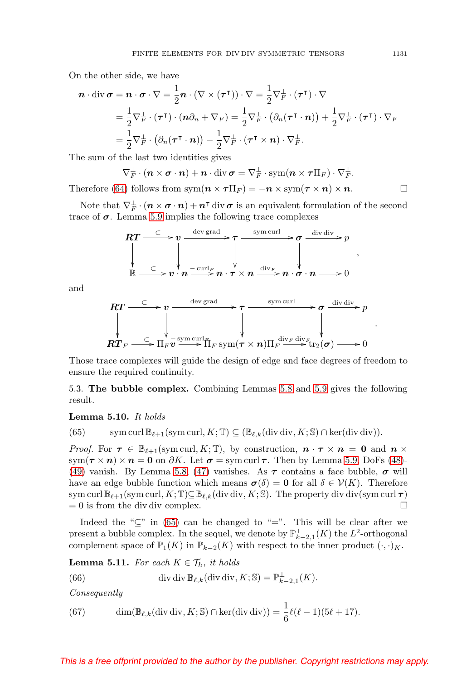On the other side, we have

$$
\mathbf{n} \cdot \text{div} \,\boldsymbol{\sigma} = \mathbf{n} \cdot \boldsymbol{\sigma} \cdot \nabla = \frac{1}{2} \mathbf{n} \cdot (\nabla \times (\boldsymbol{\tau}^{\mathsf{T}})) \cdot \nabla = \frac{1}{2} \nabla_{F}^{\perp} \cdot (\boldsymbol{\tau}^{\mathsf{T}}) \cdot \nabla
$$
  
\n
$$
= \frac{1}{2} \nabla_{F}^{\perp} \cdot (\boldsymbol{\tau}^{\mathsf{T}}) \cdot (\mathbf{n} \partial_{n} + \nabla_{F}) = \frac{1}{2} \nabla_{F}^{\perp} \cdot (\partial_{n} (\boldsymbol{\tau}^{\mathsf{T}} \cdot \mathbf{n})) + \frac{1}{2} \nabla_{F}^{\perp} \cdot (\boldsymbol{\tau}^{\mathsf{T}}) \cdot \nabla_{F}
$$
  
\n
$$
= \frac{1}{2} \nabla_{F}^{\perp} \cdot (\partial_{n} (\boldsymbol{\tau}^{\mathsf{T}} \cdot \mathbf{n})) - \frac{1}{2} \nabla_{F}^{\perp} \cdot (\boldsymbol{\tau}^{\mathsf{T}} \times \mathbf{n}) \cdot \nabla_{F}^{\perp}.
$$

The sum of the last two identities gives

$$
\nabla_{F}^{\perp} \cdot (\boldsymbol{n} \times \boldsymbol{\sigma} \cdot \boldsymbol{n}) + \boldsymbol{n} \cdot \text{div } \boldsymbol{\sigma} = \nabla_{F}^{\perp} \cdot \text{sym}(\boldsymbol{n} \times \boldsymbol{\tau} \Pi_{F}) \cdot \nabla_{F}^{\perp}.
$$
  
Therefore (64) follows from sym( $\boldsymbol{n} \times \boldsymbol{\tau} \Pi_{F}$ ) =  $-\boldsymbol{n} \times \text{sym}(\boldsymbol{\tau} \times \boldsymbol{n}) \times \boldsymbol{n}$ .

Note that  $\nabla_F^{\perp} \cdot (n \times \sigma \cdot n) + n^{\intercal}$  div  $\sigma$  is an equivalent formulation of the second trace of  $\sigma$ . Lemma [5.9](#page-23-2) implies the following trace complexes

$$
RT \xrightarrow{\subset} v \xrightarrow{\operatorname{dev grad}} \tau \xrightarrow{\operatorname{sym curl}} \sigma \xrightarrow{\operatorname{div div}} p
$$
  
\n
$$
\downarrow \qquad \qquad \downarrow \qquad \qquad \downarrow
$$
  
\n
$$
\uparrow \qquad \qquad \downarrow
$$
  
\n
$$
\uparrow \qquad \qquad \downarrow
$$
  
\n
$$
\uparrow \qquad \qquad \downarrow
$$
  
\n
$$
\uparrow \qquad \qquad \downarrow
$$
  
\n
$$
\uparrow \qquad \qquad \downarrow
$$
  
\n
$$
\uparrow \qquad \qquad \downarrow
$$
  
\n
$$
\downarrow \qquad \qquad \downarrow
$$
  
\n
$$
\downarrow \qquad \qquad \downarrow
$$
  
\n
$$
\downarrow \qquad \qquad \downarrow
$$
  
\n
$$
\downarrow \qquad \qquad \downarrow
$$
  
\n
$$
\downarrow \qquad \qquad \downarrow
$$
  
\n
$$
\downarrow \qquad \qquad \downarrow
$$
  
\n
$$
\downarrow \qquad \qquad \downarrow
$$
  
\n
$$
\downarrow \qquad \qquad \downarrow
$$
  
\n
$$
\downarrow \qquad \qquad \downarrow
$$
  
\n
$$
\downarrow \qquad \qquad \downarrow
$$
  
\n
$$
\downarrow \qquad \qquad \downarrow
$$
  
\n
$$
\downarrow \qquad \qquad \downarrow
$$
  
\n
$$
\downarrow \qquad \qquad \downarrow
$$
  
\n
$$
\downarrow \qquad \qquad \downarrow
$$
  
\n
$$
\downarrow \qquad \qquad \downarrow
$$
  
\n
$$
\downarrow \qquad \qquad \downarrow
$$
  
\n
$$
\downarrow \qquad \qquad \downarrow
$$
  
\n
$$
\downarrow \qquad \qquad \downarrow
$$
  
\n
$$
\downarrow \qquad \qquad \downarrow
$$
  
\n
$$
\downarrow \qquad \qquad \downarrow
$$
  
\n
$$
\downarrow \qquad \qquad \downarrow
$$
  
\n
$$
\downarrow \qquad \qquad \downarrow
$$
  
\n
$$
\downarrow \qquad \qquad \downarrow
$$
  
\n
$$
\downarrow \qquad
$$

and

$$
RT \xrightarrow{\subset} v \xrightarrow{\operatorname{dev grad}} \qquad \qquad \tau \xrightarrow{\operatorname{sym curl}} \qquad \sigma \xrightarrow{\operatorname{div } \operatorname{div}} p
$$
  
\n
$$
RT_F \xrightarrow{\subset} \Pi_F v \xrightarrow{\operatorname{sym curl}} F \Pi_F \operatorname{sym}(\tau \times n) \Pi_F \xrightarrow{\operatorname{div}_F \operatorname{div}_F} \tau \xrightarrow{\operatorname{div}_F} 0
$$

Those trace complexes will guide the design of edge and face degrees of freedom to ensure the required continuity.

5.3. **The bubble complex.** Combining Lemmas [5.8](#page-22-1) and [5.9](#page-23-2) gives the following result.

### <span id="page-24-2"></span>**Lemma 5.10.** It holds

<span id="page-24-0"></span>(65) sym curl  $\mathbb{B}_{\ell+1}(\text{sym curl}, K; \mathbb{T}) \subseteq (\mathbb{B}_{\ell,k}(\text{div div}, K; \mathbb{S}) \cap \text{ker}(\text{div div})).$ 

*Proof.* For  $\tau \in \mathbb{B}_{\ell+1}(\text{sym curl}, K; \mathbb{T})$ , by construction,  $n \cdot \tau \times n = 0$  and  $n \times$ sym( $\tau \times n$ ) ×  $n = 0$  on  $\partial K$ . Let  $\sigma =$  sym curl  $\tau$ . Then by Lemma [5.9,](#page-23-2) DoFs [\(48\)](#page-17-11)-[\(49\)](#page-17-6) vanish. By Lemma [5.8,](#page-22-1) [\(47\)](#page-17-12) vanishes. As  $\tau$  contains a face bubble,  $\sigma$  will have an edge bubble function which means  $\sigma(\delta) = 0$  for all  $\delta \in \mathcal{V}(K)$ . Therefore sym curl  $\mathbb{B}_{\ell+1}(\operatorname{sym}\operatorname{curl}, K;\mathbb{T})\subseteq \mathbb{B}_{\ell,k}(\operatorname{div}\operatorname{div}, K;\mathbb{S})$ . The property div div(sym curl  $\boldsymbol{\tau})$  $= 0$  is from the div div complex.  $\square$ 

Indeed the " $\subseteq$ " in [\(65\)](#page-24-0) can be changed to "=". This will be clear after we present a bubble complex. In the sequel, we denote by  $\mathbb{P}_{k-2,1}^{\perp}(K)$  the  $L^2$ -orthogonal complement space of  $\mathbb{P}_1(K)$  in  $\mathbb{P}_{k-2}(K)$  with respect to the inner product  $(\cdot, \cdot)_K$ .

<span id="page-24-4"></span>**Lemma 5.11.** For each  $K \in \mathcal{T}_h$ , it holds

<span id="page-24-1"></span>(66) 
$$
\operatorname{div} \operatorname{div} \mathbb{B}_{\ell,k}(\operatorname{div} \operatorname{div}, K; \mathbb{S}) = \mathbb{P}_{k-2,1}^{\perp}(K).
$$

Consequently

<span id="page-24-3"></span>(67) 
$$
\dim(\mathbb{B}_{\ell,k}(\text{div div}, K; \mathbb{S}) \cap \ker(\text{div div})) = \frac{1}{6}\ell(\ell-1)(5\ell+17).
$$

### This is a free offprint provided to the author by the publisher. Copyright restrictions may apply.

,

.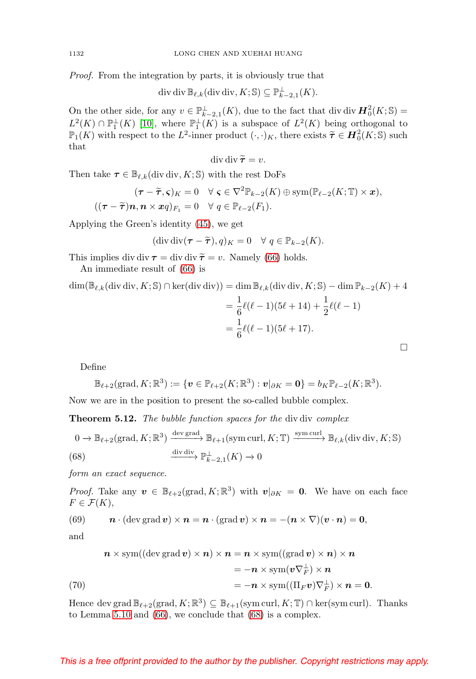<span id="page-25-3"></span>Proof. From the integration by parts, it is obviously true that

$$
\operatorname{div} \operatorname{div} \mathbb{B}_{\ell,k}(\operatorname{div} \operatorname{div}, K; \mathbb{S}) \subseteq \mathbb{P}_{k-2,1}^{\perp}(K).
$$

On the other side, for any  $v \in \mathbb{P}_{k-2,1}^{\perp}(K)$ , due to the fact that div div  $\mathbf{H}^2_0(K; \mathbb{S}) =$  $L^2(K) \cap \mathbb{P}_1^{\perp}(K)$  [\[10\]](#page-34-6), where  $\mathbb{P}_1^{\perp}(K)$  is a subspace of  $L^2(K)$  being orthogonal to  $\mathbb{P}_1(K)$  with respect to the  $L^2$ -inner product  $(\cdot, \cdot)_K$ , there exists  $\widetilde{\tau} \in H_0^2(K; \mathbb{S})$  such that that

$$
\operatorname{div} \operatorname{div} \widetilde{\boldsymbol{\tau}} = v.
$$

Then take  $\tau \in \mathbb{B}_{\ell,k}(\text{div div}, K; \mathbb{S})$  with the rest DoFs

$$
(\boldsymbol{\tau} - \widetilde{\boldsymbol{\tau}}, \boldsymbol{\varsigma})_K = 0 \quad \forall \ \boldsymbol{\varsigma} \in \nabla^2 \mathbb{P}_{k-2}(K) \oplus \text{sym}(\mathbb{P}_{\ell-2}(K;\mathbb{T}) \times \boldsymbol{x}),
$$
  

$$
((\boldsymbol{\tau} - \widetilde{\boldsymbol{\tau}})\boldsymbol{n}, \boldsymbol{n} \times \boldsymbol{x}q)_{F_1} = 0 \quad \forall \ q \in \mathbb{P}_{\ell-2}(F_1).
$$

Applying the Green's identity [\(45\)](#page-14-0), we get

$$
(\operatorname{div} \operatorname{div} (\boldsymbol{\tau} - \boldsymbol{\tilde{\tau}}), q)_K = 0 \quad \forall \ q \in \mathbb{P}_{k-2}(K).
$$

This implies div div  $\tau = \text{div } \text{div } \tilde{\tau} = v$ . Namely [\(66\)](#page-24-1) holds.

An immediate result of [\(66\)](#page-24-1) is

$$
\dim(\mathbb{B}_{\ell,k}(\text{div div}, K; \mathbb{S}) \cap \ker(\text{div div})) = \dim \mathbb{B}_{\ell,k}(\text{div div}, K; \mathbb{S}) - \dim \mathbb{P}_{k-2}(K) + 4
$$

$$
= \frac{1}{6}\ell(\ell-1)(5\ell+14) + \frac{1}{2}\ell(\ell-1)
$$

$$
= \frac{1}{6}\ell(\ell-1)(5\ell+17).
$$

Define

$$
\mathbb{B}_{\ell+2}(\mathrm{grad}, K; \mathbb{R}^3) := \{ \boldsymbol{v} \in \mathbb{P}_{\ell+2}(K; \mathbb{R}^3) : \boldsymbol{v}|_{\partial K} = \mathbf{0} \} = b_K \mathbb{P}_{\ell-2}(K; \mathbb{R}^3).
$$

Now we are in the position to present the so-called bubble complex.

**Theorem 5.12.** The bubble function spaces for the div div complex

<span id="page-25-0"></span>
$$
0 \to \mathbb{B}_{\ell+2}(\text{grad}, K; \mathbb{R}^3) \xrightarrow{\text{dev grad}} \mathbb{B}_{\ell+1}(\text{sym curl}, K; \mathbb{T}) \xrightarrow{\text{sym curl}} \mathbb{B}_{\ell,k}(\text{div div}, K; \mathbb{S})
$$
  
(68) 
$$
\xrightarrow{\text{div div}} \mathbb{P}_{k-2,1}^{\perp}(K) \to 0
$$

form an exact sequence.

*Proof.* Take any  $v \in \mathbb{B}_{\ell+2}(\text{grad}, K; \mathbb{R}^3)$  with  $v|_{\partial K} = 0$ . We have on each face  $F \in \mathcal{F}(K),$ 

<span id="page-25-1"></span>(69) 
$$
\boldsymbol{n} \cdot (\text{dev grad } \boldsymbol{v}) \times \boldsymbol{n} = \boldsymbol{n} \cdot (\text{grad } \boldsymbol{v}) \times \boldsymbol{n} = -(\boldsymbol{n} \times \nabla)(\boldsymbol{v} \cdot \boldsymbol{n}) = \boldsymbol{0},
$$

and

$$
\mathbf{n} \times \text{sym}((\text{dev grad }\mathbf{v}) \times \mathbf{n}) \times \mathbf{n} = \mathbf{n} \times \text{sym}((\text{grad }\mathbf{v}) \times \mathbf{n}) \times \mathbf{n}
$$

$$
= -\mathbf{n} \times \text{sym}(\mathbf{v}\nabla_{\text{F}}^{\perp}) \times \mathbf{n}
$$

$$
= -\mathbf{n} \times \text{sym}((\Pi_{\text{F}}\mathbf{v})\nabla_{\text{F}}^{\perp}) \times \mathbf{n} = \mathbf{0}.
$$
(70)

<span id="page-25-2"></span>Hence dev grad  $\mathbb{B}_{\ell+2}(\text{grad}, K; \mathbb{R}^3) \subseteq \mathbb{B}_{\ell+1}(\text{sym curl}, K; \mathbb{T}) \cap \text{ker}(\text{sym curl})$ . Thanks to Lemma [5.10](#page-24-2) and [\(66\)](#page-24-1), we conclude that [\(68\)](#page-25-0) is a complex.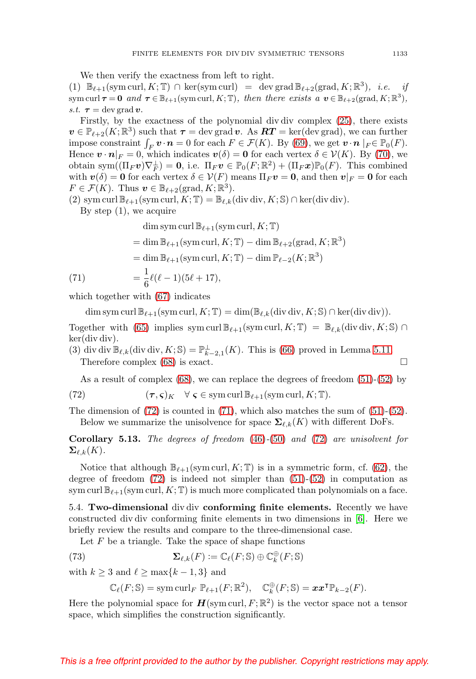<span id="page-26-4"></span>We then verify the exactness from left to right.

(1)  $\mathbb{B}_{\ell+1}(\text{sym curl}, K; \mathbb{T}) \cap \text{ker}(\text{sym curl}) = \text{dev grad } \mathbb{B}_{\ell+2}(\text{grad}, K; \mathbb{R}^3), \text{ i.e. if}$  $\text{sym curl } \tau = \mathbf{0} \text{ and } \tau \in \mathbb{B}_{\ell+1}(\text{sym curl}, K; \mathbb{T}), \text{ then there exists a } \mathbf{v} \in \mathbb{B}_{\ell+2}(\text{grad}, K; \mathbb{R}^3),$ s.t.  $\tau = \text{dev grad } v$ .

Firstly, by the exactness of the polynomial div div complex [\(25\)](#page-8-2), there exists  $\boldsymbol{v} \in \mathbb{P}_{\ell+2}(K;\mathbb{R}^3)$  such that  $\boldsymbol{\tau} = \text{dev grad }\boldsymbol{v}$ . As  $\boldsymbol{RT} = \text{ker}(\text{dev grad})$ , we can further impose constraint  $\int_F \mathbf{v} \cdot \mathbf{n} = 0$  for each  $F \in \mathcal{F}(K)$ . By [\(69\)](#page-25-1), we get  $\mathbf{v} \cdot \mathbf{n} |_{F} \in \mathbb{P}_0(F)$ . Hence  $\mathbf{v} \cdot \mathbf{n}|_F = 0$ , which indicates  $\mathbf{v}(\delta) = \mathbf{0}$  for each vertex  $\delta \in \mathcal{V}(K)$ . By [\(70\)](#page-25-2), we obtain sym $((\Pi_F v)\nabla_F^{\perp}) = 0$ , i.e.  $\Pi_F v \in \mathbb{P}_0(F;\mathbb{R}^2) + (\Pi_F x)\mathbb{P}_0(F)$ . This combined with  $v(\delta) = 0$  for each vertex  $\delta \in V(F)$  means  $\Pi_F v = 0$ , and then  $v|_F = 0$  for each  $F \in \mathcal{F}(K)$ . Thus  $\boldsymbol{v} \in \mathbb{B}_{\ell+2}(\text{grad}, K; \mathbb{R}^3)$ .

(2) sym curl  $\mathbb{B}_{\ell+1}(\text{sym curl}, K; \mathbb{T}) = \mathbb{B}_{\ell,k}(\text{div div}, K; \mathbb{S}) \cap \text{ker}(\text{div div}).$ 

By step  $(1)$ , we acquire

$$
\dim \operatorname{sym} \operatorname{curl} \mathbb{B}_{\ell+1}(\operatorname{sym} \operatorname{curl}, K; \mathbb{T})
$$
\n
$$
= \dim \mathbb{B}_{\ell+1}(\operatorname{sym} \operatorname{curl}, K; \mathbb{T}) - \dim \mathbb{B}_{\ell+2}(\operatorname{grad}, K; \mathbb{R}^3)
$$
\n
$$
= \dim \mathbb{B}_{\ell+1}(\operatorname{sym} \operatorname{curl}, K; \mathbb{T}) - \dim \mathbb{P}_{\ell-2}(K; \mathbb{R}^3)
$$
\n(71)\n
$$
= \frac{1}{6}\ell(\ell-1)(5\ell+17),
$$

<span id="page-26-2"></span>which together with [\(67\)](#page-24-3) indicates

 $\dim \operatorname{sym}\operatorname{curl} \mathbb{B}_{\ell+1}(\operatorname{sym}\operatorname{curl}, K; \mathbb{T}) = \dim(\mathbb{B}_{\ell,k}(\operatorname{div} \operatorname{div}, K; \mathbb{S}) \cap \ker(\operatorname{div} \operatorname{div})).$ 

Together with [\(65\)](#page-24-0) implies sym curl  $\mathbb{B}_{\ell+1}(\text{sym curl}, K; \mathbb{T}) = \mathbb{B}_{\ell,k}(\text{div div}, K; \mathbb{S}) \cap$ ker(div div).

(3) div div  $\mathbb{B}_{\ell,k}$  (div div,  $K; \mathbb{S}) = \mathbb{P}_{k-2,1}^{\perp}(K)$ . This is [\(66\)](#page-24-1) proved in Lemma [5.11.](#page-24-4) Therefore complex  $(68)$  is exact.

As a result of complex [\(68\)](#page-25-0), we can replace the degrees of freedom [\(51\)](#page-17-2)-[\(52\)](#page-17-0) by

<span id="page-26-1"></span>(72) 
$$
(\tau, \varsigma)_K \quad \forall \ \varsigma \in \mathrm{sym\, curl}\, \mathbb{B}_{\ell+1}(\mathrm{sym\, curl}, K; \mathbb{T}).
$$

The dimension of  $(72)$  is counted in  $(71)$ , which also matches the sum of  $(51)-(52)$  $(51)-(52)$  $(51)-(52)$ . Below we summarize the unisolvence for space  $\Sigma_{\ell,k}(K)$  with different DoFs.

**Corollary 5.13.** The degrees of freedom [\(46\)](#page-17-1)-[\(50\)](#page-17-8) and [\(72\)](#page-26-1) are unisolvent for  $\mathbf{\Sigma}_{\ell,k}(K).$ 

Notice that although  $\mathbb{B}_{\ell+1}(\text{sym curl}, K; \mathbb{T})$  is in a symmetric form, cf. [\(62\)](#page-22-0), the degree of freedom  $(72)$  is indeed not simpler than  $(51)-(52)$  $(51)-(52)$  $(51)-(52)$  in computation as sym curl  $\mathbb{B}_{\ell+1}(\text{sym curl}, K; \mathbb{T})$  is much more complicated than polynomials on a face.

<span id="page-26-0"></span>5.4. **Two-dimensional** div div **conforming finite elements.** Recently we have constructed div div conforming finite elements in two dimensions in [\[6\]](#page-34-1). Here we briefly review the results and compare to the three-dimensional case.

Let  $F$  be a triangle. Take the space of shape functions

<span id="page-26-3"></span>(73) 
$$
\mathbf{\Sigma}_{\ell,k}(F) := \mathbb{C}_{\ell}(F; \mathbb{S}) \oplus \mathbb{C}_{k}^{\oplus}(F; \mathbb{S})
$$

with  $k \geq 3$  and  $\ell \geq \max\{k-1, 3\}$  and

$$
\mathbb{C}_{\ell}(F; \mathbb{S}) = \operatorname{sym} \operatorname{curl}_F \mathbb{P}_{\ell+1}(F; \mathbb{R}^2), \quad \mathbb{C}_{k}^{\oplus}(F; \mathbb{S}) = \boldsymbol{x} \boldsymbol{x}^{\mathsf{T}} \mathbb{P}_{k-2}(F).
$$

Here the polynomial space for  $H(\mathrm{sym}\,\mathrm{curl}, F; \mathbb{R}^2)$  is the vector space not a tensor space, which simplifies the construction significantly.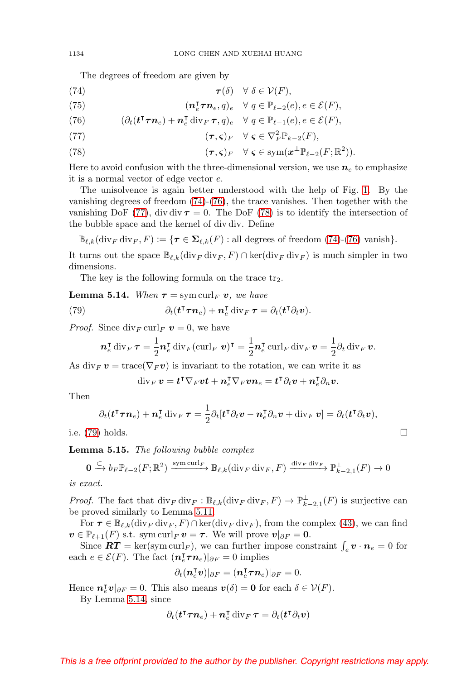The degrees of freedom are given by

<span id="page-27-0"></span>(74) 
$$
\boldsymbol{\tau}(\delta) \quad \forall \ \delta \in \mathcal{V}(F),
$$

(75) 
$$
(\mathbf{n}_e^{\mathsf{T}} \boldsymbol{\tau} \mathbf{n}_e, q)_e \quad \forall \ q \in \mathbb{P}_{\ell-2}(e), e \in \mathcal{E}(F),
$$

<span id="page-27-1"></span>(76) 
$$
(\partial_t (\mathbf{t}^\intercal \boldsymbol{\tau} \boldsymbol{n}_e) + \boldsymbol{n}_e^\intercal \operatorname{div}_F \boldsymbol{\tau}, q)_e \quad \forall \ q \in \mathbb{P}_{\ell-1}(e), e \in \mathcal{E}(F),
$$

<span id="page-27-2"></span>(77) 
$$
(\tau, \varsigma)_F \quad \forall \ \varsigma \in \nabla_F^2 \mathbb{P}_{k-2}(F),
$$

<span id="page-27-3"></span>(78) 
$$
(\tau, \varsigma)_F \quad \forall \ \varsigma \in \mathrm{sym}(\boldsymbol{x}^{\perp} \mathbb{P}_{\ell-2}(F; \mathbb{R}^2)).
$$

Here to avoid confusion with the three-dimensional version, we use  $n_e$  to emphasize it is a normal vector of edge vector e.

The unisolvence is again better understood with the help of Fig. [1.](#page-2-0) By the vanishing degrees of freedom [\(74\)](#page-27-0)-[\(76\)](#page-27-1), the trace vanishes. Then together with the vanishing DoF [\(77\)](#page-27-2), div div  $\tau = 0$ . The DoF [\(78\)](#page-27-3) is to identify the intersection of the bubble space and the kernel of div div. Define

 $\mathbb{B}_{\ell,k}(\text{div}_F \text{div}_F, F) := \{\tau \in \Sigma_{\ell,k}(F) : \text{all degrees of freedom } (74)-(76) \text{ vanish}\}.$  $\mathbb{B}_{\ell,k}(\text{div}_F \text{div}_F, F) := \{\tau \in \Sigma_{\ell,k}(F) : \text{all degrees of freedom } (74)-(76) \text{ vanish}\}.$  $\mathbb{B}_{\ell,k}(\text{div}_F \text{div}_F, F) := \{\tau \in \Sigma_{\ell,k}(F) : \text{all degrees of freedom } (74)-(76) \text{ vanish}\}.$  $\mathbb{B}_{\ell,k}(\text{div}_F \text{div}_F, F) := \{\tau \in \Sigma_{\ell,k}(F) : \text{all degrees of freedom } (74)-(76) \text{ vanish}\}.$  $\mathbb{B}_{\ell,k}(\text{div}_F \text{div}_F, F) := \{\tau \in \Sigma_{\ell,k}(F) : \text{all degrees of freedom } (74)-(76) \text{ vanish}\}.$ 

It turns out the space  $\mathbb{B}_{\ell,k}(\text{div}_F \text{div}_F, F) \cap \text{ker}(\text{div}_F \text{div}_F)$  is much simpler in two dimensions.

The key is the following formula on the trace  $tr_2$ .

<span id="page-27-5"></span>**Lemma 5.14.** When  $\tau = \text{sym curl}_F v$ , we have

<span id="page-27-4"></span>(79) 
$$
\partial_t(\mathbf{t}^\intercal \boldsymbol{\tau} \boldsymbol{n}_e) + \boldsymbol{n}_e^\intercal \operatorname{div}_F \boldsymbol{\tau} = \partial_t(\mathbf{t}^\intercal \partial_t \boldsymbol{v}).
$$

*Proof.* Since  $\text{div}_F \text{curl}_F v = 0$ , we have

$$
\boldsymbol{n}_e^{\mathsf{T}} \operatorname{div}_F \boldsymbol{\tau} = \frac{1}{2} \boldsymbol{n}_e^{\mathsf{T}} \operatorname{div}_F (\operatorname{curl}_F \boldsymbol{v})^{\mathsf{T}} = \frac{1}{2} \boldsymbol{n}_e^{\mathsf{T}} \operatorname{curl}_F \operatorname{div}_F \boldsymbol{v} = \frac{1}{2} \partial_t \operatorname{div}_F \boldsymbol{v}.
$$

As div<sub>F</sub>  $v = \text{trace}(\nabla_F v)$  is invariant to the rotation, we can write it as

$$
\operatorname{div}_F\boldsymbol v=\boldsymbol t^{\intercal}\nabla_F\boldsymbol v\boldsymbol t+\boldsymbol n_e^{\intercal}\nabla_F\boldsymbol v\boldsymbol n_e=\boldsymbol t^{\intercal}\partial_t\boldsymbol v+\boldsymbol n_e^{\intercal}\partial_n\boldsymbol v.
$$

Then

$$
\partial_t(\mathbf{t}^\intercal \boldsymbol{\tau} \boldsymbol{n}_e) + \boldsymbol{n}_e^\intercal \operatorname{div}_F \boldsymbol{\tau} = \frac{1}{2} \partial_t [\mathbf{t}^\intercal \partial_t \boldsymbol{v} - \boldsymbol{n}_e^\intercal \partial_n \boldsymbol{v} + \operatorname{div}_F \boldsymbol{v}] = \partial_t (\mathbf{t}^\intercal \partial_t \boldsymbol{v}),
$$

 $\Box$ 

i.e.  $(79)$  holds.

**Lemma 5.15.** The following bubble complex

$$
\mathbf{0} \xrightarrow{\subset} b_F \mathbb{P}_{\ell-2}(F;\mathbb{R}^2) \xrightarrow{\text{sym curl}_F} \mathbb{B}_{\ell,k}(\text{div}_F \text{div}_F, F) \xrightarrow{\text{div}_F \text{div}_F} \mathbb{P}_{k-2,1}^\perp(F) \to 0
$$

is exact.

*Proof.* The fact that  $\text{div}_F \text{div}_F : \mathbb{B}_{\ell,k}(\text{div}_F \text{div}_F, F) \to \mathbb{P}_{k-2,1}^{\perp}(F)$  is surjective can be proved similarly to Lemma [5.11.](#page-24-4)

For  $\tau \in \mathbb{B}_{\ell,k}(\text{div}_F \text{div}_F, F) \cap \text{ker}(\text{div}_F \text{div}_F)$ , from the complex [\(43\)](#page-13-2), we can find  $\boldsymbol{v} \in \mathbb{P}_{\ell+1}(F)$  s.t. sym curl<sub>F</sub>  $\boldsymbol{v} = \boldsymbol{\tau}$ . We will prove  $\boldsymbol{v}|_{\partial F} = \mathbf{0}$ .

Since  $\boldsymbol{RT} = \ker(\text{sym curl}_F)$ , we can further impose constraint  $\int_e \boldsymbol{v} \cdot \boldsymbol{n}_e = 0$  for each  $e \in \mathcal{E}(F)$ . The fact  $(\mathbf{n}_e^{\mathsf{T}} \boldsymbol{\tau} \mathbf{n}_e)|_{\partial F} = 0$  implies

$$
\partial_t(\boldsymbol{n}_e^{\intercal}\boldsymbol{v})|_{\partial F}=(\boldsymbol{n}_e^{\intercal}\boldsymbol{\tau}\boldsymbol{n}_e)|_{\partial F}=0.
$$

Hence  $n_{\epsilon}^{\mathsf{T}}v|_{\partial F} = 0$ . This also means  $v(\delta) = 0$  for each  $\delta \in \mathcal{V}(F)$ .

By Lemma [5.14,](#page-27-5) since

$$
\partial_t(\boldsymbol t^{\intercal}\boldsymbol \tau\boldsymbol n_e)+\boldsymbol n_e^{\intercal}\operatorname{div}_F\boldsymbol \tau=\partial_t(\boldsymbol t^{\intercal}\partial_t\boldsymbol v)
$$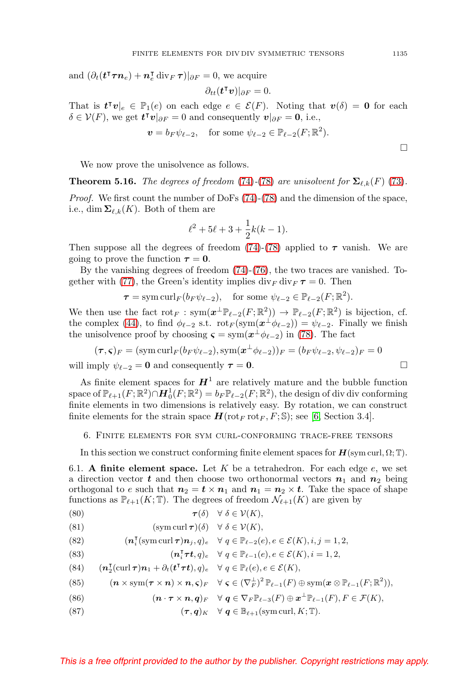<span id="page-28-10"></span>and  $(\partial_t(\mathbf{t}^\intercal \boldsymbol{\tau} \boldsymbol{n}_e) + \boldsymbol{n}_e^\intercal \text{div}_F \boldsymbol{\tau})|_{\partial F} = 0$ , we acquire

$$
\partial_{tt}(\mathbf{t}^\intercal \mathbf{v})|_{\partial F}=0.
$$

That is  $t^{\intercal}v|_e \in \mathbb{P}_1(e)$  on each edge  $e \in \mathcal{E}(F)$ . Noting that  $v(\delta) = 0$  for each  $\delta \in \mathcal{V}(F)$ , we get  $\mathbf{t}^\intercal \mathbf{v}|_{\partial F} = 0$  and consequently  $\mathbf{v}|_{\partial F} = \mathbf{0}$ , i.e.,

$$
\mathbf{v} = b_F \psi_{\ell-2}, \quad \text{for some } \psi_{\ell-2} \in \mathbb{P}_{\ell-2}(F; \mathbb{R}^2).
$$

We now prove the unisolvence as follows.

<span id="page-28-9"></span>**Theorem 5.16.** The degrees of freedom [\(74\)](#page-27-0)-[\(78\)](#page-27-3) are unisolvent for  $\Sigma_{\ell,k}(F)$  [\(73\)](#page-26-3).

Proof. We first count the number of DoFs [\(74\)](#page-27-0)-[\(78\)](#page-27-3) and the dimension of the space, i.e., dim  $\mathbf{\Sigma}_{\ell,k}(K)$ . Both of them are

$$
\ell^2 + 5\ell + 3 + \frac{1}{2}k(k-1).
$$

Then suppose all the degrees of freedom  $(74)-(78)$  $(74)-(78)$  $(74)-(78)$  applied to  $\tau$  vanish. We are going to prove the function  $\tau = 0$ .

By the vanishing degrees of freedom [\(74\)](#page-27-0)-[\(76\)](#page-27-1), the two traces are vanished. To-gether with [\(77\)](#page-27-2), the Green's identity implies  $\text{div}_F \, \text{div}_F \, \tau = 0$ . Then

$$
\tau = \operatorname{sym} \operatorname{curl}_F(b_F \psi_{\ell-2}), \quad \text{for some } \psi_{\ell-2} \in \mathbb{P}_{\ell-2}(F;\mathbb{R}^2).
$$

We then use the fact  $\text{rot}_F : \text{sym}(\mathbf{z}^\perp \mathbb{P}_{\ell-2}(F;\mathbb{R}^2)) \to \mathbb{P}_{\ell-2}(F;\mathbb{R}^2)$  is bijection, cf. the complex [\(44\)](#page-13-3), to find  $\phi_{\ell-2}$  s.t.  $\text{rot}_F(\text{sym}(\mathbf{z}^{\perp}\phi_{\ell-2})) = \psi_{\ell-2}$ . Finally we finish the unisolvence proof by choosing  $\varsigma = \text{sym}(\boldsymbol{x}^{\perp} \phi_{\ell-2})$  in [\(78\)](#page-27-3). The fact

$$
(\boldsymbol{\tau},\boldsymbol{\varsigma})_F = (\operatorname{sym} \operatorname{curl}_F(b_F \psi_{\ell-2}), \operatorname{sym}(\boldsymbol{x}^\perp \phi_{\ell-2}))_F = (b_F \psi_{\ell-2}, \psi_{\ell-2})_F = 0
$$

will imply  $\psi_{\ell-2} = \mathbf{0}$  and consequently  $\boldsymbol{\tau} = \mathbf{0}$ .

As finite element spaces for  $H^1$  are relatively mature and the bubble function space of  $\mathbb{P}_{\ell+1}(F;\mathbb{R}^2)\cap H_0^1(F;\mathbb{R}^2)=b_F \mathbb{P}_{\ell-2}(F;\mathbb{R}^2)$ , the design of div div conforming finite elements in two dimensions is relatively easy. By rotation, we can construct finite elements for the strain space  $\mathbf{H}(\text{rot}_F \text{rot}_F, F; \mathbb{S})$ ; see [\[6,](#page-34-1) Section 3.4].

#### <span id="page-28-0"></span>6. Finite elements for sym curl-conforming trace-free tensors

In this section we construct conforming finite element spaces for  $H(\text{sym curl}, \Omega; \mathbb{T})$ .

6.1. **A finite element space.** Let  $K$  be a tetrahedron. For each edge  $e$ , we set a direction vector **t** and then choose two orthonormal vectors  $n_1$  and  $n_2$  being orthogonal to e such that  $n_2 = t \times n_1$  and  $n_1 = n_2 \times t$ . Take the space of shape functions as  $\mathbb{P}_{\ell+1}(K;\mathbb{T})$ . The degrees of freedom  $\mathcal{N}_{\ell+1}(K)$  are given by

<span id="page-28-7"></span>(80) 
$$
\boldsymbol{\tau}(\delta) \quad \forall \ \delta \in \mathcal{V}(K),
$$

<span id="page-28-1"></span>(81) 
$$
(sym curl \tau)(\delta) \quad \forall \delta \in \mathcal{V}(K),
$$

<span id="page-28-2"></span>(82) 
$$
(\mathbf{n}_i^{\mathsf{T}}(\operatorname{sym}\operatorname{curl}\boldsymbol{\tau})\mathbf{n}_j,q)_e \quad \forall \ q \in \mathbb{P}_{\ell-2}(e), e \in \mathcal{E}(K), i,j=1,2,
$$

<span id="page-28-4"></span>(83) 
$$
(\mathbf{n}_i^{\mathsf{T}} \boldsymbol{\tau} \mathbf{t}, q)_e \quad \forall \ q \in \mathbb{P}_{\ell-1}(e), e \in \mathcal{E}(K), i = 1, 2,
$$

<span id="page-28-6"></span>(84)  $(\mathbf{n}_2^{\mathsf{T}}(\text{curl }\boldsymbol{\tau})\mathbf{n}_1 + \partial_t(\boldsymbol{t}^{\mathsf{T}}\boldsymbol{\tau}\boldsymbol{t}), q)_e \quad \forall \ q \in \mathbb{P}_{\ell}(e), e \in \mathcal{E}(K),$ 

<span id="page-28-8"></span>(85) 
$$
(\mathbf{n}\times \operatorname{sym}(\boldsymbol{\tau}\times\mathbf{n})\times\mathbf{n},\boldsymbol{\varsigma})_F \quad \forall \boldsymbol{\varsigma}\in (\nabla_F^{\perp})^2 \mathbb{P}_{\ell-1}(F) \oplus \operatorname{sym}(\mathbf{x}\otimes \mathbb{P}_{\ell-1}(F;\mathbb{R}^2)),
$$

<span id="page-28-5"></span>(86) 
$$
(\mathbf{n} \cdot \boldsymbol{\tau} \times \mathbf{n}, \mathbf{q})_F \quad \forall \ \mathbf{q} \in \nabla_F \mathbb{P}_{\ell-3}(F) \oplus \mathbf{x}^{\perp} \mathbb{P}_{\ell-1}(F), F \in \mathcal{F}(K),
$$

<span id="page-28-3"></span>(87) 
$$
(\boldsymbol{\tau}, \boldsymbol{q})_K \quad \forall \ \boldsymbol{q} \in \mathbb{B}_{\ell+1}(\text{sym curl}, K; \mathbb{T}).
$$

# This is a free offprint provided to the author by the publisher. Copyright restrictions may apply.

 $\Box$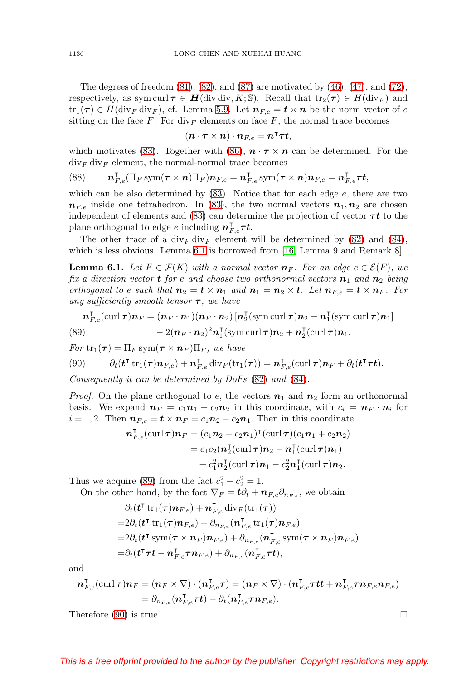<span id="page-29-4"></span>The degrees of freedom [\(81\)](#page-28-1), [\(82\)](#page-28-2), and [\(87\)](#page-28-3) are motivated by [\(46\)](#page-17-1), [\(47\)](#page-17-12), and [\(72\)](#page-26-1), respectively, as sym curl  $\tau \in H(\text{div div}, K; \mathbb{S})$ . Recall that  $\text{tr}_2(\tau) \in H(\text{div}_F)$  and  $\text{tr}_1(\tau) \in H(\text{div}_F \text{div}_F)$ , cf. Lemma [5.9.](#page-23-2) Let  $n_{F,e} = t \times n$  be the norm vector of e sitting on the face F. For  $\mathrm{div}_F$  elements on face F, the normal trace becomes

$$
(\boldsymbol n\cdot\boldsymbol\tau\times\boldsymbol n)\cdot\boldsymbol n_{F,e}=\boldsymbol n^{\intercal}\boldsymbol\tau\boldsymbol t,
$$

which motivates [\(83\)](#page-28-4). Together with [\(86\)](#page-28-5),  $\mathbf{n} \cdot \mathbf{r} \times \mathbf{n}$  can be determined. For the  $div_F div_F$  element, the normal-normal trace becomes

<span id="page-29-3"></span>(88) 
$$
\boldsymbol{n}_{F,e}^{\mathsf{T}}(\Pi_F \operatorname{sym}(\boldsymbol{\tau} \times \boldsymbol{n})\Pi_F)\boldsymbol{n}_{F,e} = \boldsymbol{n}_{F,e}^{\mathsf{T}} \operatorname{sym}(\boldsymbol{\tau} \times \boldsymbol{n})\boldsymbol{n}_{F,e} = \boldsymbol{n}_{F,e}^{\mathsf{T}}\boldsymbol{\tau}\boldsymbol{t},
$$

which can be also determined by [\(83\)](#page-28-4). Notice that for each edge e, there are two  $n_{Fe}$  inside one tetrahedron. In [\(83\)](#page-28-4), the two normal vectors  $n_1, n_2$  are chosen independent of elements and  $(83)$  can determine the projection of vector  $\tau t$  to the plane orthogonal to edge  $e$  including  $n_{F,e}^{\intercal} \tau t$ .

The other trace of a div<sub>F</sub> div<sub>F</sub> element will be determined by  $(82)$  and  $(84)$ , which is less obvious. Lemma [6.1](#page-29-0) is borrowed from [\[16,](#page-34-3) Lemma 9 and Remark 8].

<span id="page-29-0"></span>**Lemma 6.1.** Let  $F \in \mathcal{F}(K)$  with a normal vector  $\mathbf{n}_F$ . For an edge  $e \in \mathcal{E}(F)$ , we fix a direction vector **t** for e and choose two orthonormal vectors  $n_1$  and  $n_2$  being orthogonal to e such that  $n_2 = t \times n_1$  and  $n_1 = n_2 \times t$ . Let  $n_{F,e} = t \times n_F$ . For any sufficiently smooth tensor  $\tau$ , we have

<span id="page-29-1"></span>
$$
\boldsymbol{n}_{F,e}^{\mathrm{T}}(\operatorname{curl}\boldsymbol{\tau})\boldsymbol{n}_{F} = (\boldsymbol{n}_{F}\cdot\boldsymbol{n}_{1})(\boldsymbol{n}_{F}\cdot\boldsymbol{n}_{2})\left[\boldsymbol{n}_{2}^{\mathrm{T}}(\operatorname{sym}\operatorname{curl}\boldsymbol{\tau})\boldsymbol{n}_{2} - \boldsymbol{n}_{1}^{\mathrm{T}}(\operatorname{sym}\operatorname{curl}\boldsymbol{\tau})\boldsymbol{n}_{1}\right] - 2(\boldsymbol{n}_{F}\cdot\boldsymbol{n}_{2})^{2}\boldsymbol{n}_{1}^{\mathrm{T}}(\operatorname{sym}\operatorname{curl}\boldsymbol{\tau})\boldsymbol{n}_{2} + \boldsymbol{n}_{2}^{\mathrm{T}}(\operatorname{curl}\boldsymbol{\tau})\boldsymbol{n}_{1}.
$$

 $For \, \text{tr}_1(\tau) = \prod_F \text{sym}(\tau \times n_F) \prod_F$ , we have

<span id="page-29-2"></span>(90) 
$$
\partial_t(\mathbf{t}^{\mathsf{T}} \operatorname{tr}_1(\boldsymbol{\tau}) \boldsymbol{n}_{F,e}) + \boldsymbol{n}_{F,e}^{\mathsf{T}} \operatorname{div}_F(\operatorname{tr}_1(\boldsymbol{\tau})) = \boldsymbol{n}_{F,e}^{\mathsf{T}}(\operatorname{curl} \boldsymbol{\tau}) \boldsymbol{n}_F + \partial_t(\mathbf{t}^{\mathsf{T}} \boldsymbol{\tau} \mathbf{t}).
$$

Consequently it can be determined by DoFs [\(82\)](#page-28-2) and [\(84\)](#page-28-6).

*Proof.* On the plane orthogonal to e, the vectors  $n_1$  and  $n_2$  form an orthonormal basis. We expand  $n_F = c_1 n_1 + c_2 n_2$  in this coordinate, with  $c_i = n_F \cdot n_i$  for  $i = 1, 2$ . Then  $n_{F,e} = t \times n_F = c_1 n_2 - c_2 n_1$ . Then in this coordinate

$$
\begin{aligned} \boldsymbol{n}_{F,e}^{\mathsf{T}}(\operatorname{curl}\boldsymbol{\tau})\boldsymbol{n}_{F} &= (c_{1}\boldsymbol{n}_{2} - c_{2}\boldsymbol{n}_{1})^{\mathsf{T}}(\operatorname{curl}\boldsymbol{\tau})(c_{1}\boldsymbol{n}_{1} + c_{2}\boldsymbol{n}_{2}) \\ &= c_{1}c_{2}(\boldsymbol{n}_{2}^{\mathsf{T}}(\operatorname{curl}\boldsymbol{\tau})\boldsymbol{n}_{2} - \boldsymbol{n}_{1}^{\mathsf{T}}(\operatorname{curl}\boldsymbol{\tau})\boldsymbol{n}_{1}) \\ &+ c_{1}^{2}\boldsymbol{n}_{2}^{\mathsf{T}}(\operatorname{curl}\boldsymbol{\tau})\boldsymbol{n}_{1} - c_{2}^{2}\boldsymbol{n}_{1}^{\mathsf{T}}(\operatorname{curl}\boldsymbol{\tau})\boldsymbol{n}_{2}.\end{aligned}
$$

Thus we acquire [\(89\)](#page-29-1) from the fact  $c_1^2 + c_2^2 = 1$ .

On the other hand, by the fact  $\nabla_F = t\partial_t + n_{F,e}\partial_{n_{F,e}},$  we obtain

$$
\partial_t (\boldsymbol{t}^\intercal \operatorname{tr}_1(\boldsymbol{\tau}) \boldsymbol{n}_{F,e}) + \boldsymbol{n}_{F,e}^\intercal \operatorname{div}_F(\operatorname{tr}_1(\boldsymbol{\tau})) \n= 2\partial_t (\boldsymbol{t}^\intercal \operatorname{tr}_1(\boldsymbol{\tau}) \boldsymbol{n}_{F,e}) + \partial_{n_{F,e}} (\boldsymbol{n}_{F,e}^\intercal \operatorname{tr}_1(\boldsymbol{\tau}) \boldsymbol{n}_{F,e}) \n= 2\partial_t (\boldsymbol{t}^\intercal \operatorname{sym}(\boldsymbol{\tau} \times \boldsymbol{n}_F) \boldsymbol{n}_{F,e}) + \partial_{n_{F,e}} (\boldsymbol{n}_{F,e}^\intercal \operatorname{sym}(\boldsymbol{\tau} \times \boldsymbol{n}_F) \boldsymbol{n}_{F,e}) \n= \partial_t (\boldsymbol{t}^\intercal \boldsymbol{\tau} \boldsymbol{t} - \boldsymbol{n}_{F,e}^\intercal \boldsymbol{\tau} \boldsymbol{n}_{F,e}) + \partial_{n_{F,e}} (\boldsymbol{n}_{F,e}^\intercal \boldsymbol{\tau} \boldsymbol{t}),
$$

and

$$
\begin{split} \boldsymbol{n}_{F,e}^{\mathsf{T}}(\operatorname{curl}\boldsymbol{\tau})\boldsymbol{n}_{F} &= (\boldsymbol{n}_{F} \times \nabla) \cdot (\boldsymbol{n}_{F,e}^{\mathsf{T}}\boldsymbol{\tau}) = (\boldsymbol{n}_{F} \times \nabla) \cdot (\boldsymbol{n}_{F,e}^{\mathsf{T}}\boldsymbol{\tau} \boldsymbol{t} \boldsymbol{t} + \boldsymbol{n}_{F,e}^{\mathsf{T}}\boldsymbol{\tau} \boldsymbol{n}_{F,e} \boldsymbol{n}_{F,e}) \\ &= \partial_{n_{F,e}}(\boldsymbol{n}_{F,e}^{\mathsf{T}}\boldsymbol{\tau} \boldsymbol{t}) - \partial_{t}(\boldsymbol{n}_{F,e}^{\mathsf{T}}\boldsymbol{\tau} \boldsymbol{n}_{F,e}). \end{split}
$$

Therefore [\(90\)](#page-29-2) is true.  $\Box$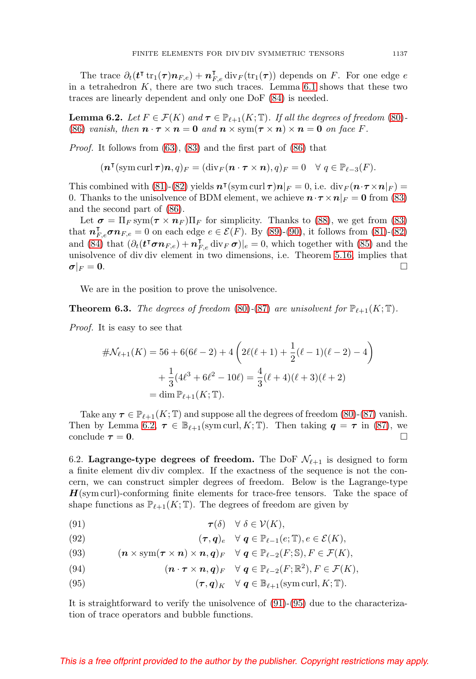The trace  $\partial_t(\boldsymbol{t}^\intercal \text{tr}_1(\boldsymbol{\tau}) \boldsymbol{n}_{F,e}) + \boldsymbol{n}_{F,e}^\intercal \text{div}_F(\text{tr}_1(\boldsymbol{\tau}))$  depends on F. For one edge e in a tetrahedron  $K$ , there are two such traces. Lemma [6.1](#page-29-0) shows that these two traces are linearly dependent and only one DoF [\(84\)](#page-28-6) is needed.

<span id="page-30-0"></span>**Lemma 6.2.** Let  $F \in \mathcal{F}(K)$  and  $\tau \in \mathbb{P}_{\ell+1}(K;\mathbb{T})$ . If all the degrees of freedom [\(80\)](#page-28-7)-[\(86\)](#page-28-5) vanish, then  $\mathbf{n} \cdot \boldsymbol{\tau} \times \mathbf{n} = \mathbf{0}$  and  $\mathbf{n} \times \text{sym}(\boldsymbol{\tau} \times \mathbf{n}) \times \mathbf{n} = \mathbf{0}$  on face F.

Proof. It follows from [\(63\)](#page-23-0), [\(83\)](#page-28-4) and the first part of [\(86\)](#page-28-5) that

$$
(\mathbf{n}^\intercal(\operatorname{sym}\operatorname{curl}\boldsymbol{\tau})\mathbf{n},q)_F = (\operatorname{div}_F(\mathbf{n}\cdot\boldsymbol{\tau}\times\mathbf{n}),q)_F = 0 \quad \forall\ q\in\mathbb{P}_{\ell-3}(F).
$$

This combined with [\(81\)](#page-28-1)-[\(82\)](#page-28-2) yields  $\mathbf{n}^{\mathsf{T}}(\text{sym curl }\boldsymbol{\tau})\mathbf{n}|_F = 0$ , i.e. div $_F(\mathbf{n} \cdot \boldsymbol{\tau} \times \mathbf{n}|_F) =$ 0. Thanks to the unisolvence of BDM element, we achieve  $\mathbf{n} \cdot \mathbf{r} \times \mathbf{n}|_F = \mathbf{0}$  from [\(83\)](#page-28-4) and the second part of [\(86\)](#page-28-5).

Let  $\sigma = \Pi_F \mathrm{sym}(\tau \times n_F) \Pi_F$  for simplicity. Thanks to [\(88\)](#page-29-3), we get from [\(83\)](#page-28-4) that  $n_{F,e}^{\dagger} \sigma n_{F,e} = 0$  on each edge  $e \in \mathcal{E}(F)$ . By [\(89\)](#page-29-1)-[\(90\)](#page-29-2), it follows from [\(81\)](#page-28-1)-[\(82\)](#page-28-2) and [\(84\)](#page-28-6) that  $(\partial_t(\mathbf{t}^\intercal \boldsymbol{\sigma} \boldsymbol{n}_{F,e}) + \boldsymbol{n}_{F,e}^\intercal \text{div}_F \boldsymbol{\sigma})|_e = 0$ , which together with [\(85\)](#page-28-8) and the unisolvence of div div element in two dimensions, i.e. Theorem [5.16,](#page-28-9) implies that  $\boldsymbol{\sigma}|_F = \boldsymbol{0}.$ 

We are in the position to prove the unisolvence.

**Theorem 6.3.** The degrees of freedom [\(80\)](#page-28-7)-[\(87\)](#page-28-3) are unisolvent for  $\mathbb{P}_{\ell+1}(K;\mathbb{T})$ .

Proof. It is easy to see that

$$
\# \mathcal{N}_{\ell+1}(K) = 56 + 6(6\ell - 2) + 4\left(2\ell(\ell+1) + \frac{1}{2}(\ell-1)(\ell-2) - 4\right) \n+ \frac{1}{3}(4\ell^3 + 6\ell^2 - 10\ell) = \frac{4}{3}(\ell+4)(\ell+3)(\ell+2) \n= \dim \mathbb{P}_{\ell+1}(K; \mathbb{T}).
$$

Take any  $\tau \in \mathbb{P}_{\ell+1}(K;\mathbb{T})$  and suppose all the degrees of freedom [\(80\)](#page-28-7)-[\(87\)](#page-28-3) vanish. Then by Lemma [6.2,](#page-30-0)  $\tau \in \mathbb{B}_{\ell+1}(\text{sym curl}, K; \mathbb{T})$ . Then taking  $q = \tau$  in [\(87\)](#page-28-3), we conclude  $\tau = 0$ .

6.2. Lagrange-type degrees of freedom. The DoF  $\mathcal{N}_{\ell+1}$  is designed to form a finite element div div complex. If the exactness of the sequence is not the concern, we can construct simpler degrees of freedom. Below is the Lagrange-type *H*(sym curl)-conforming finite elements for trace-free tensors. Take the space of shape functions as  $\mathbb{P}_{\ell+1}(K;\mathbb{T})$ . The degrees of freedom are given by

<span id="page-30-1"></span>(91) 
$$
\boldsymbol{\tau}(\delta) \quad \forall \ \delta \in \mathcal{V}(K),
$$

(92) 
$$
(\tau, q)_e \quad \forall \ q \in \mathbb{P}_{\ell-1}(e; \mathbb{T}), e \in \mathcal{E}(K),
$$

(93) 
$$
(\mathbf{n}\times\mathrm{sym}(\boldsymbol{\tau}\times\mathbf{n})\times\mathbf{n},\mathbf{q})_F \quad \forall \mathbf{q}\in\mathbb{P}_{\ell-2}(F;\mathbb{S}), F\in\mathcal{F}(K),
$$

(94)  $(\boldsymbol{n} \cdot \boldsymbol{\tau} \times \boldsymbol{n}, \boldsymbol{q})_F \quad \forall \ \boldsymbol{q} \in \mathbb{P}_{\ell-2}(F; \mathbb{R}^2), F \in \mathcal{F}(K),$ 

<span id="page-30-2"></span>(95) 
$$
(\tau, q)_K \quad \forall \ q \in \mathbb{B}_{\ell+1}(\text{sym curl}, K; \mathbb{T}).
$$

It is straightforward to verify the unisolvence of [\(91\)](#page-30-1)-[\(95\)](#page-30-2) due to the characterization of trace operators and bubble functions.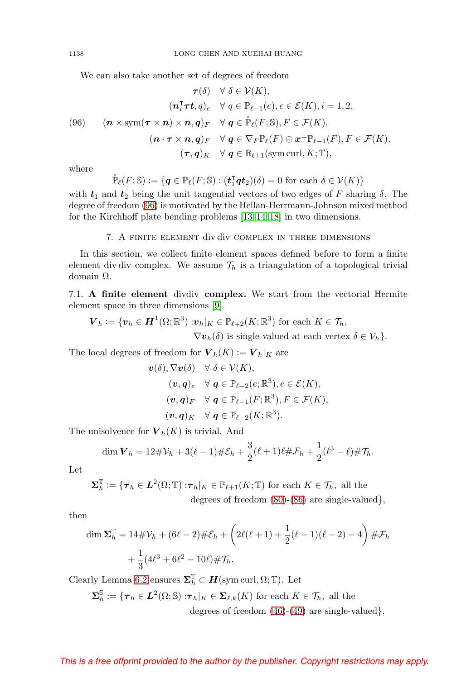We can also take another set of degrees of freedom

<span id="page-31-1"></span>(96) 
$$
\tau(\delta) \quad \forall \ \delta \in \mathcal{V}(K),
$$

$$
(\mathbf{n}_i^{\mathsf{T}} \boldsymbol{\tau} \boldsymbol{t}, q)_e \quad \forall \ q \in \mathbb{P}_{\ell-1}(e), e \in \mathcal{E}(K), i = 1, 2,
$$

$$
(96) \quad (\mathbf{n} \times \text{sym}(\boldsymbol{\tau} \times \mathbf{n}) \times \mathbf{n}, \mathbf{q})_F \quad \forall \ \mathbf{q} \in \mathbb{P}_{\ell}(F; \mathbb{S}), F \in \mathcal{F}(K),
$$

$$
(\mathbf{n} \cdot \boldsymbol{\tau} \times \mathbf{n}, \mathbf{q})_F \quad \forall \ \mathbf{q} \in \nabla_F \mathbb{P}_{\ell}(F) \oplus \mathbf{x}^{\perp} \mathbb{P}_{\ell-1}(F), F \in \mathcal{F}(K),
$$

$$
(\boldsymbol{\tau}, \mathbf{q})_K \quad \forall \ \mathbf{q} \in \mathbb{B}_{\ell+1}(\text{sym curl}, K; \mathbb{T}),
$$

where

$$
\mathbb{P}_{\ell}(F; \mathbb{S}) := \{ \mathbf{q} \in \mathbb{P}_{\ell}(F; \mathbb{S}) : (\mathbf{t}_1^{\mathsf{T}} \mathbf{q} \mathbf{t}_2)(\delta) = 0 \text{ for each } \delta \in \mathcal{V}(K) \}
$$

with  $t_1$  and  $t_2$  being the unit tangential vectors of two edges of F sharing  $\delta$ . The degree of freedom [\(96\)](#page-31-1) is motivated by the Hellan-Herrmann-Johnson mixed method for the Kirchhoff plate bending problems [\[13,](#page-34-13) [14,](#page-34-14) [18\]](#page-34-15) in two dimensions.

#### 7. A finite element div div complex in three dimensions

<span id="page-31-0"></span>In this section, we collect finite element spaces defined before to form a finite element div div complex. We assume  $\mathcal{T}_h$  is a triangulation of a topological trivial domain Ω.

7.1. **A finite element** divdiv **complex.** We start from the vectorial Hermite element space in three dimensions [\[9\]](#page-34-16)

$$
\mathbf{V}_h := \{ \boldsymbol{v}_h \in \boldsymbol{H}^1(\Omega;\mathbb{R}^3) : \boldsymbol{v}_h|_K \in \mathbb{P}_{\ell+2}(K;\mathbb{R}^3) \text{ for each } K \in \mathcal{T}_h, \\ \nabla \boldsymbol{v}_h(\delta) \text{ is single-valued at each vertex } \delta \in \mathcal{V}_h \}.
$$

The local degrees of freedom for  $V_h(K) := V_h|_K$  are

$$
\mathbf{v}(\delta), \nabla \mathbf{v}(\delta) \quad \forall \ \delta \in \mathcal{V}(K),
$$
  
\n
$$
(\mathbf{v}, \mathbf{q})_e \quad \forall \ \mathbf{q} \in \mathbb{P}_{\ell-2}(e; \mathbb{R}^3), e \in \mathcal{E}(K),
$$
  
\n
$$
(\mathbf{v}, \mathbf{q})_F \quad \forall \ \mathbf{q} \in \mathbb{P}_{\ell-1}(F; \mathbb{R}^3), F \in \mathcal{F}(K),
$$
  
\n
$$
(\mathbf{v}, \mathbf{q})_K \quad \forall \ \mathbf{q} \in \mathbb{P}_{\ell-2}(K; \mathbb{R}^3).
$$

The unisolvence for  $V_h(K)$  is trivial. And

$$
\dim \mathbf{V}_h = 12\#\mathcal{V}_h + 3(\ell - 1)\#\mathcal{E}_h + \frac{3}{2}(\ell + 1)\ell \#\mathcal{F}_h + \frac{1}{2}(\ell^3 - \ell) \#\mathcal{T}_h.
$$

Let

$$
\Sigma_h^{\mathbb{T}} := \{ \tau_h \in L^2(\Omega; \mathbb{T}) : \tau_h|_K \in \mathbb{P}_{\ell+1}(K; \mathbb{T}) \text{ for each } K \in \mathcal{T}_h, \text{ all the degrees of freedom (80)-(86) are single-valued} \},\
$$

then

$$
\dim \Sigma_h^{\mathbb{T}} = 14\#\mathcal{V}_h + (6\ell - 2)\#\mathcal{E}_h + \left(2\ell(\ell+1) + \frac{1}{2}(\ell-1)(\ell-2) - 4\right)\#\mathcal{F}_h
$$

$$
+ \frac{1}{3}(4\ell^3 + 6\ell^2 - 10\ell)\#\mathcal{T}_h.
$$

Clearly Lemma [6.2](#page-30-0) ensures  $\mathbf{\Sigma}_{h}^{\mathbb{T}} \subset \mathbf{H}(\text{sym curl}, \Omega; \mathbb{T})$ . Let

$$
\Sigma_h^{\mathbb{S}} := \{ \tau_h \in L^2(\Omega; \mathbb{S}) : \tau_h|_K \in \Sigma_{\ell,k}(K) \text{ for each } K \in \mathcal{T}_h, \text{ all the degrees of freedom } (46)-(49) \text{ are single-valued} \},\
$$

<span id="page-31-2"></span>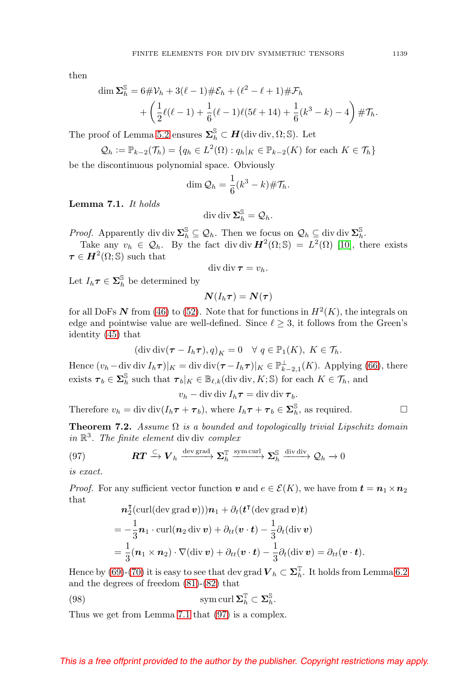<span id="page-32-3"></span>then

$$
\dim \Sigma_h^{\mathbb{S}} = 6 \# \mathcal{V}_h + 3(\ell - 1) \# \mathcal{E}_h + (\ell^2 - \ell + 1) \# \mathcal{F}_h
$$
  
+  $\left( \frac{1}{2} \ell(\ell - 1) + \frac{1}{6} (\ell - 1) \ell(5\ell + 14) + \frac{1}{6} (k^3 - k) - 4 \right) \# \mathcal{T}_h.$ 

The proof of Lemma [5.2](#page-17-10) ensures  $\mathbf{\Sigma}_{h}^{\mathbb{S}} \subset \mathbf{H}$ (div div,  $\Omega$ ;  $\mathbb{S}$ ). Let

$$
Q_h := \mathbb{P}_{k-2}(\mathcal{T}_h) = \{ q_h \in L^2(\Omega) : q_h|_K \in \mathbb{P}_{k-2}(K) \text{ for each } K \in \mathcal{T}_h \}
$$

be the discontinuous polynomial space. Obviously

$$
\dim \mathcal{Q}_h = \frac{1}{6}(k^3 - k) \# \mathcal{T}_h.
$$

<span id="page-32-0"></span>**Lemma 7.1.** It holds

$$
\operatorname{div} \operatorname{div} \Sigma_h^{\mathbb{S}} = \mathcal{Q}_h.
$$

Proof. Apparently div div  $\Sigma_h^{\mathbb{S}} \subseteq \mathcal{Q}_h$ . Then we focus on  $\mathcal{Q}_h \subseteq$  div div  $\Sigma_h^{\mathbb{S}}$ .

Take any  $v_h \in \mathcal{Q}_h$ . By the fact div div  $H^2(\Omega; \mathbb{S}) = L^2(\Omega)$  [\[10\]](#page-34-6), there exists  $\tau \in H^2(\Omega; \mathbb{S})$  such that

$$
\operatorname{div} \operatorname{div} \boldsymbol{\tau} = v_h.
$$

Let  $I_h \tau \in \mathbf{\Sigma}_h^{\mathbb{S}}$  be determined by

$$
\bm{N}(I_h\bm{\tau})=\bm{N}(\bm{\tau})
$$

for all DoFs  $N$  from [\(46\)](#page-17-1) to [\(52\)](#page-17-0). Note that for functions in  $H^2(K)$ , the integrals on edge and pointwise value are well-defined. Since  $\ell \geq 3$ , it follows from the Green's identity [\(45\)](#page-14-0) that

$$
(\operatorname{div} \operatorname{div} (\boldsymbol{\tau} - I_h \boldsymbol{\tau}), q)_K = 0 \quad \forall \ q \in \mathbb{P}_1(K), \ K \in \mathcal{T}_h.
$$

Hence  $(v_h - \text{div div } I_h \tau)|_K = \text{div } \text{div}(\tau - I_h \tau)|_K \in \mathbb{P}_{k-2,1}^{\perp}(K)$ . Applying [\(66\)](#page-24-1), there exists  $\boldsymbol{\tau}_b \in \mathbf{\Sigma}_h^{\mathbb{S}}$  such that  $\boldsymbol{\tau}_b|_K \in \mathbb{B}_{\ell,k}$  (div div, K; S) for each  $K \in \mathcal{T}_h$ , and

$$
v_h - \operatorname{div} \operatorname{div} I_h \boldsymbol{\tau} = \operatorname{div} \operatorname{div} \boldsymbol{\tau}_b.
$$

Therefore  $v_h = \text{div } \text{div}(I_h \tau + \tau_b)$ , where  $I_h \tau + \tau_b \in \Sigma_h^{\mathbb{S}}$ , as required.  $\Box$ 

**Theorem 7.2.** Assume  $\Omega$  is a bounded and topologically trivial Lipschitz domain in  $\mathbb{R}^3$ . The finite element div div complex

<span id="page-32-1"></span>(97) 
$$
\mathbf{RT} \xrightarrow{\subset} \mathbf{V}_h \xrightarrow{\text{dev grad}} \mathbf{\Sigma}_h^{\text{T}} \xrightarrow{\text{sym curl}} \mathbf{\Sigma}_h^{\text{S}} \xrightarrow{\text{div div}} \mathcal{Q}_h \to 0
$$

is exact.

*Proof.* For any sufficient vector function  $v$  and  $e \in \mathcal{E}(K)$ , we have from  $t = n_1 \times n_2$ that

$$
\mathbf{n}_2^{\mathsf{T}}(\text{curl}(\text{dev grad }\mathbf{v})))\mathbf{n}_1 + \partial_t(\mathbf{t}^{\mathsf{T}}(\text{dev grad }\mathbf{v})\mathbf{t})
$$
  
=  $-\frac{1}{3}\mathbf{n}_1 \cdot \text{curl}(\mathbf{n}_2 \text{ div }\mathbf{v}) + \partial_{tt}(\mathbf{v} \cdot \mathbf{t}) - \frac{1}{3}\partial_t(\text{div }\mathbf{v})$   
=  $\frac{1}{3}(\mathbf{n}_1 \times \mathbf{n}_2) \cdot \nabla(\text{div }\mathbf{v}) + \partial_{tt}(\mathbf{v} \cdot \mathbf{t}) - \frac{1}{3}\partial_t(\text{div }\mathbf{v}) = \partial_{tt}(\mathbf{v} \cdot \mathbf{t}).$ 

Hence by [\(69\)](#page-25-1)-[\(70\)](#page-25-2) it is easy to see that dev grad  $V_h \subset \Sigma_h^{\mathbb{T}}$ . It holds from Lemma [6.2](#page-30-0) and the degrees of freedom [\(81\)](#page-28-1)-[\(82\)](#page-28-2) that

<span id="page-32-2"></span>(98) 
$$
\operatorname{sym} \operatorname{curl} \Sigma_h^{\mathbb{T}} \subset \Sigma_h^{\mathbb{S}}.
$$

Thus we get from Lemma [7.1](#page-32-0) that [\(97\)](#page-32-1) is a complex.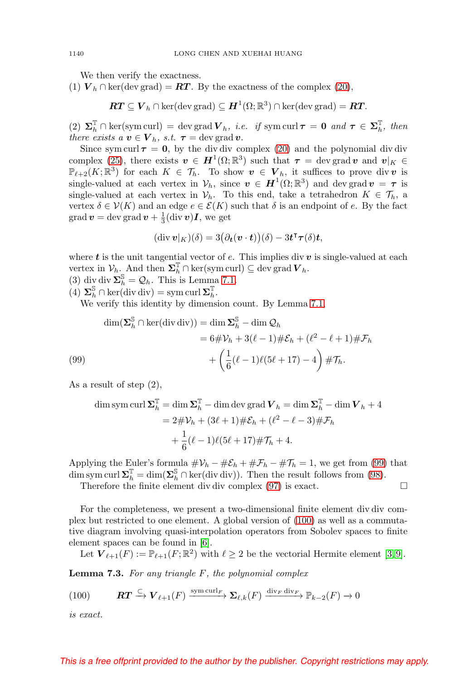<span id="page-33-2"></span>We then verify the exactness.

(1)  $V_h \cap \text{ker}(\text{dev grad}) = RT$ . By the exactness of the complex [\(20\)](#page-6-1),

$$
\boldsymbol{RT} \subseteq \boldsymbol{V}_h \cap \ker(\mathrm{dev}\,\mathrm{grad}) \subseteq \boldsymbol{H}^1(\Omega;\mathbb{R}^3) \cap \ker(\mathrm{dev}\,\mathrm{grad}) = \boldsymbol{RT}.
$$

(2)  $\Sigma_h^{\mathbb{T}} \cap \ker(\text{sym curl}) = \text{dev grad } V_h$ , *i.e.* if sym curl  $\tau = 0$  and  $\tau \in \Sigma_h^{\mathbb{T}}$ , then there exists  $a \, \boldsymbol{v} \in \boldsymbol{V}_h$ , s.t.  $\boldsymbol{\tau} = \text{dev grad } \boldsymbol{v}$ .

Since sym curl  $\tau = 0$ , by the div div complex [\(20\)](#page-6-1) and the polynomial div div complex [\(25\)](#page-8-2), there exists  $v \in H^1(\Omega;\mathbb{R}^3)$  such that  $\tau = \text{dev grad } v$  and  $v|_K \in$  $\mathbb{P}_{\ell+2}(K;\mathbb{R}^3)$  for each  $K \in \mathcal{T}_h$ . To show  $v \in V_h$ , it suffices to prove div *v* is single-valued at each vertex in  $V_h$ , since  $v \in H^1(\Omega;\mathbb{R}^3)$  and dev grad  $v = \tau$  is single-valued at each vertex in  $V_h$ . To this end, take a tetrahedron  $K \in \mathcal{T}_h$ , a vertex  $\delta \in \mathcal{V}(K)$  and an edge  $e \in \mathcal{E}(K)$  such that  $\delta$  is an endpoint of e. By the fact  $\operatorname{grad} \boldsymbol{v} = \operatorname{dev} \operatorname{grad} \boldsymbol{v} + \frac{1}{3} (\operatorname{div} \boldsymbol{v}) \boldsymbol{I}$ , we get

$$
(\operatorname{div} \boldsymbol{v}|_K)(\delta) = 3(\partial_{\boldsymbol{t}}(\boldsymbol{v} \cdot \boldsymbol{t}))(\delta) - 3\boldsymbol{t}^{\intercal}\boldsymbol{\tau}(\delta)\boldsymbol{t},
$$

where  $t$  is the unit tangential vector of  $e$ . This implies div  $v$  is single-valued at each vertex in  $\mathcal{V}_h$ . And then  $\mathbf{\Sigma}_h^{\mathbb{T}} \cap \ker(\text{sym curl}) \subseteq \text{dev grad } \mathbf{V}_h$ .

(3) div div  $\sum_{h}^{S} = Q_h$ . This is Lemma [7.1.](#page-32-0)

 $(4)$   $\Sigma_h^{\mathbb{S}} \cap \ker(\text{div div}) = \text{sym curl } \Sigma_h^{\mathbb{T}}.$ 

We verify this identity by dimension count. By Lemma [7.1,](#page-32-0)

$$
\dim(\Sigma_h^{\mathbb{S}} \cap \ker(\text{div div})) = \dim \Sigma_h^{\mathbb{S}} - \dim \mathcal{Q}_h
$$
  
=  $6 \# \mathcal{V}_h + 3(\ell - 1) \# \mathcal{E}_h + (\ell^2 - \ell + 1) \# \mathcal{F}_h$   
(99)  

$$
+ \left(\frac{1}{6}(\ell - 1)\ell(5\ell + 17) - 4\right) \# \mathcal{T}_h.
$$

<span id="page-33-0"></span>As a result of step (2),

dim sym curl 
$$
\Sigma_h^{\mathbb{T}} = \dim \Sigma_h^{\mathbb{T}} - \dim \text{dev grad } V_h = \dim \Sigma_h^{\mathbb{T}} - \dim V_h + 4
$$
  
=  $2\#\mathcal{V}_h + (3\ell + 1)\#\mathcal{E}_h + (\ell^2 - \ell - 3)\#\mathcal{F}_h$   
+  $\frac{1}{6}(\ell - 1)\ell(5\ell + 17)\#\mathcal{T}_h + 4$ .

Applying the Euler's formula  $\#\mathcal{V}_h - \#\mathcal{E}_h + \#\mathcal{F}_h - \#\mathcal{T}_h = 1$ , we get from [\(99\)](#page-33-0) that dim sym curl  $\Sigma_h^{\mathbb{T}} = \dim(\Sigma_h^{\mathbb{S}} \cap \ker(\text{div div})).$  Then the result follows from [\(98\)](#page-32-2).

 $\Box$ 

Therefore the finite element div div complex [\(97\)](#page-32-1) is exact.

For the completeness, we present a two-dimensional finite element div div complex but restricted to one element. A global version of [\(100\)](#page-33-1) as well as a commutative diagram involving quasi-interpolation operators from Sobolev spaces to finite element spaces can be found in [\[6\]](#page-34-1).

Let  $\mathbf{V}_{\ell+1}(F) := \mathbb{P}_{\ell+1}(F;\mathbb{R}^2)$  with  $\ell \geq 2$  be the vectorial Hermite element [\[3,](#page-34-17)9].

**Lemma 7.3.** For any triangle F, the polynomial complex

<span id="page-33-1"></span>(100) 
$$
\mathbf{RT} \xrightarrow{\subset} \mathbf{V}_{\ell+1}(F) \xrightarrow{\text{sym curl}_F} \mathbf{\Sigma}_{\ell,k}(F) \xrightarrow{\text{div}_F \text{div}_F} \mathbb{P}_{k-2}(F) \to 0
$$

is exact.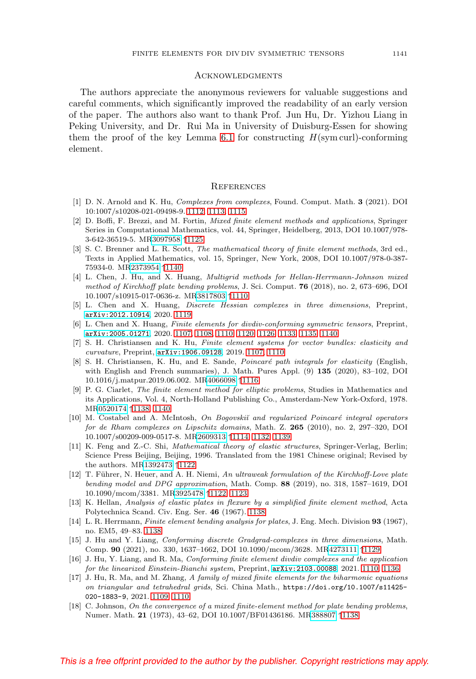#### **ACKNOWLEDGMENTS**

The authors appreciate the anonymous reviewers for valuable suggestions and careful comments, which significantly improved the readability of an early version of the paper. The authors also want to thank Prof. Jun Hu, Dr. Yizhou Liang in Peking University, and Dr. Rui Ma in University of Duisburg-Essen for showing them the proof of the key Lemma [6.1](#page-29-0) for constructing  $H(\text{sym curl})$ -conforming element.

#### **REFERENCES**

- <span id="page-34-5"></span>[1] D. N. Arnold and K. Hu, Complexes from complexes, Found. Comput. Math. **3** (2021). DOI 10:1007/s10208-021-09498-9. [1112,](#page-5-5) [1113,](#page-6-6) [1115](#page-8-4)
- <span id="page-34-11"></span>[2] D. Boffi, F. Brezzi, and M. Fortin, Mixed finite element methods and applications, Springer Series in Computational Mathematics, vol. 44, Springer, Heidelberg, 2013, DOI 10.1007/978- 3-642-36519-5. M[R3097958](https://www.ams.org/mathscinet-getitem?mr=3097958) ↑[1125](#page-18-1)
- <span id="page-34-17"></span>[3] S. C. Brenner and L. R. Scott, *The mathematical theory of finite element methods*, 3rd ed., Texts in Applied Mathematics, vol. 15, Springer, New York, 2008, DOI 10.1007/978-0-387- 75934-0. M[R2373954](https://www.ams.org/mathscinet-getitem?mr=2373954) ↑[1140](#page-33-2)
- <span id="page-34-4"></span>[4] L. Chen, J. Hu, and X. Huang, Multigrid methods for Hellan-Herrmann-Johnson mixed method of Kirchhoff plate bending problems, J. Sci. Comput. **76** (2018), no. 2, 673–696, DOI 10.1007/s10915-017-0636-z. M[R3817803](https://www.ams.org/mathscinet-getitem?mr=3817803) ↑[1110](#page-3-1)
- <span id="page-34-8"></span>[5] L. Chen and X. Huang, Discrete Hessian complexes in three dimensions, Preprint, [arXiv:2012.10914](https://arxiv.org/abs/2012.10914), 2020. [1119](#page-12-6)
- <span id="page-34-1"></span>[6] L. Chen and X. Huang, Finite elements for divdiv-conforming symmetric tensors, Preprint, [arXiv:2005.01271](https://arxiv.org/abs/2005.01271), 2020. [1107,](#page-0-0) [1108,](#page-1-7) [1110,](#page-3-1) [1120,](#page-13-4) [1126,](#page-19-2) [1133,](#page-26-4) [1135,](#page-28-10) [1140](#page-33-2)
- <span id="page-34-0"></span>[7] S. H. Christiansen and K. Hu, Finite element systems for vector bundles: elasticity and curvature, Preprint, [arXiv:1906.09128](https://arxiv.org/abs/1906.09128), 2019. [1107,](#page-0-0) [1110](#page-3-1)
- <span id="page-34-7"></span>[8] S. H. Christiansen, K. Hu, and E. Sande, *Poincaré path integrals for elasticity* (English, with English and French summaries), J. Math. Pures Appl. (9) **135** (2020), 83–102, DOI 10.1016/j.matpur.2019.06.002. M[R4066098](https://www.ams.org/mathscinet-getitem?mr=4066098) ↑[1116](#page-9-5)
- <span id="page-34-16"></span>[9] P. G. Ciarlet, The finite element method for elliptic problems, Studies in Mathematics and its Applications, Vol. 4, North-Holland Publishing Co., Amsterdam-New York-Oxford, 1978. M[R0520174](https://www.ams.org/mathscinet-getitem?mr=0520174) ↑[1138,](#page-31-2) [1140](#page-33-2)
- <span id="page-34-6"></span>[10] M. Costabel and A. McIntosh, On Bogovskiĭ and regularized Poincaré integral operators for de Rham complexes on Lipschitz domains, Math. Z. **265** (2010), no. 2, 297–320, DOI 10.1007/s00209-009-0517-8. M[R2609313](https://www.ams.org/mathscinet-getitem?mr=2609313) ↑[1114,](#page-7-1) [1132,](#page-25-3) [1139](#page-32-3)
- <span id="page-34-9"></span>[11] K. Feng and Z.-C. Shi, Mathematical theory of elastic structures, Springer-Verlag, Berlin; Science Press Beijing, Beijing, 1996. Translated from the 1981 Chinese original; Revised by the authors. M[R1392473](https://www.ams.org/mathscinet-getitem?mr=1392473) ↑[1122](#page-15-2)
- <span id="page-34-10"></span>[12] T. Führer, N. Heuer, and A. H. Niemi, An ultraweak formulation of the Kirchhoff-Love plate bending model and DPG approximation, Math. Comp. **88** (2019), no. 318, 1587–1619, DOI 10.1090/mcom/3381. M[R3925478](https://www.ams.org/mathscinet-getitem?mr=3925478) ↑[1122,](#page-15-2) [1123](#page-16-2)
- <span id="page-34-13"></span>[13] K. Hellan, Analysis of elastic plates in flexure by a simplified finite element method, Acta Polytechnica Scand. Civ. Eng. Ser. **46** (1967). [1138](#page-31-2)
- <span id="page-34-14"></span>[14] L. R. Herrmann, Finite element bending analysis for plates, J. Eng. Mech. Division **93** (1967), no. EM5, 49–83. [1138](#page-31-2)
- <span id="page-34-12"></span>[15] J. Hu and Y. Liang, Conforming discrete Gradgrad-complexes in three dimensions, Math. Comp. **90** (2021), no. 330, 1637–1662, DOI 10.1090/mcom/3628. M[R4273111](https://www.ams.org/mathscinet-getitem?mr=4273111) ↑[1129](#page-22-2)
- <span id="page-34-3"></span>[16] J. Hu, Y. Liang, and R. Ma, Conforming finite element divdiv complexes and the application for the linearized Einstein-Bianchi system, Preprint, [arXiv:2103.00088](https://arxiv.org/abs/2103.00088), 2021. [1110,](#page-3-1) [1136](#page-29-4)
- <span id="page-34-2"></span>[17] J. Hu, R. Ma, and M. Zhang, A family of mixed finite elements for the biharmonic equations on triangular and tetrahedral grids, Sci. China Math., [https://doi.org/10.1007/s11425-](https://doi.org/10.1007/s11425-020-1883-9) [020-1883-9](https://doi.org/10.1007/s11425-020-1883-9), 2021. [1109,](#page-2-2) [1110](#page-3-1)
- <span id="page-34-15"></span>[18] C. Johnson, On the convergence of a mixed finite-element method for plate bending problems, Numer. Math. **21** (1973), 43–62, DOI 10.1007/BF01436186. M[R388807](https://www.ams.org/mathscinet-getitem?mr=388807) ↑[1138](#page-31-2)